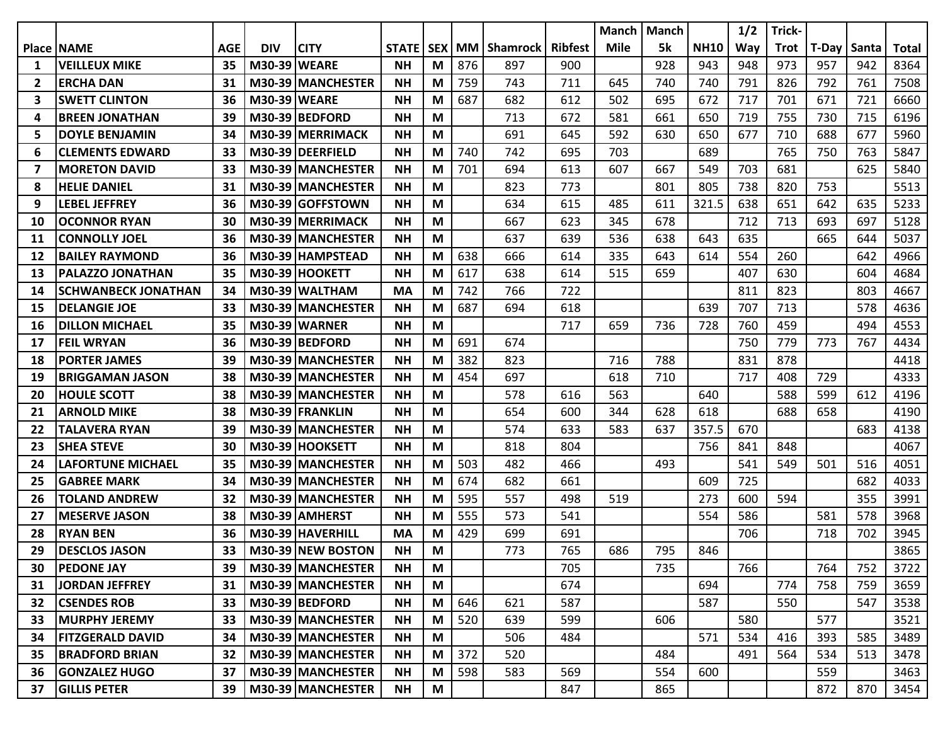|    |                            |            |                     |                      |              |            |     |                 |                | <b>Manch</b> | <b>Manch</b> |             | 1/2 | Trick-      |       |       |       |
|----|----------------------------|------------|---------------------|----------------------|--------------|------------|-----|-----------------|----------------|--------------|--------------|-------------|-----|-------------|-------|-------|-------|
|    | <b>Place NAME</b>          | <b>AGE</b> | <b>DIV</b>          | <b>CITY</b>          | <b>STATE</b> | <b>SEX</b> | МM  | <b>Shamrock</b> | <b>Ribfest</b> | <b>Mile</b>  | 5k           | <b>NH10</b> | Way | <b>Trot</b> | T-Day | Santa | Total |
| 1  | <b>VEILLEUX MIKE</b>       | 35         | <b>M30-39 WEARE</b> |                      | <b>NH</b>    | M          | 876 | 897             | 900            |              | 928          | 943         | 948 | 973         | 957   | 942   | 8364  |
| 2  | <b>ERCHA DAN</b>           | 31         |                     | M30-39 MANCHESTER    | <b>NH</b>    | M          | 759 | 743             | 711            | 645          | 740          | 740         | 791 | 826         | 792   | 761   | 7508  |
| 3  | <b>SWETT CLINTON</b>       | 36         | M30-39 WEARE        |                      | <b>NH</b>    | M          | 687 | 682             | 612            | 502          | 695          | 672         | 717 | 701         | 671   | 721   | 6660  |
| 4  | <b>BREEN JONATHAN</b>      | 39         |                     | M30-39 BEDFORD       | <b>NH</b>    | M          |     | 713             | 672            | 581          | 661          | 650         | 719 | 755         | 730   | 715   | 6196  |
| 5  | <b>DOYLE BENJAMIN</b>      | 34         |                     | M30-39 MERRIMACK     | <b>NH</b>    | М          |     | 691             | 645            | 592          | 630          | 650         | 677 | 710         | 688   | 677   | 5960  |
| 6  | <b>CLEMENTS EDWARD</b>     | 33         |                     | M30-39 DEERFIELD     | <b>NH</b>    | M          | 740 | 742             | 695            | 703          |              | 689         |     | 765         | 750   | 763   | 5847  |
| 7  | <b>MORETON DAVID</b>       | 33         |                     | M30-39 MANCHESTER    | <b>NH</b>    | M          | 701 | 694             | 613            | 607          | 667          | 549         | 703 | 681         |       | 625   | 5840  |
| 8  | <b>HELIE DANIEL</b>        | 31         |                     | M30-39 MANCHESTER    | <b>NH</b>    | M          |     | 823             | 773            |              | 801          | 805         | 738 | 820         | 753   |       | 5513  |
| 9  | <b>LEBEL JEFFREY</b>       | 36         |                     | M30-39 GOFFSTOWN     | <b>NH</b>    | M          |     | 634             | 615            | 485          | 611          | 321.5       | 638 | 651         | 642   | 635   | 5233  |
| 10 | <b>OCONNOR RYAN</b>        | 30         |                     | M30-39 MERRIMACK     | <b>NH</b>    | M          |     | 667             | 623            | 345          | 678          |             | 712 | 713         | 693   | 697   | 5128  |
| 11 | <b>CONNOLLY JOEL</b>       | 36         |                     | M30-39 MANCHESTER    | <b>NH</b>    | M          |     | 637             | 639            | 536          | 638          | 643         | 635 |             | 665   | 644   | 5037  |
| 12 | <b>BAILEY RAYMOND</b>      | 36         |                     | M30-39 HAMPSTEAD     | <b>NH</b>    | M          | 638 | 666             | 614            | 335          | 643          | 614         | 554 | 260         |       | 642   | 4966  |
| 13 | PALAZZO JONATHAN           | 35         |                     | M30-39 HOOKETT       | <b>NH</b>    | M          | 617 | 638             | 614            | 515          | 659          |             | 407 | 630         |       | 604   | 4684  |
| 14 | <b>SCHWANBECK JONATHAN</b> | 34         |                     | M30-39 WALTHAM       | <b>MA</b>    | M          | 742 | 766             | 722            |              |              |             | 811 | 823         |       | 803   | 4667  |
| 15 | <b>DELANGIE JOE</b>        | 33         |                     | M30-39 MANCHESTER    | <b>NH</b>    | M          | 687 | 694             | 618            |              |              | 639         | 707 | 713         |       | 578   | 4636  |
| 16 | <b>DILLON MICHAEL</b>      | 35         |                     | <b>M30-39 WARNER</b> | <b>NH</b>    | M          |     |                 | 717            | 659          | 736          | 728         | 760 | 459         |       | 494   | 4553  |
| 17 | <b>FEIL WRYAN</b>          | 36         |                     | M30-39 BEDFORD       | <b>NH</b>    | М          | 691 | 674             |                |              |              |             | 750 | 779         | 773   | 767   | 4434  |
| 18 | <b>PORTER JAMES</b>        | 39         |                     | M30-39 MANCHESTER    | <b>NH</b>    | M          | 382 | 823             |                | 716          | 788          |             | 831 | 878         |       |       | 4418  |
| 19 | <b>BRIGGAMAN JASON</b>     | 38         |                     | M30-39 MANCHESTER    | <b>NH</b>    | M          | 454 | 697             |                | 618          | 710          |             | 717 | 408         | 729   |       | 4333  |
| 20 | <b>HOULE SCOTT</b>         | 38         |                     | M30-39 MANCHESTER    | <b>NH</b>    | M          |     | 578             | 616            | 563          |              | 640         |     | 588         | 599   | 612   | 4196  |
| 21 | <b>ARNOLD MIKE</b>         | 38         |                     | M30-39 FRANKLIN      | <b>NH</b>    | M          |     | 654             | 600            | 344          | 628          | 618         |     | 688         | 658   |       | 4190  |
| 22 | <b>TALAVERA RYAN</b>       | 39         |                     | M30-39 MANCHESTER    | <b>NH</b>    | M          |     | 574             | 633            | 583          | 637          | 357.5       | 670 |             |       | 683   | 4138  |
| 23 | <b>SHEA STEVE</b>          | 30         |                     | M30-39 HOOKSETT      | <b>NH</b>    | M          |     | 818             | 804            |              |              | 756         | 841 | 848         |       |       | 4067  |
| 24 | <b>LAFORTUNE MICHAEL</b>   | 35         |                     | M30-39 MANCHESTER    | <b>NH</b>    | М          | 503 | 482             | 466            |              | 493          |             | 541 | 549         | 501   | 516   | 4051  |
| 25 | <b>GABREE MARK</b>         | 34         |                     | M30-39 MANCHESTER    | <b>NH</b>    | M          | 674 | 682             | 661            |              |              | 609         | 725 |             |       | 682   | 4033  |
| 26 | <b>TOLAND ANDREW</b>       | 32         |                     | M30-39 MANCHESTER    | <b>NH</b>    | M          | 595 | 557             | 498            | 519          |              | 273         | 600 | 594         |       | 355   | 3991  |
| 27 | <b>MESERVE JASON</b>       | 38         |                     | M30-39 AMHERST       | <b>NH</b>    | M          | 555 | 573             | 541            |              |              | 554         | 586 |             | 581   | 578   | 3968  |
| 28 | <b>RYAN BEN</b>            | 36         |                     | M30-39 HAVERHILL     | MA           | M          | 429 | 699             | 691            |              |              |             | 706 |             | 718   | 702   | 3945  |
| 29 | <b>DESCLOS JASON</b>       | 33         |                     | M30-39 NEW BOSTON    | <b>NH</b>    | M          |     | 773             | 765            | 686          | 795          | 846         |     |             |       |       | 3865  |
| 30 | <b>PEDONE JAY</b>          | 39         |                     | M30-39 MANCHESTER    | ΝH           | M          |     |                 | 705            |              | 735          |             | 766 |             | 764   | 752   | 3722  |
| 31 | JORDAN JEFFREY             | 31         |                     | M30-39 MANCHESTER    | <b>NH</b>    | M          |     |                 | 674            |              |              | 694         |     | 774         | 758   | 759   | 3659  |
| 32 | <b>CSENDES ROB</b>         | 33         |                     | M30-39 BEDFORD       | <b>NH</b>    | M          | 646 | 621             | 587            |              |              | 587         |     | 550         |       | 547   | 3538  |
| 33 | <b>MURPHY JEREMY</b>       | 33         |                     | M30-39 MANCHESTER    | <b>NH</b>    | M          | 520 | 639             | 599            |              | 606          |             | 580 |             | 577   |       | 3521  |
| 34 | <b>FITZGERALD DAVID</b>    | 34         |                     | M30-39 MANCHESTER    | <b>NH</b>    | M          |     | 506             | 484            |              |              | 571         | 534 | 416         | 393   | 585   | 3489  |
| 35 | <b>BRADFORD BRIAN</b>      | 32         |                     | M30-39 MANCHESTER    | <b>NH</b>    | M          | 372 | 520             |                |              | 484          |             | 491 | 564         | 534   | 513   | 3478  |
| 36 | <b>GONZALEZ HUGO</b>       | 37         |                     | M30-39 MANCHESTER    | <b>NH</b>    | M          | 598 | 583             | 569            |              | 554          | 600         |     |             | 559   |       | 3463  |
| 37 | <b>GILLIS PETER</b>        | 39         |                     | M30-39 MANCHESTER    | <b>NH</b>    | M          |     |                 | 847            |              | 865          |             |     |             | 872   | 870   | 3454  |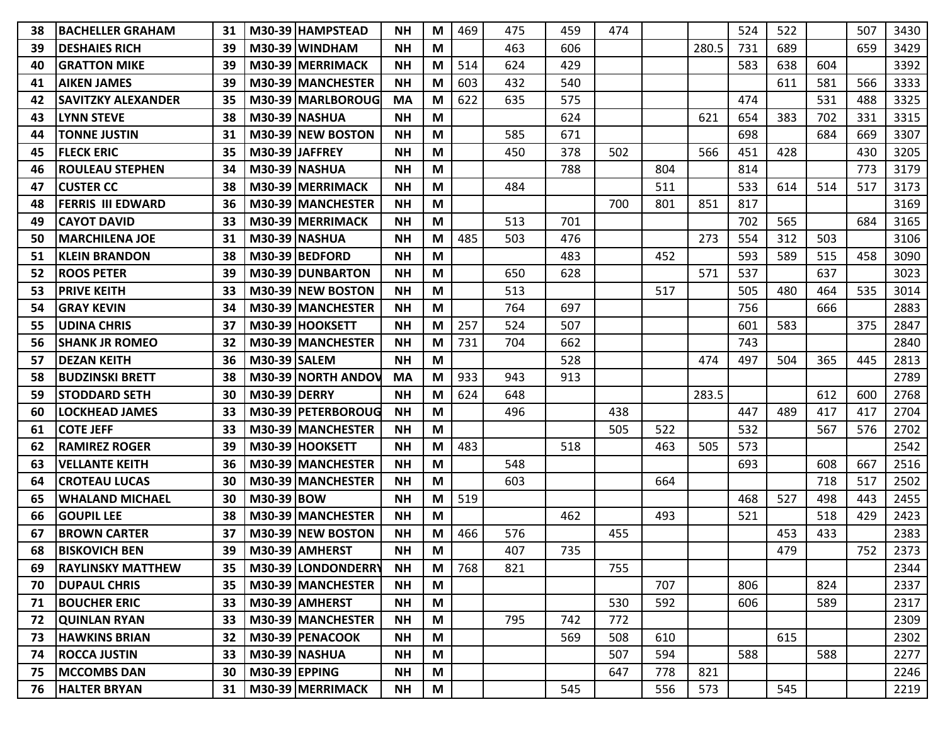| 38 | IBACHELLER GRAHAM         | 31 | M30-39 HAMPSTEAD          | <b>NH</b>       | M | 469 | 475 | 459 | 474 |     |       | 524 | 522 |     | 507 | 3430 |
|----|---------------------------|----|---------------------------|-----------------|---|-----|-----|-----|-----|-----|-------|-----|-----|-----|-----|------|
| 39 | <b>DESHAIES RICH</b>      | 39 | M30-39 WINDHAM            | <b>NH</b>       | M |     | 463 | 606 |     |     | 280.5 | 731 | 689 |     | 659 | 3429 |
| 40 | <b>IGRATTON MIKE</b>      | 39 | M30-39 MERRIMACK          | <b>NH</b>       | M | 514 | 624 | 429 |     |     |       | 583 | 638 | 604 |     | 3392 |
| 41 | <b>AIKEN JAMES</b>        | 39 | M30-39 MANCHESTER         | <b>NH</b>       | M | 603 | 432 | 540 |     |     |       |     | 611 | 581 | 566 | 3333 |
| 42 | <b>SAVITZKY ALEXANDER</b> | 35 | M30-39 MARLBOROUG         | <b>MA</b>       | M | 622 | 635 | 575 |     |     |       | 474 |     | 531 | 488 | 3325 |
| 43 | <b>LYNN STEVE</b>         | 38 | M30-39 NASHUA             | <b>NH</b>       | M |     |     | 624 |     |     | 621   | 654 | 383 | 702 | 331 | 3315 |
| 44 | <b>TONNE JUSTIN</b>       | 31 | M30-39 NEW BOSTON         | <b>NH</b>       | M |     | 585 | 671 |     |     |       | 698 |     | 684 | 669 | 3307 |
| 45 | <b>FLECK ERIC</b>         | 35 | M30-39 JAFFREY            | <b>NH</b>       | M |     | 450 | 378 | 502 |     | 566   | 451 | 428 |     | 430 | 3205 |
| 46 | <b>ROULEAU STEPHEN</b>    | 34 | M30-39 INASHUA            | <b>NH</b>       | M |     |     | 788 |     | 804 |       | 814 |     |     | 773 | 3179 |
| 47 | <b>CUSTER CC</b>          | 38 | M30-39 MERRIMACK          | <b>NH</b>       | M |     | 484 |     |     | 511 |       | 533 | 614 | 514 | 517 | 3173 |
| 48 | <b>FERRIS III EDWARD</b>  | 36 | M30-39 MANCHESTER         | <b>NH</b>       | M |     |     |     | 700 | 801 | 851   | 817 |     |     |     | 3169 |
| 49 | <b>CAYOT DAVID</b>        | 33 | M30-39 MERRIMACK          | <b>NH</b>       | M |     | 513 | 701 |     |     |       | 702 | 565 |     | 684 | 3165 |
| 50 | <b>MARCHILENA JOE</b>     | 31 | M30-39 NASHUA             | <b>NH</b>       | M | 485 | 503 | 476 |     |     | 273   | 554 | 312 | 503 |     | 3106 |
| 51 | <b>KLEIN BRANDON</b>      | 38 | M30-39 BEDFORD            | <b>NH</b>       | M |     |     | 483 |     | 452 |       | 593 | 589 | 515 | 458 | 3090 |
| 52 | <b>ROOS PETER</b>         | 39 | M30-39 DUNBARTON          | <b>NH</b>       | M |     | 650 | 628 |     |     | 571   | 537 |     | 637 |     | 3023 |
| 53 | <b>PRIVE KEITH</b>        | 33 | M30-39 NEW BOSTON         | <b>NH</b>       | M |     | 513 |     |     | 517 |       | 505 | 480 | 464 | 535 | 3014 |
| 54 | <b>GRAY KEVIN</b>         | 34 | M30-39 MANCHESTER         | <b>NH</b>       | M |     | 764 | 697 |     |     |       | 756 |     | 666 |     | 2883 |
| 55 | <b>UDINA CHRIS</b>        | 37 | M30-39 HOOKSETT           | <b>NH</b>       | M | 257 | 524 | 507 |     |     |       | 601 | 583 |     | 375 | 2847 |
| 56 | <b>SHANK JR ROMEO</b>     | 32 | M30-39 MANCHESTER         | <b>NH</b>       | M | 731 | 704 | 662 |     |     |       | 743 |     |     |     | 2840 |
| 57 | <b>DEZAN KEITH</b>        | 36 | <b>M30-39 SALEM</b>       | <b>NH</b>       | M |     |     | 528 |     |     | 474   | 497 | 504 | 365 | 445 | 2813 |
| 58 | <b>BUDZINSKI BRETT</b>    | 38 | <b>M30-39 NORTH ANDOV</b> | MA              | M | 933 | 943 | 913 |     |     |       |     |     |     |     | 2789 |
| 59 | <b>STODDARD SETH</b>      | 30 | <b>M30-39 DERRY</b>       | <b>NH</b>       | M | 624 | 648 |     |     |     | 283.5 |     |     | 612 | 600 | 2768 |
| 60 | <b>LOCKHEAD JAMES</b>     | 33 | M30-39   PETERBOROUG      | <b>NH</b>       | M |     | 496 |     | 438 |     |       | 447 | 489 | 417 | 417 | 2704 |
| 61 | <b>COTE JEFF</b>          | 33 | M30-39 MANCHESTER         | <b>NH</b>       | M |     |     |     | 505 | 522 |       | 532 |     | 567 | 576 | 2702 |
| 62 | <b>RAMIREZ ROGER</b>      | 39 | M30-39 HOOKSETT           | <b>NH</b>       | M | 483 |     | 518 |     | 463 | 505   | 573 |     |     |     | 2542 |
| 63 | <b>VELLANTE KEITH</b>     | 36 | M30-39 MANCHESTER         | <b>NH</b>       | M |     | 548 |     |     |     |       | 693 |     | 608 | 667 | 2516 |
| 64 | <b>CROTEAU LUCAS</b>      | 30 | M30-39 MANCHESTER         | <b>NH</b>       | M |     | 603 |     |     | 664 |       |     |     | 718 | 517 | 2502 |
| 65 | <b>WHALAND MICHAEL</b>    | 30 | <b>M30-39 BOW</b>         | <b>NH</b>       | M | 519 |     |     |     |     |       | 468 | 527 | 498 | 443 | 2455 |
| 66 | <b>GOUPIL LEE</b>         | 38 | M30-39 MANCHESTER         | <b>NH</b>       | M |     |     | 462 |     | 493 |       | 521 |     | 518 | 429 | 2423 |
| 67 | <b>BROWN CARTER</b>       | 37 | M30-39 NEW BOSTON         | <b>NH</b>       | M | 466 | 576 |     | 455 |     |       |     | 453 | 433 |     | 2383 |
| 68 | <b>BISKOVICH BEN</b>      |    | 39   M30-39   AMHERST     | $\mathsf{NH}{}$ | M |     | 407 | 735 |     |     |       |     | 479 |     | 752 | 2373 |
| 69 | <b>RAYLINSKY MATTHEW</b>  | 35 | M30-39 LONDONDERRY        | <b>NH</b>       | M | 768 | 821 |     | 755 |     |       |     |     |     |     | 2344 |
| 70 | <b>DUPAUL CHRIS</b>       | 35 | M30-39 MANCHESTER         | <b>NH</b>       | M |     |     |     |     | 707 |       | 806 |     | 824 |     | 2337 |
| 71 | <b>BOUCHER ERIC</b>       | 33 | M30-39 AMHERST            | <b>NH</b>       | M |     |     |     | 530 | 592 |       | 606 |     | 589 |     | 2317 |
| 72 | <b>QUINLAN RYAN</b>       | 33 | M30-39 MANCHESTER         | <b>NH</b>       | M |     | 795 | 742 | 772 |     |       |     |     |     |     | 2309 |
| 73 | <b>HAWKINS BRIAN</b>      | 32 | M30-39 PENACOOK           | <b>NH</b>       | M |     |     | 569 | 508 | 610 |       |     | 615 |     |     | 2302 |
| 74 | <b>ROCCA JUSTIN</b>       | 33 | M30-39 NASHUA             | <b>NH</b>       | M |     |     |     | 507 | 594 |       | 588 |     | 588 |     | 2277 |
| 75 | <b>MCCOMBS DAN</b>        | 30 | $M30-39$ EPPING           | <b>NH</b>       | M |     |     |     | 647 | 778 | 821   |     |     |     |     | 2246 |
| 76 | <b>HALTER BRYAN</b>       | 31 | M30-39 MERRIMACK          | <b>NH</b>       | M |     |     | 545 |     | 556 | 573   |     | 545 |     |     | 2219 |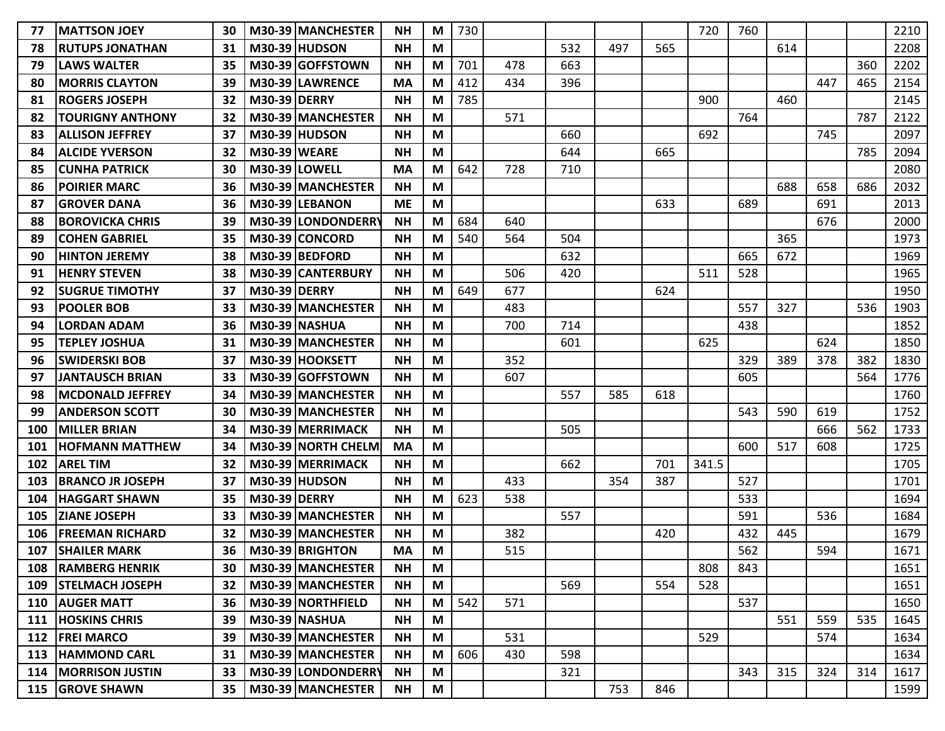| 77  | <b>IMATTSON JOEY</b>     | 30 |                     | M30-39 MANCHESTER    | <b>NH</b> | M | 730 |     |     |     |     | 720   | 760 |     |     |     | 2210 |
|-----|--------------------------|----|---------------------|----------------------|-----------|---|-----|-----|-----|-----|-----|-------|-----|-----|-----|-----|------|
| 78  | <b>RUTUPS JONATHAN</b>   | 31 |                     | <b>M30-39 HUDSON</b> | <b>NH</b> | M |     |     | 532 | 497 | 565 |       |     | 614 |     |     | 2208 |
| 79  | lLAWS WALTER             | 35 |                     | M30-39 GOFFSTOWN     | <b>NH</b> | M | 701 | 478 | 663 |     |     |       |     |     |     | 360 | 2202 |
| 80  | <b>MORRIS CLAYTON</b>    | 39 |                     | M30-39 LAWRENCE      | <b>MA</b> | M | 412 | 434 | 396 |     |     |       |     |     | 447 | 465 | 2154 |
| 81  | <b>ROGERS JOSEPH</b>     | 32 | <b>M30-39 DERRY</b> |                      | <b>NH</b> | M | 785 |     |     |     |     | 900   |     | 460 |     |     | 2145 |
| 82  | <b>TOURIGNY ANTHONY</b>  | 32 |                     | M30-39 MANCHESTER    | <b>NH</b> | M |     | 571 |     |     |     |       | 764 |     |     | 787 | 2122 |
| 83  | <b>ALLISON JEFFREY</b>   | 37 |                     | <b>M30-39 HUDSON</b> | <b>NH</b> | M |     |     | 660 |     |     | 692   |     |     | 745 |     | 2097 |
| 84  | <b>ALCIDE YVERSON</b>    | 32 | <b>M30-39 WEARE</b> |                      | <b>NH</b> | M |     |     | 644 |     | 665 |       |     |     |     | 785 | 2094 |
| 85  | <b>ICUNHA PATRICK</b>    | 30 |                     | M30-39 LOWELL        | <b>MA</b> | M | 642 | 728 | 710 |     |     |       |     |     |     |     | 2080 |
| 86  | <b>POIRIER MARC</b>      | 36 |                     | M30-39 MANCHESTER    | <b>NH</b> | M |     |     |     |     |     |       |     | 688 | 658 | 686 | 2032 |
| 87  | <b>GROVER DANA</b>       | 36 |                     | M30-39 LEBANON       | <b>ME</b> | M |     |     |     |     | 633 |       | 689 |     | 691 |     | 2013 |
| 88  | <b>IBOROVICKA CHRIS</b>  | 39 |                     | M30-39 LONDONDERRY   | <b>NH</b> | M | 684 | 640 |     |     |     |       |     |     | 676 |     | 2000 |
| 89  | <b>COHEN GABRIEL</b>     | 35 |                     | M30-39 CONCORD       | <b>NH</b> | M | 540 | 564 | 504 |     |     |       |     | 365 |     |     | 1973 |
| 90  | <b>IHINTON JEREMY</b>    | 38 |                     | M30-39 BEDFORD       | <b>NH</b> | M |     |     | 632 |     |     |       | 665 | 672 |     |     | 1969 |
| 91  | <b>HENRY STEVEN</b>      | 38 |                     | M30-39 CANTERBURY    | <b>NH</b> | M |     | 506 | 420 |     |     | 511   | 528 |     |     |     | 1965 |
| 92  | <b>SUGRUE TIMOTHY</b>    | 37 | <b>M30-39 DERRY</b> |                      | <b>NH</b> | M | 649 | 677 |     |     | 624 |       |     |     |     |     | 1950 |
| 93  | <b>POOLER BOB</b>        | 33 |                     | M30-39 MANCHESTER    | <b>NH</b> | M |     | 483 |     |     |     |       | 557 | 327 |     | 536 | 1903 |
| 94  | <b>LORDAN ADAM</b>       | 36 |                     | <b>M30-39 NASHUA</b> | <b>NH</b> | M |     | 700 | 714 |     |     |       | 438 |     |     |     | 1852 |
| 95  | <b>TEPLEY JOSHUA</b>     | 31 |                     | M30-39 MANCHESTER    | <b>NH</b> | M |     |     | 601 |     |     | 625   |     |     | 624 |     | 1850 |
| 96  | <b>SWIDERSKI BOB</b>     | 37 |                     | M30-39 HOOKSETT      | <b>NH</b> | M |     | 352 |     |     |     |       | 329 | 389 | 378 | 382 | 1830 |
| 97  | <b>JANTAUSCH BRIAN</b>   | 33 |                     | M30-39 GOFFSTOWN     | <b>NH</b> | M |     | 607 |     |     |     |       | 605 |     |     | 564 | 1776 |
| 98  | <b>IMCDONALD JEFFREY</b> | 34 |                     | M30-39   MANCHESTER  | <b>NH</b> | M |     |     | 557 | 585 | 618 |       |     |     |     |     | 1760 |
| 99  | <b>ANDERSON SCOTT</b>    | 30 |                     | M30-39 MANCHESTER    | <b>NH</b> | M |     |     |     |     |     |       | 543 | 590 | 619 |     | 1752 |
| 100 | <b>MILLER BRIAN</b>      | 34 |                     | M30-39 MERRIMACK     | <b>NH</b> | M |     |     | 505 |     |     |       |     |     | 666 | 562 | 1733 |
| 101 | <b>HOFMANN MATTHEW</b>   | 34 |                     | M30-39 NORTH CHELM   | <b>MA</b> | M |     |     |     |     |     |       | 600 | 517 | 608 |     | 1725 |
| 102 | <b>AREL TIM</b>          | 32 |                     | M30-39 MERRIMACK     | <b>NH</b> | M |     |     | 662 |     | 701 | 341.5 |     |     |     |     | 1705 |
| 103 | <b>BRANCO JR JOSEPH</b>  | 37 |                     | <b>M30-39 HUDSON</b> | <b>NH</b> | M |     | 433 |     | 354 | 387 |       | 527 |     |     |     | 1701 |
| 104 | <b>HAGGART SHAWN</b>     | 35 | <b>M30-39 DERRY</b> |                      | <b>NH</b> | M | 623 | 538 |     |     |     |       | 533 |     |     |     | 1694 |
| 105 | <b>ZIANE JOSEPH</b>      | 33 |                     | M30-39 MANCHESTER    | <b>NH</b> | M |     |     | 557 |     |     |       | 591 |     | 536 |     | 1684 |
| 106 | <b>FREEMAN RICHARD</b>   | 32 |                     | M30-39 MANCHESTER    | <b>NH</b> | M |     | 382 |     |     | 420 |       | 432 | 445 |     |     | 1679 |
| 107 | <b>SHAILER MARK</b>      | 36 |                     | M30-39 BRIGHTON      | <b>MA</b> | M |     | 515 |     |     |     |       | 562 |     | 594 |     | 1671 |
|     | 108   RAMBERG HENRIK     | 30 |                     | M30-39 MANCHESTER    | <b>NH</b> | M |     |     |     |     |     | 808   | 843 |     |     |     | 1651 |
|     | 109   STELMACH JOSEPH    | 32 |                     | M30-39 MANCHESTER    | <b>NH</b> | M |     |     | 569 |     | 554 | 528   |     |     |     |     | 1651 |
|     | 110 AUGER MATT           | 36 |                     | M30-39 NORTHFIELD    | <b>NH</b> | M | 542 | 571 |     |     |     |       | 537 |     |     |     | 1650 |
|     | 111  HOSKINS CHRIS       | 39 |                     | <b>M30-39 NASHUA</b> | <b>NH</b> | M |     |     |     |     |     |       |     | 551 | 559 | 535 | 1645 |
|     | 112   FREI MARCO         | 39 |                     | M30-39 MANCHESTER    | <b>NH</b> | M |     | 531 |     |     |     | 529   |     |     | 574 |     | 1634 |
|     | 113  HAMMOND CARL        | 31 |                     | M30-39 MANCHESTER    | <b>NH</b> | M | 606 | 430 | 598 |     |     |       |     |     |     |     | 1634 |
|     | 114   MORRISON JUSTIN    | 33 |                     | M30-39 LONDONDERRY   | <b>NH</b> | M |     |     | 321 |     |     |       | 343 | 315 | 324 | 314 | 1617 |
|     | 115 GROVE SHAWN          | 35 |                     | M30-39 MANCHESTER    | <b>NH</b> | M |     |     |     | 753 | 846 |       |     |     |     |     | 1599 |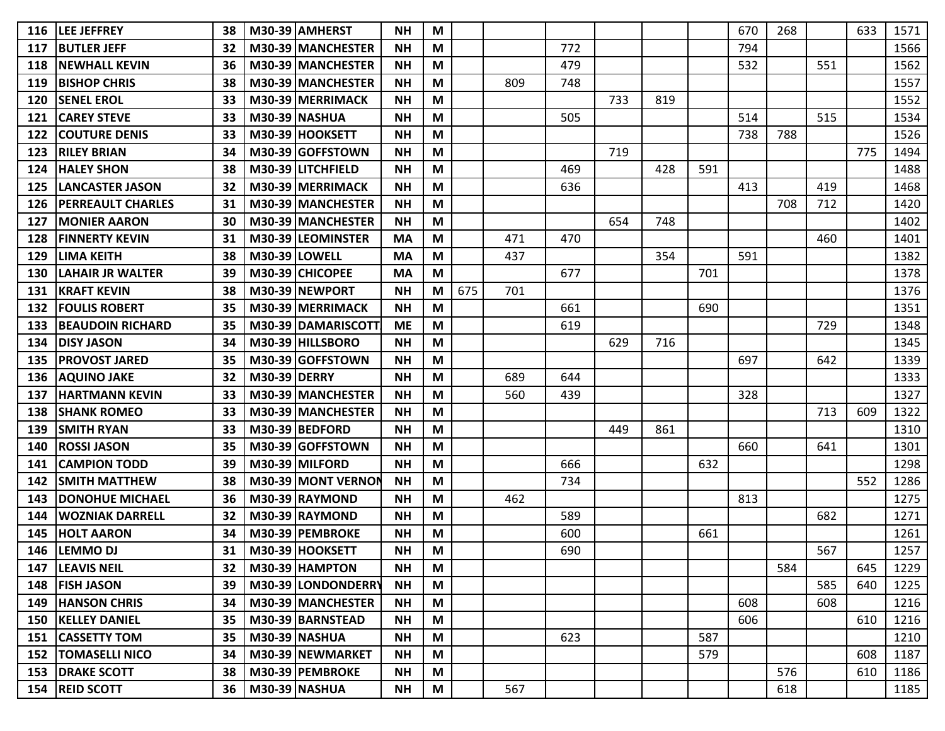| 116 | <b>LEE JEFFREY</b>          | 38 | M30-39 AMHERST       | <b>NH</b> | M                                                                                     |     |     |     |     |     |     | 670 | 268 |     | 633 | 1571 |
|-----|-----------------------------|----|----------------------|-----------|---------------------------------------------------------------------------------------|-----|-----|-----|-----|-----|-----|-----|-----|-----|-----|------|
| 117 | <b>BUTLER JEFF</b>          | 32 | M30-39 MANCHESTER    | <b>NH</b> | M                                                                                     |     |     | 772 |     |     |     | 794 |     |     |     | 1566 |
| 118 | <b>INEWHALL KEVIN</b>       | 36 | M30-39 MANCHESTER    | <b>NH</b> | M                                                                                     |     |     | 479 |     |     |     | 532 |     | 551 |     | 1562 |
| 119 | <b>BISHOP CHRIS</b>         | 38 | M30-39 MANCHESTER    | <b>NH</b> | M                                                                                     |     | 809 | 748 |     |     |     |     |     |     |     | 1557 |
| 120 | <b>SENEL EROL</b>           | 33 | M30-39 MERRIMACK     | <b>NH</b> | M                                                                                     |     |     |     | 733 | 819 |     |     |     |     |     | 1552 |
| 121 | <b>CAREY STEVE</b>          | 33 | <b>M30-39 NASHUA</b> | <b>NH</b> | M                                                                                     |     |     | 505 |     |     |     | 514 |     | 515 |     | 1534 |
| 122 | <b>COUTURE DENIS</b>        | 33 | M30-39 HOOKSETT      | <b>NH</b> | M                                                                                     |     |     |     |     |     |     | 738 | 788 |     |     | 1526 |
| 123 | <b>RILEY BRIAN</b>          | 34 | M30-39 GOFFSTOWN     | <b>NH</b> | M                                                                                     |     |     |     | 719 |     |     |     |     |     | 775 | 1494 |
| 124 | <b>HALEY SHON</b>           | 38 | M30-39 LITCHFIELD    | <b>NH</b> | M                                                                                     |     |     | 469 |     | 428 | 591 |     |     |     |     | 1488 |
| 125 | LANCASTER JASON             | 32 | M30-39 MERRIMACK     | <b>NH</b> | M                                                                                     |     |     | 636 |     |     |     | 413 |     | 419 |     | 1468 |
| 126 | <b>PERREAULT CHARLES</b>    | 31 | M30-39 MANCHESTER    | <b>NH</b> | M                                                                                     |     |     |     |     |     |     |     | 708 | 712 |     | 1420 |
| 127 | <b>MONIER AARON</b>         | 30 | M30-39 MANCHESTER    | <b>NH</b> | M                                                                                     |     |     |     | 654 | 748 |     |     |     |     |     | 1402 |
| 128 | <b>IFINNERTY KEVIN</b>      | 31 | M30-39 LEOMINSTER    | <b>MA</b> | M                                                                                     |     | 471 | 470 |     |     |     |     |     | 460 |     | 1401 |
| 129 | <b>LIMA KEITH</b>           | 38 | M30-39 LOWELL        | <b>MA</b> | M                                                                                     |     | 437 |     |     | 354 |     | 591 |     |     |     | 1382 |
| 130 | LAHAIR JR WALTER            | 39 | M30-39 CHICOPEE      | <b>MA</b> | M                                                                                     |     |     | 677 |     |     | 701 |     |     |     |     | 1378 |
| 131 | <b>KRAFT KEVIN</b>          | 38 | M30-39 NEWPORT       | <b>NH</b> | M                                                                                     | 675 | 701 |     |     |     |     |     |     |     |     | 1376 |
| 132 | <b>FOULIS ROBERT</b>        | 35 | M30-39 MERRIMACK     | <b>NH</b> | M                                                                                     |     |     | 661 |     |     | 690 |     |     |     |     | 1351 |
| 133 | <b>BEAUDOIN RICHARD</b>     | 35 | M30-39 DAMARISCOTT   | <b>ME</b> | M                                                                                     |     |     | 619 |     |     |     |     |     | 729 |     | 1348 |
| 134 | <b>DISY JASON</b>           | 34 | M30-39 HILLSBORO     | <b>NH</b> | M                                                                                     |     |     |     | 629 | 716 |     |     |     |     |     | 1345 |
| 135 | <b>PROVOST JARED</b>        | 35 | M30-39 GOFFSTOWN     | <b>NH</b> | M                                                                                     |     |     |     |     |     |     | 697 |     | 642 |     | 1339 |
| 136 | <b>AQUINO JAKE</b>          | 32 | <b>M30-39 DERRY</b>  | <b>NH</b> | M                                                                                     |     | 689 | 644 |     |     |     |     |     |     |     | 1333 |
| 137 | <b>IHARTMANN KEVIN</b>      | 33 | M30-39 MANCHESTER    | <b>NH</b> | M                                                                                     |     | 560 | 439 |     |     |     | 328 |     |     |     | 1327 |
| 138 | <b>SHANK ROMEO</b>          | 33 | M30-39 MANCHESTER    | <b>NH</b> | M                                                                                     |     |     |     |     |     |     |     |     | 713 | 609 | 1322 |
| 139 | <b>SMITH RYAN</b>           | 33 | M30-39 BEDFORD       | <b>NH</b> | M                                                                                     |     |     |     | 449 | 861 |     |     |     |     |     | 1310 |
| 140 | <b>ROSSI JASON</b>          | 35 | M30-39 GOFFSTOWN     | <b>NH</b> | M                                                                                     |     |     |     |     |     |     | 660 |     | 641 |     | 1301 |
| 141 | <b>CAMPION TODD</b>         | 39 | M30-39 MILFORD       | <b>NH</b> | M                                                                                     |     |     | 666 |     |     | 632 |     |     |     |     | 1298 |
| 142 | <b>ISMITH MATTHEW</b>       | 38 | M30-39 MONT VERNON   | <b>NH</b> | M                                                                                     |     |     | 734 |     |     |     |     |     |     | 552 | 1286 |
| 143 | <b>IDONOHUE MICHAEL</b>     | 36 | M30-39 RAYMOND       | <b>NH</b> | M                                                                                     |     | 462 |     |     |     |     | 813 |     |     |     | 1275 |
| 144 | <b>WOZNIAK DARRELL</b>      | 32 | M30-39 RAYMOND       | <b>NH</b> | M                                                                                     |     |     | 589 |     |     |     |     |     | 682 |     | 1271 |
| 145 | <b>HOLT AARON</b>           | 34 | M30-39 PEMBROKE      | <b>NH</b> | M                                                                                     |     |     | 600 |     |     | 661 |     |     |     |     | 1261 |
|     | 146 LEMMO DJ                | 31 | M30-39 HOOKSETT      | <b>NH</b> | $\mathsf{M}% _{T}=\mathsf{M}_{T}\!\left( a,b\right) ,\ \mathsf{M}_{T}=\mathsf{M}_{T}$ |     |     | 690 |     |     |     |     |     | 567 |     | 1257 |
|     | 147   LEAVIS NEIL           | 32 | M30-39 HAMPTON       | <b>NH</b> | M                                                                                     |     |     |     |     |     |     |     | 584 |     | 645 | 1229 |
|     | 148   FISH JASON            | 39 | M30-39 LONDONDERRY   | <b>NH</b> | M                                                                                     |     |     |     |     |     |     |     |     | 585 | 640 | 1225 |
|     | <b>149 HANSON CHRIS</b>     | 34 | M30-39 MANCHESTER    | <b>NH</b> | M                                                                                     |     |     |     |     |     |     | 608 |     | 608 |     | 1216 |
|     | <b>150   KELLEY DANIEL</b>  | 35 | M30-39 BARNSTEAD     | <b>NH</b> | M                                                                                     |     |     |     |     |     |     | 606 |     |     | 610 | 1216 |
|     | 151   CASSETTY TOM          | 35 | M30-39 NASHUA        | <b>NH</b> | M                                                                                     |     |     | 623 |     |     | 587 |     |     |     |     | 1210 |
|     | <b>152   TOMASELLI NICO</b> | 34 | M30-39 NEWMARKET     | <b>NH</b> | M                                                                                     |     |     |     |     |     | 579 |     |     |     | 608 | 1187 |
|     | <b>153   DRAKE SCOTT</b>    | 38 | M30-39 PEMBROKE      | <b>NH</b> | M                                                                                     |     |     |     |     |     |     |     | 576 |     | 610 | 1186 |
|     | 154 REID SCOTT              | 36 | M30-39 NASHUA        | <b>NH</b> | M                                                                                     |     | 567 |     |     |     |     |     | 618 |     |     | 1185 |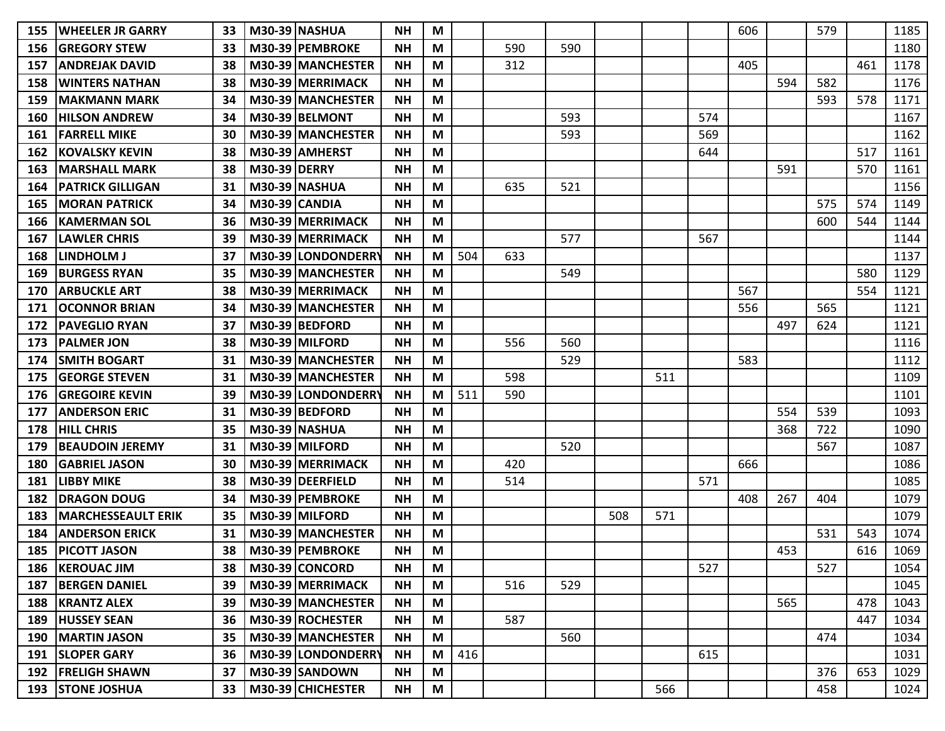| 155 | IWHEELER JR GARRY         | 33 |                     | M30-39 NASHUA        | <b>NH</b> | M |     |     |     |     |     |     | 606 |          | 579 |     | 1185 |
|-----|---------------------------|----|---------------------|----------------------|-----------|---|-----|-----|-----|-----|-----|-----|-----|----------|-----|-----|------|
| 156 | <b>IGREGORY STEW</b>      | 33 |                     | M30-39 PEMBROKE      | <b>NH</b> | M |     | 590 | 590 |     |     |     |     |          |     |     | 1180 |
| 157 | <b>ANDREJAK DAVID</b>     | 38 |                     | M30-39 MANCHESTER    | <b>NH</b> | M |     | 312 |     |     |     |     | 405 |          |     | 461 | 1178 |
| 158 | <b>WINTERS NATHAN</b>     | 38 |                     | M30-39 MERRIMACK     | <b>NH</b> | M |     |     |     |     |     |     |     | 594      | 582 |     | 1176 |
| 159 | <b>MAKMANN MARK</b>       | 34 |                     | M30-39 MANCHESTER    | <b>NH</b> | M |     |     |     |     |     |     |     |          | 593 | 578 | 1171 |
| 160 | <b>HILSON ANDREW</b>      | 34 |                     | M30-39 BELMONT       | <b>NH</b> | M |     |     | 593 |     |     | 574 |     |          |     |     | 1167 |
| 161 | <b>FARRELL MIKE</b>       | 30 |                     | M30-39 MANCHESTER    | <b>NH</b> | M |     |     | 593 |     |     | 569 |     |          |     |     | 1162 |
| 162 | <b>KOVALSKY KEVIN</b>     | 38 |                     | M30-39 AMHERST       | <b>NH</b> | M |     |     |     |     |     | 644 |     |          |     | 517 | 1161 |
| 163 | <b>IMARSHALL MARK</b>     | 38 | <b>M30-39 DERRY</b> |                      | <b>NH</b> | M |     |     |     |     |     |     |     | 591      |     | 570 | 1161 |
| 164 | <b>PATRICK GILLIGAN</b>   | 31 |                     | M30-39 NASHUA        | <b>NH</b> | M |     | 635 | 521 |     |     |     |     |          |     |     | 1156 |
| 165 | <b>MORAN PATRICK</b>      | 34 | M30-39 CANDIA       |                      | <b>NH</b> | M |     |     |     |     |     |     |     |          | 575 | 574 | 1149 |
| 166 | <b>KAMERMAN SOL</b>       | 36 |                     | M30-39 MERRIMACK     | <b>NH</b> | M |     |     |     |     |     |     |     |          | 600 | 544 | 1144 |
| 167 | <b>LAWLER CHRIS</b>       | 39 |                     | M30-39 MERRIMACK     | <b>NH</b> | M |     |     | 577 |     |     | 567 |     |          |     |     | 1144 |
| 168 | <b>LINDHOLM J</b>         | 37 |                     | M30-39 LONDONDERRY   | <b>NH</b> | M | 504 | 633 |     |     |     |     |     |          |     |     | 1137 |
| 169 | <b>BURGESS RYAN</b>       | 35 |                     | M30-39 MANCHESTER    | <b>NH</b> | M |     |     | 549 |     |     |     |     |          |     | 580 | 1129 |
| 170 | <b>ARBUCKLE ART</b>       | 38 |                     | M30-39 MERRIMACK     | <b>NH</b> | M |     |     |     |     |     |     | 567 |          |     | 554 | 1121 |
| 171 | <b>OCONNOR BRIAN</b>      | 34 |                     | M30-39 MANCHESTER    | <b>NH</b> | M |     |     |     |     |     |     | 556 |          | 565 |     | 1121 |
| 172 | <b>PAVEGLIO RYAN</b>      | 37 |                     | M30-39 BEDFORD       | <b>NH</b> | M |     |     |     |     |     |     |     | 497      | 624 |     | 1121 |
| 173 | <b>PALMER JON</b>         | 38 |                     | M30-39 MILFORD       | <b>NH</b> | M |     | 556 | 560 |     |     |     |     |          |     |     | 1116 |
| 174 | <b>SMITH BOGART</b>       | 31 |                     | M30-39 MANCHESTER    | <b>NH</b> | M |     |     | 529 |     |     |     | 583 |          |     |     | 1112 |
| 175 | <b>GEORGE STEVEN</b>      | 31 |                     | M30-39 MANCHESTER    | <b>NH</b> | M |     | 598 |     |     | 511 |     |     |          |     |     | 1109 |
| 176 | <b>GREGOIRE KEVIN</b>     | 39 |                     | M30-39 LONDONDERRY   | <b>NH</b> | M | 511 | 590 |     |     |     |     |     |          |     |     | 1101 |
| 177 | <b>ANDERSON ERIC</b>      | 31 |                     | M30-39 BEDFORD       | <b>NH</b> | M |     |     |     |     |     |     |     | 554      | 539 |     | 1093 |
| 178 | <b>HILL CHRIS</b>         | 35 |                     | <b>M30-39 NASHUA</b> | <b>NH</b> | M |     |     |     |     |     |     |     | 368      | 722 |     | 1090 |
| 179 | <b>BEAUDOIN JEREMY</b>    | 31 |                     | M30-39 MILFORD       | <b>NH</b> | M |     |     | 520 |     |     |     |     |          | 567 |     | 1087 |
| 180 | <b>GABRIEL JASON</b>      | 30 |                     | M30-39 MERRIMACK     | <b>NH</b> | M |     | 420 |     |     |     |     | 666 |          |     |     | 1086 |
| 181 | <b>LIBBY MIKE</b>         | 38 |                     | M30-39 DEERFIELD     | <b>NH</b> | M |     | 514 |     |     |     | 571 |     |          |     |     | 1085 |
| 182 | <b>DRAGON DOUG</b>        | 34 |                     | M30-39 PEMBROKE      | <b>NH</b> | M |     |     |     |     |     |     | 408 | 267      | 404 |     | 1079 |
| 183 | <b>MARCHESSEAULT ERIK</b> | 35 |                     | M30-39 MILFORD       | <b>NH</b> | M |     |     |     | 508 | 571 |     |     |          |     |     | 1079 |
| 184 | <b>ANDERSON ERICK</b>     | 31 |                     | M30-39 MANCHESTER    | <b>NH</b> | M |     |     |     |     |     |     |     |          | 531 | 543 | 1074 |
|     | 185 PICOTT JASON          | 38 |                     | M30-39 PEMBROKE      | <b>NH</b> | M |     |     |     |     |     |     |     | 153<br>╍ |     | 616 | 1069 |
|     | 186   KEROUAC JIM         | 38 |                     | M30-39 CONCORD       | <b>NH</b> | M |     |     |     |     |     | 527 |     |          | 527 |     | 1054 |
|     | 187 BERGEN DANIEL         | 39 |                     | M30-39 MERRIMACK     | <b>NH</b> | M |     | 516 | 529 |     |     |     |     |          |     |     | 1045 |
|     | 188   KRANTZ ALEX         | 39 |                     | M30-39 MANCHESTER    | <b>NH</b> | M |     |     |     |     |     |     |     | 565      |     | 478 | 1043 |
|     | 189 HUSSEY SEAN           | 36 |                     | M30-39 ROCHESTER     | <b>NH</b> | M |     | 587 |     |     |     |     |     |          |     | 447 | 1034 |
|     | 190   MARTIN JASON        | 35 |                     | M30-39 MANCHESTER    | <b>NH</b> | M |     |     | 560 |     |     |     |     |          | 474 |     | 1034 |
|     | 191   SLOPER GARY         | 36 |                     | M30-39 LONDONDERRY   | <b>NH</b> | M | 416 |     |     |     |     | 615 |     |          |     |     | 1031 |
|     | 192   FRELIGH SHAWN       | 37 |                     | M30-39 SANDOWN       | <b>NH</b> | M |     |     |     |     |     |     |     |          | 376 | 653 | 1029 |
|     | <b>193 STONE JOSHUA</b>   | 33 |                     | M30-39 CHICHESTER    | <b>NH</b> | M |     |     |     |     | 566 |     |     |          | 458 |     | 1024 |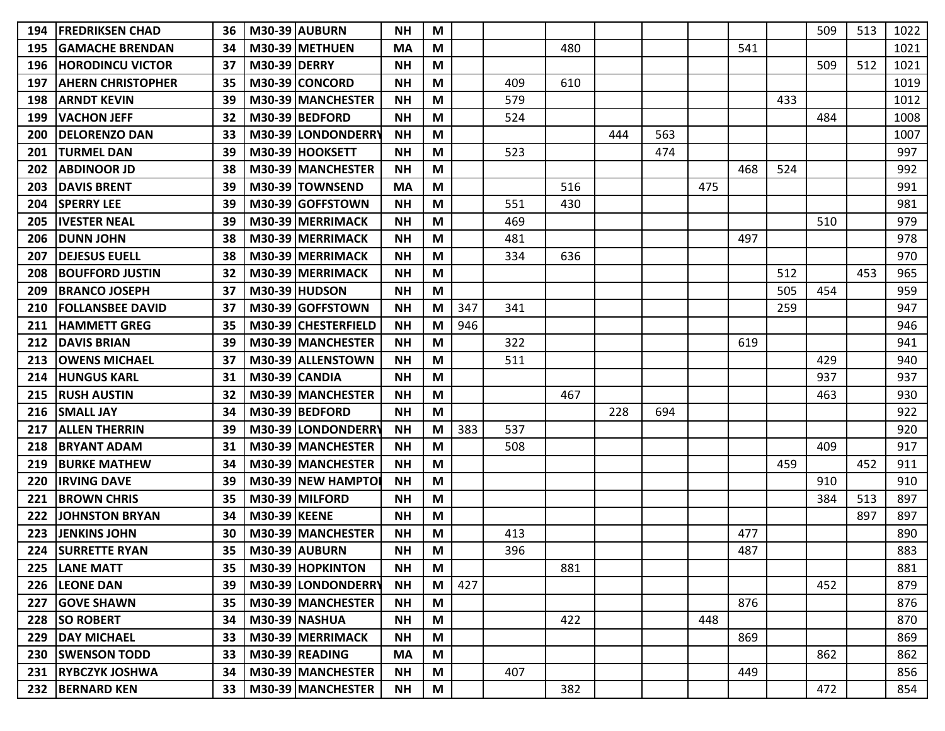| 194 | <b>IFREDRIKSEN CHAD</b>  | 36 |                     | M30-39 AUBURN        | <b>NH</b> | M |     |     |     |     |     |     |     |     | 509 | 513 | 1022 |
|-----|--------------------------|----|---------------------|----------------------|-----------|---|-----|-----|-----|-----|-----|-----|-----|-----|-----|-----|------|
| 195 | <b>GAMACHE BRENDAN</b>   | 34 |                     | M30-39 METHUEN       | <b>MA</b> | M |     |     | 480 |     |     |     | 541 |     |     |     | 1021 |
| 196 | <b>HORODINCU VICTOR</b>  | 37 | <b>M30-39 DERRY</b> |                      | <b>NH</b> | M |     |     |     |     |     |     |     |     | 509 | 512 | 1021 |
| 197 | <b>AHERN CHRISTOPHER</b> | 35 |                     | M30-39 CONCORD       | <b>NH</b> | M |     | 409 | 610 |     |     |     |     |     |     |     | 1019 |
| 198 | <b>ARNDT KEVIN</b>       | 39 |                     | M30-39 MANCHESTER    | <b>NH</b> | M |     | 579 |     |     |     |     |     | 433 |     |     | 1012 |
| 199 | <b>VACHON JEFF</b>       | 32 |                     | M30-39 BEDFORD       | <b>NH</b> | M |     | 524 |     |     |     |     |     |     | 484 |     | 1008 |
| 200 | <b>DELORENZO DAN</b>     | 33 |                     | M30-39 LONDONDERRY   | <b>NH</b> | M |     |     |     | 444 | 563 |     |     |     |     |     | 1007 |
| 201 | <b>TURMEL DAN</b>        | 39 |                     | M30-39 HOOKSETT      | <b>NH</b> | M |     | 523 |     |     | 474 |     |     |     |     |     | 997  |
| 202 | <b>ABDINOOR JD</b>       | 38 |                     | M30-39 MANCHESTER    | <b>NH</b> | M |     |     |     |     |     |     | 468 | 524 |     |     | 992  |
| 203 | <b>DAVIS BRENT</b>       | 39 |                     | M30-39 TOWNSEND      | <b>MA</b> | M |     |     | 516 |     |     | 475 |     |     |     |     | 991  |
| 204 | <b>SPERRY LEE</b>        | 39 |                     | M30-39 GOFFSTOWN     | <b>NH</b> | M |     | 551 | 430 |     |     |     |     |     |     |     | 981  |
| 205 | <b>IVESTER NEAL</b>      | 39 |                     | M30-39 MERRIMACK     | <b>NH</b> | M |     | 469 |     |     |     |     |     |     | 510 |     | 979  |
| 206 | <b>DUNN JOHN</b>         | 38 |                     | M30-39 MERRIMACK     | <b>NH</b> | M |     | 481 |     |     |     |     | 497 |     |     |     | 978  |
| 207 | <b>DEJESUS EUELL</b>     | 38 |                     | M30-39 MERRIMACK     | <b>NH</b> | M |     | 334 | 636 |     |     |     |     |     |     |     | 970  |
| 208 | <b>BOUFFORD JUSTIN</b>   | 32 |                     | M30-39 MERRIMACK     | NΗ        | M |     |     |     |     |     |     |     | 512 |     | 453 | 965  |
| 209 | <b>BRANCO JOSEPH</b>     | 37 |                     | <b>M30-39 HUDSON</b> | <b>NH</b> | M |     |     |     |     |     |     |     | 505 | 454 |     | 959  |
| 210 | <b>FOLLANSBEE DAVID</b>  | 37 |                     | M30-39 GOFFSTOWN     | <b>NH</b> | M | 347 | 341 |     |     |     |     |     | 259 |     |     | 947  |
| 211 | <b>HAMMETT GREG</b>      | 35 |                     | M30-39 CHESTERFIELD  | <b>NH</b> | M | 946 |     |     |     |     |     |     |     |     |     | 946  |
| 212 | <b>DAVIS BRIAN</b>       | 39 |                     | M30-39 MANCHESTER    | <b>NH</b> | M |     | 322 |     |     |     |     | 619 |     |     |     | 941  |
| 213 | <b>OWENS MICHAEL</b>     | 37 |                     | M30-39 ALLENSTOWN    | <b>NH</b> | M |     | 511 |     |     |     |     |     |     | 429 |     | 940  |
| 214 | <b>HUNGUS KARL</b>       | 31 |                     | M30-39 CANDIA        | <b>NH</b> | M |     |     |     |     |     |     |     |     | 937 |     | 937  |
| 215 | <b>IRUSH AUSTIN</b>      | 32 |                     | M30-39 MANCHESTER    | <b>NH</b> | M |     |     | 467 |     |     |     |     |     | 463 |     | 930  |
| 216 | <b>SMALL JAY</b>         | 34 |                     | M30-39 BEDFORD       | <b>NH</b> | M |     |     |     | 228 | 694 |     |     |     |     |     | 922  |
| 217 | <b>ALLEN THERRIN</b>     | 39 |                     | M30-39 LONDONDERRY   | <b>NH</b> | M | 383 | 537 |     |     |     |     |     |     |     |     | 920  |
| 218 | <b>BRYANT ADAM</b>       | 31 |                     | M30-39 MANCHESTER    | <b>NH</b> | M |     | 508 |     |     |     |     |     |     | 409 |     | 917  |
| 219 | <b>BURKE MATHEW</b>      | 34 |                     | M30-39 MANCHESTER    | <b>NH</b> | M |     |     |     |     |     |     |     | 459 |     | 452 | 911  |
| 220 | <b>IIRVING DAVE</b>      | 39 |                     | M30-39 NEW HAMPTO    | <b>NH</b> | M |     |     |     |     |     |     |     |     | 910 |     | 910  |
| 221 | <b>BROWN CHRIS</b>       | 35 |                     | M30-39 MILFORD       | <b>NH</b> | M |     |     |     |     |     |     |     |     | 384 | 513 | 897  |
| 222 | <b>JOHNSTON BRYAN</b>    | 34 | <b>M30-39 KEENE</b> |                      | <b>NH</b> | M |     |     |     |     |     |     |     |     |     | 897 | 897  |
| 223 | <b>JENKINS JOHN</b>      | 30 |                     | M30-39 MANCHESTER    | <b>NH</b> | M |     | 413 |     |     |     |     | 477 |     |     |     | 890  |
| 224 | <b>SURRETTE RYAN</b>     | 35 |                     | <b>M30-39 AUBURN</b> | <b>NH</b> | M |     | 396 |     |     |     |     | 487 |     |     |     | 883  |
|     | 225   LANE MATT          | 35 |                     | M30-39 HOPKINTON     | <b>NH</b> | M |     |     | 881 |     |     |     |     |     |     |     | 881  |
|     | 226 LEONE DAN            | 39 |                     | M30-39 LONDONDERRY   | <b>NH</b> | M | 427 |     |     |     |     |     |     |     | 452 |     | 879  |
| 227 | <b>GOVE SHAWN</b>        | 35 |                     | M30-39 MANCHESTER    | <b>NH</b> | M |     |     |     |     |     |     | 876 |     |     |     | 876  |
| 228 | <b>SO ROBERT</b>         | 34 |                     | <b>M30-39 NASHUA</b> | <b>NH</b> | M |     |     | 422 |     |     | 448 |     |     |     |     | 870  |
|     | 229   DAY MICHAEL        | 33 |                     | M30-39 MERRIMACK     | <b>NH</b> | M |     |     |     |     |     |     | 869 |     |     |     | 869  |
|     | 230   SWENSON TODD       | 33 |                     | M30-39 READING       | <b>MA</b> | M |     |     |     |     |     |     |     |     | 862 |     | 862  |
|     | 231 RYBCZYK JOSHWA       | 34 |                     | M30-39 MANCHESTER    | <b>NH</b> | M |     | 407 |     |     |     |     | 449 |     |     |     | 856  |
|     | 232 BERNARD KEN          | 33 |                     | M30-39 MANCHESTER    | <b>NH</b> | M |     |     | 382 |     |     |     |     |     | 472 |     | 854  |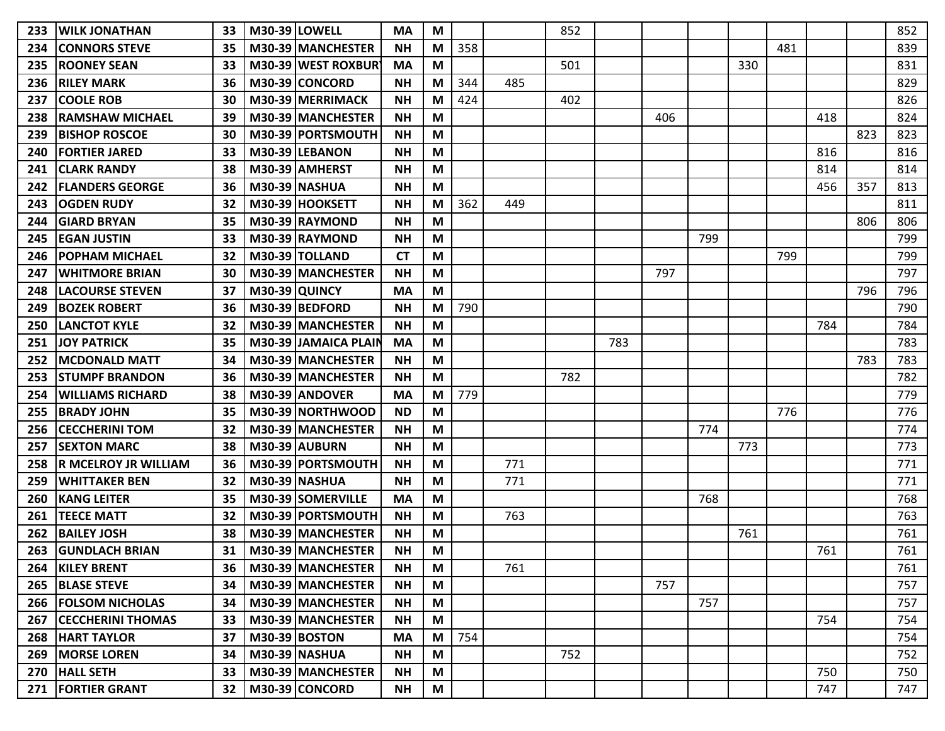| 233 | <b>WILK JONATHAN</b>        | 33 | <b>M30-39 LOWELL</b> |                          | MA        | M                         |     |     | 852 |     |     |     |     |     |     |     | 852 |
|-----|-----------------------------|----|----------------------|--------------------------|-----------|---------------------------|-----|-----|-----|-----|-----|-----|-----|-----|-----|-----|-----|
| 234 | <b>CONNORS STEVE</b>        | 35 |                      | M30-39 MANCHESTER        | <b>NH</b> | М                         | 358 |     |     |     |     |     |     | 481 |     |     | 839 |
| 235 | <b>ROONEY SEAN</b>          | 33 |                      | M30-39 WEST ROXBURY      | <b>MA</b> | M                         |     |     | 501 |     |     |     | 330 |     |     |     | 831 |
| 236 | <b>RILEY MARK</b>           | 36 |                      | M30-39 CONCORD           | <b>NH</b> | М                         | 344 | 485 |     |     |     |     |     |     |     |     | 829 |
| 237 | <b>COOLE ROB</b>            | 30 |                      | M30-39 MERRIMACK         | <b>NH</b> | M                         | 424 |     | 402 |     |     |     |     |     |     |     | 826 |
| 238 | <b>RAMSHAW MICHAEL</b>      | 39 |                      | M30-39 MANCHESTER        | <b>NH</b> | M                         |     |     |     |     | 406 |     |     |     | 418 |     | 824 |
| 239 | <b>BISHOP ROSCOE</b>        | 30 |                      | M30-39 PORTSMOUTH        | <b>NH</b> | M                         |     |     |     |     |     |     |     |     |     | 823 | 823 |
| 240 | <b>FORTIER JARED</b>        | 33 |                      | M30-39 LEBANON           | <b>NH</b> | M                         |     |     |     |     |     |     |     |     | 816 |     | 816 |
| 241 | <b>CLARK RANDY</b>          | 38 |                      | M30-39 AMHERST           | <b>NH</b> | M                         |     |     |     |     |     |     |     |     | 814 |     | 814 |
| 242 | <b>FLANDERS GEORGE</b>      | 36 |                      | M30-39 NASHUA            | <b>NH</b> | M                         |     |     |     |     |     |     |     |     | 456 | 357 | 813 |
| 243 | <b>OGDEN RUDY</b>           | 32 |                      | M30-39 HOOKSETT          | <b>NH</b> | М                         | 362 | 449 |     |     |     |     |     |     |     |     | 811 |
| 244 | <b>GIARD BRYAN</b>          | 35 |                      | M30-39 RAYMOND           | <b>NH</b> | M                         |     |     |     |     |     |     |     |     |     | 806 | 806 |
| 245 | <b>IEGAN JUSTIN</b>         | 33 |                      | M30-39 RAYMOND           | <b>NH</b> | M                         |     |     |     |     |     | 799 |     |     |     |     | 799 |
| 246 | <b>POPHAM MICHAEL</b>       | 32 |                      | M30-39 TOLLAND           | <b>CT</b> | M                         |     |     |     |     |     |     |     | 799 |     |     | 799 |
| 247 | <b>IWHITMORE BRIAN</b>      | 30 |                      | M30-39 MANCHESTER        | <b>NH</b> | M                         |     |     |     |     | 797 |     |     |     |     |     | 797 |
| 248 | <b>LACOURSE STEVEN</b>      | 37 | <b>M30-39 QUINCY</b> |                          | <b>MA</b> | М                         |     |     |     |     |     |     |     |     |     | 796 | 796 |
| 249 | <b>BOZEK ROBERT</b>         | 36 |                      | M30-39 BEDFORD           | <b>NH</b> | M                         | 790 |     |     |     |     |     |     |     |     |     | 790 |
| 250 | <b>LANCTOT KYLE</b>         | 32 |                      | M30-39 MANCHESTER        | <b>NH</b> | M                         |     |     |     |     |     |     |     |     | 784 |     | 784 |
| 251 | <b>JOY PATRICK</b>          | 35 |                      | M30-39 JAMAICA PLAII     | <b>MA</b> | M                         |     |     |     | 783 |     |     |     |     |     |     | 783 |
| 252 | <b>IMCDONALD MATT</b>       | 34 |                      | M30-39 MANCHESTER        | <b>NH</b> | M                         |     |     |     |     |     |     |     |     |     | 783 | 783 |
| 253 | <b>STUMPF BRANDON</b>       | 36 |                      | M30-39 MANCHESTER        | <b>NH</b> | M                         |     |     | 782 |     |     |     |     |     |     |     | 782 |
| 254 | <b>WILLIAMS RICHARD</b>     | 38 |                      | M30-39 ANDOVER           | <b>MA</b> | M                         | 779 |     |     |     |     |     |     |     |     |     | 779 |
| 255 | <b>BRADY JOHN</b>           | 35 |                      | M30-39 NORTHWOOD         | <b>ND</b> | M                         |     |     |     |     |     |     |     | 776 |     |     | 776 |
| 256 | <b>CECCHERINI TOM</b>       | 32 |                      | M30-39 MANCHESTER        | <b>NH</b> | M                         |     |     |     |     |     | 774 |     |     |     |     | 774 |
| 257 | <b>SEXTON MARC</b>          | 38 |                      | M30-39 AUBURN            | <b>NH</b> | M                         |     |     |     |     |     |     | 773 |     |     |     | 773 |
| 258 | <b>R MCELROY JR WILLIAM</b> | 36 |                      | M30-39 PORTSMOUTH        | <b>NH</b> | M                         |     | 771 |     |     |     |     |     |     |     |     | 771 |
| 259 | <b>WHITTAKER BEN</b>        | 32 |                      | M30-39 NASHUA            | <b>NH</b> | M                         |     | 771 |     |     |     |     |     |     |     |     | 771 |
| 260 | <b>IKANG LEITER</b>         | 35 |                      | M30-39 SOMERVILLE        | <b>MA</b> | М                         |     |     |     |     |     | 768 |     |     |     |     | 768 |
| 261 | <b>TEECE MATT</b>           | 32 |                      | M30-39 PORTSMOUTH        | <b>NH</b> | M                         |     | 763 |     |     |     |     |     |     |     |     | 763 |
| 262 | <b>BAILEY JOSH</b>          | 38 |                      | M30-39 MANCHESTER        | <b>NH</b> | M                         |     |     |     |     |     |     | 761 |     |     |     | 761 |
|     | 263 GUNDLACH BRIAN          |    |                      | 31   M30-39   MANCHESTER | <b>NH</b> | $\boldsymbol{\mathsf{M}}$ |     |     |     |     |     |     |     |     | 761 |     | 761 |
|     | 264 KILEY BRENT             |    |                      | 36   M30-39   MANCHESTER | <b>NH</b> | M                         |     | 761 |     |     |     |     |     |     |     |     | 761 |
|     | 265 BLASE STEVE             | 34 |                      | M30-39 MANCHESTER        | <b>NH</b> | M                         |     |     |     |     | 757 |     |     |     |     |     | 757 |
|     | 266   FOLSOM NICHOLAS       | 34 |                      | M30-39 MANCHESTER        | <b>NH</b> | M                         |     |     |     |     |     | 757 |     |     |     |     | 757 |
|     | 267   CECCHERINI THOMAS     | 33 |                      | M30-39 MANCHESTER        | <b>NH</b> | M                         |     |     |     |     |     |     |     |     | 754 |     | 754 |
|     | 268 HART TAYLOR             | 37 |                      | <b>M30-39 BOSTON</b>     | <b>MA</b> | M                         | 754 |     |     |     |     |     |     |     |     |     | 754 |
|     | 269   MORSE LOREN           | 34 |                      | <b>M30-39 NASHUA</b>     | <b>NH</b> | M                         |     |     | 752 |     |     |     |     |     |     |     | 752 |
|     | 270 HALL SETH               | 33 |                      | M30-39 MANCHESTER        | <b>NH</b> | M                         |     |     |     |     |     |     |     |     | 750 |     | 750 |
|     | 271   FORTIER GRANT         | 32 |                      | M30-39 CONCORD           | <b>NH</b> | M                         |     |     |     |     |     |     |     |     | 747 |     | 747 |
|     |                             |    |                      |                          |           |                           |     |     |     |     |     |     |     |     |     |     |     |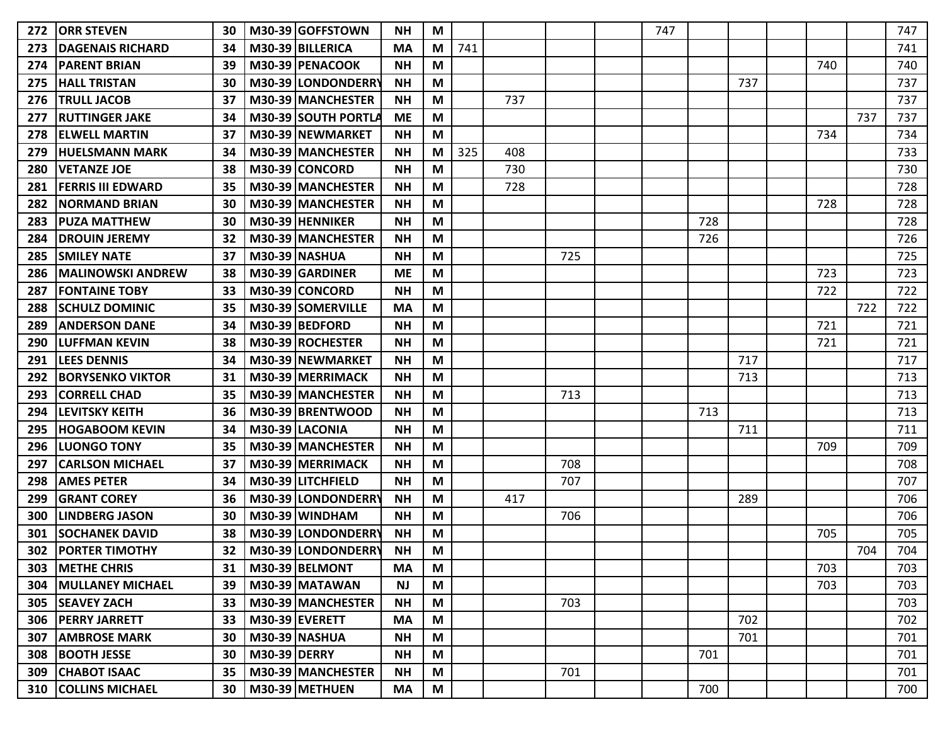| 272 | <b>ORR STEVEN</b>             | 30 |                     | M30-39 GOFFSTOWN     | <b>NH</b> | М |     |     |     | 747 |     |     |     |     | 747 |
|-----|-------------------------------|----|---------------------|----------------------|-----------|---|-----|-----|-----|-----|-----|-----|-----|-----|-----|
| 273 | <b>DAGENAIS RICHARD</b>       | 34 |                     | M30-39 BILLERICA     | <b>MA</b> | М | 741 |     |     |     |     |     |     |     | 741 |
| 274 | <b>PARENT BRIAN</b>           | 39 |                     | M30-39 PENACOOK      | <b>NH</b> | M |     |     |     |     |     |     | 740 |     | 740 |
| 275 | <b>HALL TRISTAN</b>           | 30 |                     | M30-39 LONDONDERRY   | <b>NH</b> | M |     |     |     |     |     | 737 |     |     | 737 |
| 276 | <b>TRULL JACOB</b>            | 37 |                     | M30-39 MANCHESTER    | <b>NH</b> | M |     | 737 |     |     |     |     |     |     | 737 |
| 277 | <b>RUTTINGER JAKE</b>         | 34 |                     | M30-39 SOUTH PORTLA  | <b>ME</b> | M |     |     |     |     |     |     |     | 737 | 737 |
| 278 | <b>ELWELL MARTIN</b>          | 37 |                     | M30-39 NEWMARKET     | <b>NH</b> | M |     |     |     |     |     |     | 734 |     | 734 |
| 279 | <b>HUELSMANN MARK</b>         | 34 |                     | M30-39 MANCHESTER    | <b>NH</b> | M | 325 | 408 |     |     |     |     |     |     | 733 |
| 280 | <b>IVETANZE JOE</b>           | 38 |                     | M30-39 CONCORD       | NΗ        | M |     | 730 |     |     |     |     |     |     | 730 |
| 281 | <b>FERRIS III EDWARD</b>      | 35 |                     | M30-39 MANCHESTER    | <b>NH</b> | M |     | 728 |     |     |     |     |     |     | 728 |
| 282 | <b>NORMAND BRIAN</b>          | 30 |                     | M30-39 MANCHESTER    | <b>NH</b> | M |     |     |     |     |     |     | 728 |     | 728 |
| 283 | <b>PUZA MATTHEW</b>           | 30 |                     | M30-39 HENNIKER      | <b>NH</b> | M |     |     |     |     | 728 |     |     |     | 728 |
| 284 | <b>DROUIN JEREMY</b>          | 32 |                     | M30-39 MANCHESTER    | <b>NH</b> | M |     |     |     |     | 726 |     |     |     | 726 |
| 285 | <b>SMILEY NATE</b>            | 37 |                     | M30-39 NASHUA        | <b>NH</b> | M |     |     | 725 |     |     |     |     |     | 725 |
| 286 | <b>MALINOWSKI ANDREW</b>      | 38 |                     | M30-39 GARDINER      | <b>ME</b> | M |     |     |     |     |     |     | 723 |     | 723 |
| 287 | <b>IFONTAINE TOBY</b>         | 33 |                     | M30-39 CONCORD       | <b>NH</b> | M |     |     |     |     |     |     | 722 |     | 722 |
| 288 | <b>SCHULZ DOMINIC</b>         | 35 |                     | M30-39 SOMERVILLE    | <b>MA</b> | M |     |     |     |     |     |     |     | 722 | 722 |
| 289 | <b>ANDERSON DANE</b>          | 34 |                     | M30-39 BEDFORD       | <b>NH</b> | M |     |     |     |     |     |     | 721 |     | 721 |
| 290 | llUFFMAN KEVIN                | 38 |                     | M30-39 ROCHESTER     | <b>NH</b> | M |     |     |     |     |     |     | 721 |     | 721 |
| 291 | <b>ILEES DENNIS</b>           | 34 |                     | M30-39 NEWMARKET     | <b>NH</b> | M |     |     |     |     |     | 717 |     |     | 717 |
| 292 | IBORYSENKO VIKTOR             | 31 |                     | M30-39 MERRIMACK     | <b>NH</b> | M |     |     |     |     |     | 713 |     |     | 713 |
| 293 | CORRELL CHAD                  | 35 |                     | M30-39 IMANCHESTER   | <b>NH</b> | M |     |     | 713 |     |     |     |     |     | 713 |
| 294 | LEVITSKY KEITH                | 36 |                     | M30-39 BRENTWOOD     | <b>NH</b> | M |     |     |     |     | 713 |     |     |     | 713 |
| 295 | <b>HOGABOOM KEVIN</b>         | 34 |                     | M30-39 LACONIA       | <b>NH</b> | M |     |     |     |     |     | 711 |     |     | 711 |
| 296 | <b>ILUONGO TONY</b>           | 35 |                     | M30-39 MANCHESTER    | <b>NH</b> | M |     |     |     |     |     |     | 709 |     | 709 |
| 297 | <b>CARLSON MICHAEL</b>        | 37 |                     | M30-39 MERRIMACK     | <b>NH</b> | M |     |     | 708 |     |     |     |     |     | 708 |
| 298 | <b>AMES PETER</b>             | 34 |                     | M30-39 LITCHFIELD    | <b>NH</b> | M |     |     | 707 |     |     |     |     |     | 707 |
| 299 | <b>IGRANT COREY</b>           | 36 |                     | M30-39 LONDONDERRY   | <b>NH</b> | M |     | 417 |     |     |     | 289 |     |     | 706 |
| 300 | <b>LINDBERG JASON</b>         | 30 |                     | M30-39 WINDHAM       | <b>NH</b> | M |     |     | 706 |     |     |     |     |     | 706 |
| 301 | <b>SOCHANEK DAVID</b>         | 38 |                     | M30-39 LONDONDERRY   | <b>NH</b> | M |     |     |     |     |     |     | 705 |     | 705 |
|     | 302   PORTER TIMOTHY          | 32 |                     | M30-39 LONDONDERRY   | <b>NH</b> | M |     |     |     |     |     |     |     | 704 | 704 |
|     | <b>303   METHE CHRIS</b>      | 31 |                     | M30-39 BELMONT       | <b>MA</b> | M |     |     |     |     |     |     | 703 |     | 703 |
|     | <b>304   MULLANEY MICHAEL</b> | 39 |                     | M30-39 MATAWAN       | <b>NJ</b> | M |     |     |     |     |     |     | 703 |     | 703 |
|     | 305 SEAVEY ZACH               | 33 |                     | M30-39 MANCHESTER    | <b>NH</b> | M |     |     | 703 |     |     |     |     |     | 703 |
|     | <b>306   PERRY JARRETT</b>    | 33 |                     | M30-39 EVERETT       | <b>MA</b> | M |     |     |     |     |     | 702 |     |     | 702 |
|     | <b>307   AMBROSE MARK</b>     | 30 |                     | <b>M30-39 NASHUA</b> | <b>NH</b> | M |     |     |     |     |     | 701 |     |     | 701 |
|     | 308   BOOTH JESSE             | 30 | <b>M30-39 DERRY</b> |                      | <b>NH</b> | M |     |     |     |     | 701 |     |     |     | 701 |
|     | 309 CHABOT ISAAC              | 35 |                     | M30-39 MANCHESTER    | <b>NH</b> | M |     |     | 701 |     |     |     |     |     | 701 |
|     | <b>310 COLLINS MICHAEL</b>    | 30 |                     | M30-39 METHUEN       | <b>MA</b> | M |     |     |     |     | 700 |     |     |     | 700 |
|     |                               |    |                     |                      |           |   |     |     |     |     |     |     |     |     |     |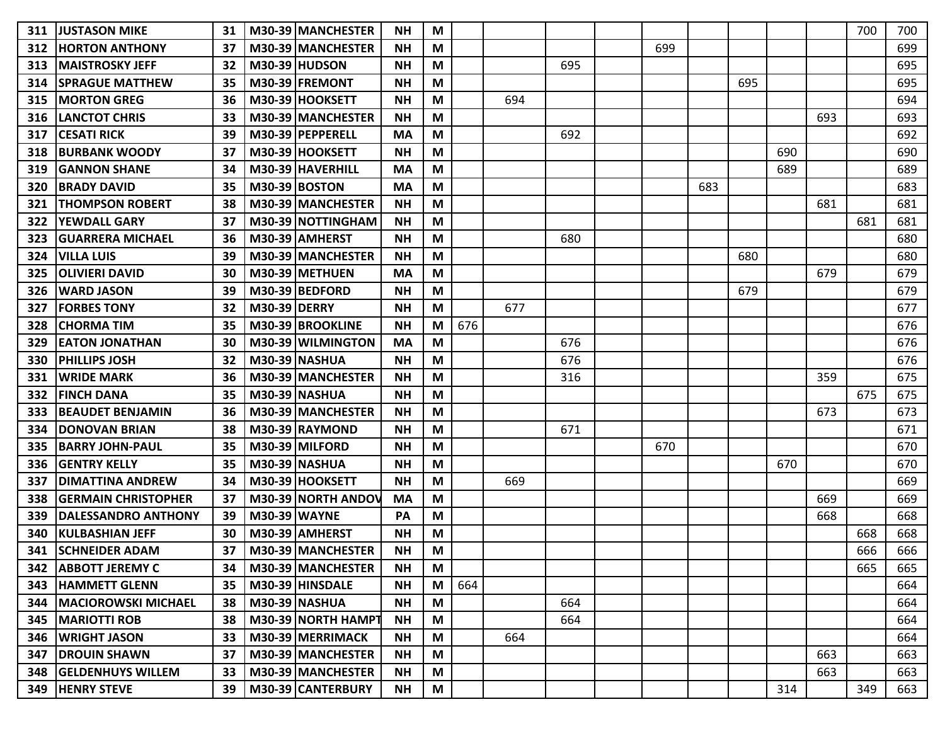| 311 | <b>JUSTASON MIKE</b>             | 31 | M30-39 MANCHESTER    | <b>NH</b> | M |     |     |     |     |     |     |     |     | 700 | 700 |
|-----|----------------------------------|----|----------------------|-----------|---|-----|-----|-----|-----|-----|-----|-----|-----|-----|-----|
| 312 | <b>IHORTON ANTHONY</b>           | 37 | M30-39 MANCHESTER    | <b>NH</b> | M |     |     |     | 699 |     |     |     |     |     | 699 |
| 313 | <b>MAISTROSKY JEFF</b>           | 32 | M30-39 HUDSON        | <b>NH</b> | M |     |     | 695 |     |     |     |     |     |     | 695 |
| 314 | <b>ISPRAGUE MATTHEW</b>          | 35 | M30-39 FREMONT       | <b>NH</b> | M |     |     |     |     |     | 695 |     |     |     | 695 |
| 315 | <b>MORTON GREG</b>               | 36 | M30-39 HOOKSETT      | <b>NH</b> | M |     | 694 |     |     |     |     |     |     |     | 694 |
| 316 | <b>LANCTOT CHRIS</b>             | 33 | M30-39 MANCHESTER    | <b>NH</b> | M |     |     |     |     |     |     |     | 693 |     | 693 |
| 317 | <b>CESATI RICK</b>               | 39 | M30-39 PEPPERELL     | <b>MA</b> | M |     |     | 692 |     |     |     |     |     |     | 692 |
| 318 | <b>BURBANK WOODY</b>             | 37 | M30-39 HOOKSETT      | <b>NH</b> | M |     |     |     |     |     |     | 690 |     |     | 690 |
| 319 | <b>IGANNON SHANE</b>             | 34 | M30-39 HAVERHILL     | <b>MA</b> | M |     |     |     |     |     |     | 689 |     |     | 689 |
| 320 | <b>BRADY DAVID</b>               | 35 | <b>M30-39 BOSTON</b> | <b>MA</b> | M |     |     |     |     | 683 |     |     |     |     | 683 |
| 321 | <b>THOMPSON ROBERT</b>           | 38 | M30-39 MANCHESTER    | <b>NH</b> | M |     |     |     |     |     |     |     | 681 |     | 681 |
| 322 | <b>YEWDALL GARY</b>              | 37 | M30-39 NOTTINGHAM    | <b>NH</b> | M |     |     |     |     |     |     |     |     | 681 | 681 |
| 323 | <b>GUARRERA MICHAEL</b>          | 36 | M30-39 AMHERST       | <b>NH</b> | M |     |     | 680 |     |     |     |     |     |     | 680 |
| 324 | <b>VILLA LUIS</b>                | 39 | M30-39 MANCHESTER    | <b>NH</b> | M |     |     |     |     |     | 680 |     |     |     | 680 |
| 325 | <b>IOLIVIERI DAVID</b>           | 30 | M30-39 METHUEN       | <b>MA</b> | M |     |     |     |     |     |     |     | 679 |     | 679 |
| 326 | <b>WARD JASON</b>                | 39 | M30-39 BEDFORD       | <b>NH</b> | M |     |     |     |     |     | 679 |     |     |     | 679 |
| 327 | <b>FORBES TONY</b>               | 32 | <b>M30-39 DERRY</b>  | <b>NH</b> | M |     | 677 |     |     |     |     |     |     |     | 677 |
| 328 | <b>CHORMA TIM</b>                | 35 | M30-39 BROOKLINE     | <b>NH</b> | M | 676 |     |     |     |     |     |     |     |     | 676 |
| 329 | <b>EATON JONATHAN</b>            | 30 | M30-39 WILMINGTON    | <b>MA</b> | M |     |     | 676 |     |     |     |     |     |     | 676 |
| 330 | <b>PHILLIPS JOSH</b>             | 32 | M30-39 NASHUA        | <b>NH</b> | M |     |     | 676 |     |     |     |     |     |     | 676 |
| 331 | <b>IWRIDE MARK</b>               | 36 | M30-39 MANCHESTER    | <b>NH</b> | M |     |     | 316 |     |     |     |     | 359 |     | 675 |
| 332 | <b>IFINCH DANA</b>               | 35 | M30-39 NASHUA        | <b>NH</b> | M |     |     |     |     |     |     |     |     | 675 | 675 |
| 333 | <b>BEAUDET BENJAMIN</b>          | 36 | M30-39 MANCHESTER    | <b>NH</b> | M |     |     |     |     |     |     |     | 673 |     | 673 |
| 334 | <b>DONOVAN BRIAN</b>             | 38 | M30-39 RAYMOND       | <b>NH</b> | M |     |     | 671 |     |     |     |     |     |     | 671 |
| 335 | <b>BARRY JOHN-PAUL</b>           | 35 | M30-39 MILFORD       | <b>NH</b> | M |     |     |     | 670 |     |     |     |     |     | 670 |
| 336 | <b>GENTRY KELLY</b>              | 35 | M30-39 NASHUA        | <b>NH</b> | M |     |     |     |     |     |     | 670 |     |     | 670 |
| 337 | <b>DIMATTINA ANDREW</b>          | 34 | M30-39 HOOKSETT      | <b>NH</b> | M |     | 669 |     |     |     |     |     |     |     | 669 |
| 338 | <b>IGERMAIN CHRISTOPHER</b>      | 37 | M30-39 NORTH ANDOV   | <b>MA</b> | M |     |     |     |     |     |     |     | 669 |     | 669 |
| 339 | <b>DALESSANDRO ANTHONY</b>       | 39 | <b>M30-39 WAYNE</b>  | PA        | M |     |     |     |     |     |     |     | 668 |     | 668 |
| 340 | <b>KULBASHIAN JEFF</b>           | 30 | M30-39 AMHERST       | <b>NH</b> | M |     |     |     |     |     |     |     |     | 668 | 668 |
|     | 341 SCHNEIDER ADAM               | 37 | M30-39 MANCHESTER    | <b>NH</b> | M |     |     |     |     |     |     |     |     | 666 | 666 |
|     | 342   ABBOTT JEREMY C            | 34 | M30-39 MANCHESTER    | <b>NH</b> | M |     |     |     |     |     |     |     |     | 665 | 665 |
|     | 343  HAMMETT GLENN               | 35 | M30-39 HINSDALE      | <b>NH</b> | M | 664 |     |     |     |     |     |     |     |     | 664 |
|     | <b>344   MACIOROWSKI MICHAEL</b> | 38 | M30-39 NASHUA        | <b>NH</b> | M |     |     | 664 |     |     |     |     |     |     | 664 |
|     | <b>345   MARIOTTI ROB</b>        | 38 | M30-39 NORTH HAMPT   | <b>NH</b> | M |     |     | 664 |     |     |     |     |     |     | 664 |
|     | 346   WRIGHT JASON               | 33 | M30-39 MERRIMACK     | <b>NH</b> | M |     | 664 |     |     |     |     |     |     |     | 664 |
|     | <b>347   DROUIN SHAWN</b>        | 37 | M30-39 MANCHESTER    | <b>NH</b> | M |     |     |     |     |     |     |     | 663 |     | 663 |
|     | 348 GELDENHUYS WILLEM            | 33 | M30-39 MANCHESTER    | <b>NH</b> | M |     |     |     |     |     |     |     | 663 |     | 663 |
|     | <b>349 HENRY STEVE</b>           | 39 | M30-39 CANTERBURY    | <b>NH</b> | M |     |     |     |     |     |     | 314 |     | 349 | 663 |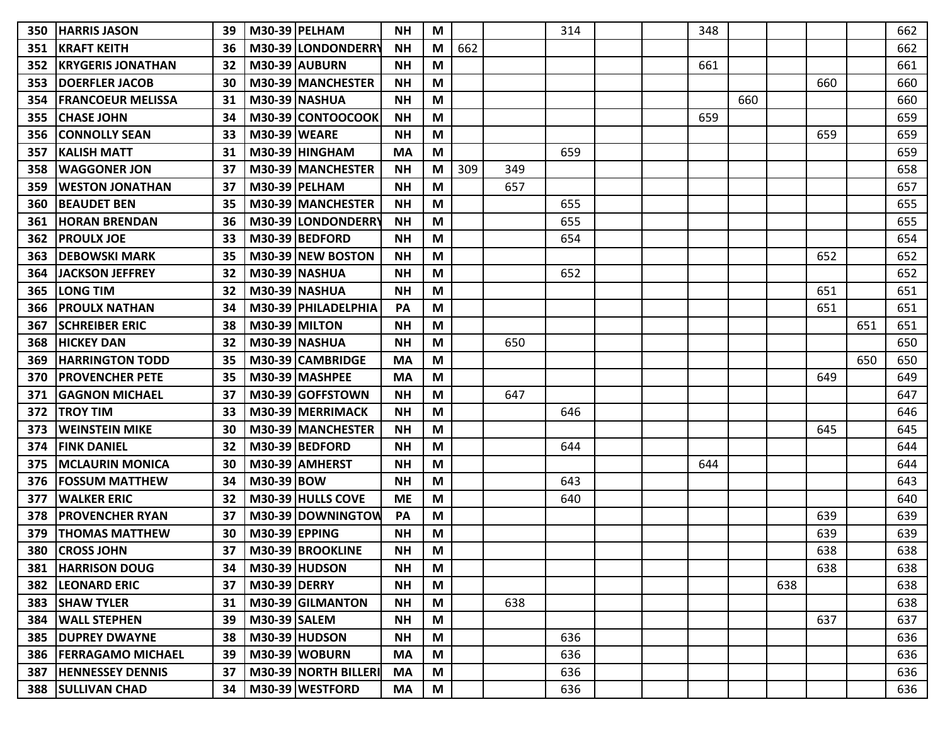| 350 | <b>HARRIS JASON</b>          | 39              |                     | M30-39 PELHAM         | <b>NH</b> | M |     |     | 314 |  | 348 |     |     |     |     | 662 |
|-----|------------------------------|-----------------|---------------------|-----------------------|-----------|---|-----|-----|-----|--|-----|-----|-----|-----|-----|-----|
| 351 | <b>KRAFT KEITH</b>           | 36              |                     | M30-39 LONDONDERR     | <b>NH</b> | M | 662 |     |     |  |     |     |     |     |     | 662 |
| 352 | <b>IKRYGERIS JONATHAN</b>    | 32              |                     | M30-39 AUBURN         | <b>NH</b> | М |     |     |     |  | 661 |     |     |     |     | 661 |
| 353 | <b>IDOERFLER JACOB</b>       | 30              |                     | M30-39 MANCHESTER     | <b>NH</b> | M |     |     |     |  |     |     |     | 660 |     | 660 |
| 354 | <b>IFRANCOEUR MELISSA</b>    | 31              |                     | <b>M30-39 NASHUA</b>  | <b>NH</b> | M |     |     |     |  |     | 660 |     |     |     | 660 |
| 355 | <b>ICHASE JOHN</b>           | 34              |                     | M30-39 CONTOOCOOK     | <b>NH</b> | M |     |     |     |  | 659 |     |     |     |     | 659 |
| 356 | <b>ICONNOLLY SEAN</b>        | 33              | <b>M30-39 WEARE</b> |                       | <b>NH</b> | M |     |     |     |  |     |     |     | 659 |     | 659 |
| 357 | <b>KALISH MATT</b>           | 31              |                     | M30-39 HINGHAM        | <b>MA</b> | M |     |     | 659 |  |     |     |     |     |     | 659 |
| 358 | IWAGGONER JON                | 37              |                     | M30-39 IMANCHESTER    | <b>NH</b> | M | 309 | 349 |     |  |     |     |     |     |     | 658 |
| 359 | <b>WESTON JONATHAN</b>       | 37              |                     | <b>M30-39 PELHAM</b>  | <b>NH</b> | M |     | 657 |     |  |     |     |     |     |     | 657 |
| 360 | <b>BEAUDET BEN</b>           | 35              |                     | M30-39 MANCHESTER     | <b>NH</b> | M |     |     | 655 |  |     |     |     |     |     | 655 |
| 361 | <b>HORAN BRENDAN</b>         | 36              |                     | M30-39 LONDONDERR     | <b>NH</b> | M |     |     | 655 |  |     |     |     |     |     | 655 |
| 362 | <b>PROULX JOE</b>            | 33              |                     | M30-39 BEDFORD        | <b>NH</b> | M |     |     | 654 |  |     |     |     |     |     | 654 |
| 363 | <b>DEBOWSKI MARK</b>         | 35              |                     | M30-39 NEW BOSTON     | <b>NH</b> | M |     |     |     |  |     |     |     | 652 |     | 652 |
| 364 | <b>JACKSON JEFFREY</b>       | 32              |                     | <b>M30-39 NASHUA</b>  | <b>NH</b> | M |     |     | 652 |  |     |     |     |     |     | 652 |
| 365 | ILONG TIM                    | 32              |                     | M30-39 NASHUA         | <b>NH</b> | M |     |     |     |  |     |     |     | 651 |     | 651 |
| 366 | <b>PROULX NATHAN</b>         | 34              |                     | M30-39   PHILADELPHIA | PA        | M |     |     |     |  |     |     |     | 651 |     | 651 |
| 367 | <b>SCHREIBER ERIC</b>        | 38              |                     | <b>M30-39 MILTON</b>  | <b>NH</b> | M |     |     |     |  |     |     |     |     | 651 | 651 |
| 368 | <b>HICKEY DAN</b>            | 32              |                     | <b>M30-39 NASHUA</b>  | <b>NH</b> | M |     | 650 |     |  |     |     |     |     |     | 650 |
| 369 | <b>HARRINGTON TODD</b>       | 35              |                     | M30-39 CAMBRIDGE      | <b>MA</b> | M |     |     |     |  |     |     |     |     | 650 | 650 |
| 370 | <b>PROVENCHER PETE</b>       | 35              |                     | M30-39 MASHPEE        | MA        | M |     |     |     |  |     |     |     | 649 |     | 649 |
| 371 | IGAGNON MICHAEL              | 37              |                     | M30-39 GOFFSTOWN      | <b>NH</b> | M |     | 647 |     |  |     |     |     |     |     | 647 |
| 372 | <b>TROY TIM</b>              | 33              |                     | M30-39 MERRIMACK      | <b>NH</b> | M |     |     | 646 |  |     |     |     |     |     | 646 |
| 373 | <b>WEINSTEIN MIKE</b>        | 30              |                     | M30-39 MANCHESTER     | <b>NH</b> | M |     |     |     |  |     |     |     | 645 |     | 645 |
| 374 | <b>IFINK DANIEL</b>          | 32              |                     | M30-39 BEDFORD        | <b>NH</b> | M |     |     | 644 |  |     |     |     |     |     | 644 |
| 375 | <b>IMCLAURIN MONICA</b>      | 30              |                     | M30-39 AMHERST        | <b>NH</b> | M |     |     |     |  | 644 |     |     |     |     | 644 |
| 376 | <b>FOSSUM MATTHEW</b>        | 34              | <b>M30-39 BOW</b>   |                       | <b>NH</b> | M |     |     | 643 |  |     |     |     |     |     | 643 |
| 377 | <b>IWALKER ERIC</b>          | 32              |                     | M30-39 HULLS COVE     | МE        | M |     |     | 640 |  |     |     |     |     |     | 640 |
| 378 | <b>IPROVENCHER RYAN</b>      | 37              |                     | M30-39 DOWNINGTOW     | PA        | M |     |     |     |  |     |     |     | 639 |     | 639 |
| 379 | <b>THOMAS MATTHEW</b>        | 30              | M30-39 EPPING       |                       | <b>NH</b> | M |     |     |     |  |     |     |     | 639 |     | 639 |
| 380 | <b>CROSS JOHN</b>            | 37              |                     | M30-39 BROOKLINE      | <b>NH</b> | M |     |     |     |  |     |     |     | 638 |     | 638 |
|     | <b>381  HARRISON DOUG</b>    | 34 I            |                     | M30-39 HUDSON         | <b>NH</b> | M |     |     |     |  |     |     |     | 638 |     | 638 |
|     | 382  LEONARD ERIC            | 37 <sup>1</sup> | <b>M30-39 DERRY</b> |                       | <b>NH</b> | M |     |     |     |  |     |     | 638 |     |     | 638 |
|     | 383 SHAW TYLER               | 31              |                     | M30-39 GILMANTON      | <b>NH</b> | M |     | 638 |     |  |     |     |     |     |     | 638 |
|     | 384   WALL STEPHEN           | 39              | M30-39 SALEM        |                       | <b>NH</b> | M |     |     |     |  |     |     |     | 637 |     | 637 |
|     | <b>385   DUPREY DWAYNE</b>   | 38 <sup>1</sup> |                     | $M30-39$ HUDSON       | <b>NH</b> | M |     |     | 636 |  |     |     |     |     |     | 636 |
|     | 386   FERRAGAMO MICHAEL      | 39              |                     | M30-39 WOBURN         | <b>MA</b> | M |     |     | 636 |  |     |     |     |     |     | 636 |
|     | <b>387  HENNESSEY DENNIS</b> | 37              |                     | M30-39 NORTH BILLERI  | <b>MA</b> | M |     |     | 636 |  |     |     |     |     |     | 636 |
|     | 388   SULLIVAN CHAD          | 34              |                     | M30-39 WESTFORD       | MA        | M |     |     | 636 |  |     |     |     |     |     | 636 |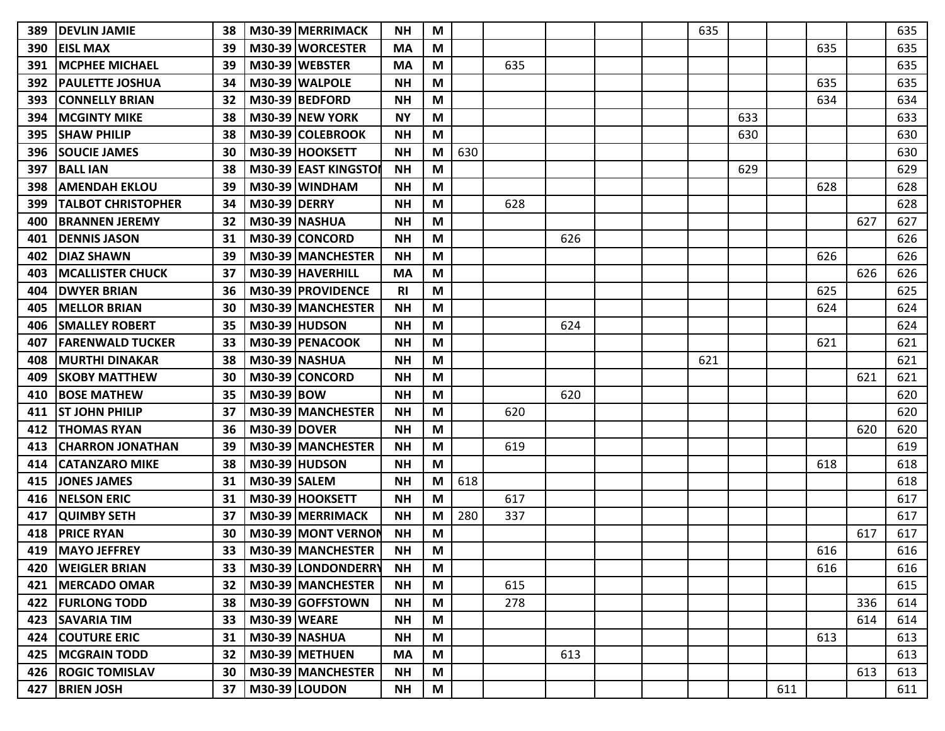| 389 | <b>DEVLIN JAMIE</b>       | 38              |                     | M30-39 MERRIMACK          | <b>NH</b> | M                                                                                     |     |     |     |  | 635 |     |     |     |     | 635 |
|-----|---------------------------|-----------------|---------------------|---------------------------|-----------|---------------------------------------------------------------------------------------|-----|-----|-----|--|-----|-----|-----|-----|-----|-----|
| 390 | <b>EISL MAX</b>           | 39              |                     | M30-39 WORCESTER          | <b>MA</b> | M                                                                                     |     |     |     |  |     |     |     | 635 |     | 635 |
| 391 | <b>IMCPHEE MICHAEL</b>    | 39              |                     | M30-39 WEBSTER            | MA        | M                                                                                     |     | 635 |     |  |     |     |     |     |     | 635 |
| 392 | <b>PAULETTE JOSHUA</b>    | 34              |                     | M30-39 WALPOLE            | <b>NH</b> | M                                                                                     |     |     |     |  |     |     |     | 635 |     | 635 |
| 393 | <b>CONNELLY BRIAN</b>     | 32              |                     | M30-39 BEDFORD            | <b>NH</b> | M                                                                                     |     |     |     |  |     |     |     | 634 |     | 634 |
| 394 | <b>MCGINTY MIKE</b>       | 38              |                     | M30-39 NEW YORK           | <b>NY</b> | M                                                                                     |     |     |     |  |     | 633 |     |     |     | 633 |
| 395 | <b>SHAW PHILIP</b>        | 38              |                     | M30-39 COLEBROOK          | <b>NH</b> | M                                                                                     |     |     |     |  |     | 630 |     |     |     | 630 |
| 396 | <b>SOUCIE JAMES</b>       | 30              |                     | M30-39 HOOKSETT           | <b>NH</b> | M                                                                                     | 630 |     |     |  |     |     |     |     |     | 630 |
| 397 | <b>BALL IAN</b>           | 38              |                     | M30-39 EAST KINGSTOI      | <b>NH</b> | M                                                                                     |     |     |     |  |     | 629 |     |     |     | 629 |
| 398 | <b>AMENDAH EKLOU</b>      | 39              |                     | M30-39 WINDHAM            | <b>NH</b> | M                                                                                     |     |     |     |  |     |     |     | 628 |     | 628 |
| 399 | <b>TALBOT CHRISTOPHER</b> | 34              | <b>M30-39 DERRY</b> |                           | <b>NH</b> | M                                                                                     |     | 628 |     |  |     |     |     |     |     | 628 |
| 400 | <b>BRANNEN JEREMY</b>     | 32              |                     | <b>M30-39 NASHUA</b>      | <b>NH</b> | M                                                                                     |     |     |     |  |     |     |     |     | 627 | 627 |
| 401 | <b>DENNIS JASON</b>       | 31              |                     | M30-39 CONCORD            | <b>NH</b> | M                                                                                     |     |     | 626 |  |     |     |     |     |     | 626 |
| 402 | <b>DIAZ SHAWN</b>         | 39              |                     | M30-39 MANCHESTER         | <b>NH</b> | M                                                                                     |     |     |     |  |     |     |     | 626 |     | 626 |
| 403 | IMCALLISTER CHUCK         | 37              |                     | M30-39 HAVERHILL          | MA        | M                                                                                     |     |     |     |  |     |     |     |     | 626 | 626 |
| 404 | <b>IDWYER BRIAN</b>       | 36              |                     | M30-39 PROVIDENCE         | <b>RI</b> | M                                                                                     |     |     |     |  |     |     |     | 625 |     | 625 |
| 405 | <b>MELLOR BRIAN</b>       | 30              |                     | M30-39 MANCHESTER         | <b>NH</b> | M                                                                                     |     |     |     |  |     |     |     | 624 |     | 624 |
| 406 | <b>SMALLEY ROBERT</b>     | 35              |                     | <b>M30-39 HUDSON</b>      | <b>NH</b> | M                                                                                     |     |     | 624 |  |     |     |     |     |     | 624 |
| 407 | <b>FARENWALD TUCKER</b>   | 33              |                     | M30-39 PENACOOK           | <b>NH</b> | M                                                                                     |     |     |     |  |     |     |     | 621 |     | 621 |
| 408 | <b>MURTHI DINAKAR</b>     | 38              |                     | M30-39 NASHUA             | <b>NH</b> | M                                                                                     |     |     |     |  | 621 |     |     |     |     | 621 |
| 409 | <b>ISKOBY MATTHEW</b>     | 30              |                     | M30-39 CONCORD            | <b>NH</b> | M                                                                                     |     |     |     |  |     |     |     |     | 621 | 621 |
| 410 | <b>BOSE MATHEW</b>        | 35              | M30-39 BOW          |                           | <b>NH</b> | M                                                                                     |     |     | 620 |  |     |     |     |     |     | 620 |
| 411 | <b>ST JOHN PHILIP</b>     | 37              |                     | M30-39 MANCHESTER         | <b>NH</b> | M                                                                                     |     | 620 |     |  |     |     |     |     |     | 620 |
| 412 | <b>THOMAS RYAN</b>        | 36              | <b>M30-39 DOVER</b> |                           | <b>NH</b> | M                                                                                     |     |     |     |  |     |     |     |     | 620 | 620 |
| 413 | <b>CHARRON JONATHAN</b>   | 39              |                     | M30-39 MANCHESTER         | <b>NH</b> | M                                                                                     |     | 619 |     |  |     |     |     |     |     | 619 |
| 414 | <b>CATANZARO MIKE</b>     | 38              |                     | <b>M30-39 HUDSON</b>      | <b>NH</b> | M                                                                                     |     |     |     |  |     |     |     | 618 |     | 618 |
| 415 | <b>JONES JAMES</b>        | 31              | <b>M30-39 SALEM</b> |                           | <b>NH</b> | M                                                                                     | 618 |     |     |  |     |     |     |     |     | 618 |
| 416 | <b>INELSON ERIC</b>       | 31              |                     | M30-39 HOOKSETT           | <b>NH</b> | M                                                                                     |     | 617 |     |  |     |     |     |     |     | 617 |
| 417 | <b>QUIMBY SETH</b>        | 37              |                     | M30-39 MERRIMACK          | <b>NH</b> | M                                                                                     | 280 | 337 |     |  |     |     |     |     |     | 617 |
| 418 | <b>PRICE RYAN</b>         | 30              |                     | M30-39 MONT VERNON        | <b>NH</b> | M                                                                                     |     |     |     |  |     |     |     |     | 617 | 617 |
|     | 419   MAYO JEFFREY        |                 |                     | 33   M30-39   MANCHESTER  | <b>NH</b> | $\mathsf{M}% _{T}=\mathsf{M}_{T}\!\left( a,b\right) ,\ \mathsf{M}_{T}=\mathsf{M}_{T}$ |     |     |     |  |     |     |     | 616 |     | 616 |
|     | 420   WEIGLER BRIAN       |                 |                     | 33   M30-39   LONDONDERRY | <b>NH</b> | M                                                                                     |     |     |     |  |     |     |     | 616 |     | 616 |
|     | 421   MERCADO OMAR        | 32 <sub>1</sub> |                     | M30-39 MANCHESTER         | <b>NH</b> | M                                                                                     |     | 615 |     |  |     |     |     |     |     | 615 |
|     | 422   FURLONG TODD        | 38              |                     | M30-39 GOFFSTOWN          | <b>NH</b> | M                                                                                     |     | 278 |     |  |     |     |     |     | 336 | 614 |
|     | 423   SAVARIA TIM         | 33              | <b>M30-39 WEARE</b> |                           | <b>NH</b> | M                                                                                     |     |     |     |  |     |     |     |     | 614 | 614 |
|     | 424 COUTURE ERIC          | 31              |                     | <b>M30-39 NASHUA</b>      | <b>NH</b> | M                                                                                     |     |     |     |  |     |     |     | 613 |     | 613 |
|     | 425   MCGRAIN TODD        | 32              |                     | M30-39 METHUEN            | <b>MA</b> | M                                                                                     |     |     | 613 |  |     |     |     |     |     | 613 |
|     | 426   ROGIC TOMISLAV      | 30              |                     | M30-39 MANCHESTER         | <b>NH</b> | M                                                                                     |     |     |     |  |     |     |     |     | 613 | 613 |
|     | 427 BRIEN JOSH            | 37 <sup>1</sup> |                     | M30-39 LOUDON             | <b>NH</b> | M                                                                                     |     |     |     |  |     |     | 611 |     |     | 611 |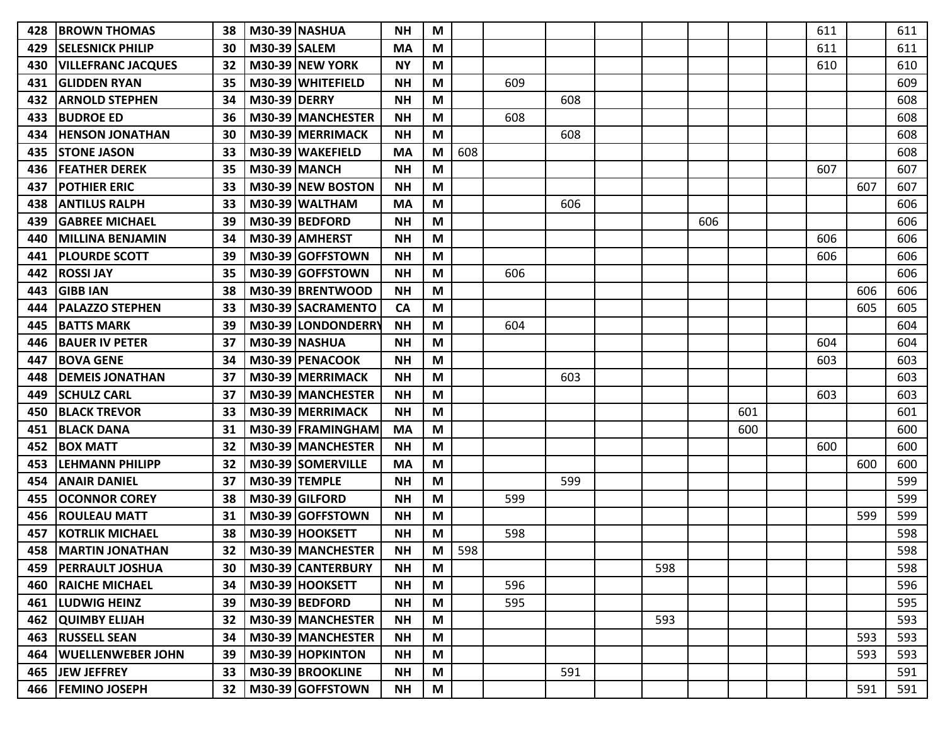| 428 | <b>IBROWN THOMAS</b>      | 38 |                      | <b>M30-39 NASHUA</b> | <b>NH</b> | M |     |     |     |     |     |     | 611 |     | 611 |
|-----|---------------------------|----|----------------------|----------------------|-----------|---|-----|-----|-----|-----|-----|-----|-----|-----|-----|
| 429 | <b>SELESNICK PHILIP</b>   | 30 | M30-39 SALEM         |                      | <b>MA</b> | M |     |     |     |     |     |     | 611 |     | 611 |
| 430 | <b>VILLEFRANC JACQUES</b> | 32 |                      | M30-39 NEW YORK      | <b>NY</b> | M |     |     |     |     |     |     | 610 |     | 610 |
| 431 | <b>GLIDDEN RYAN</b>       | 35 |                      | M30-39 WHITEFIELD    | <b>NH</b> | M |     | 609 |     |     |     |     |     |     | 609 |
| 432 | <b>ARNOLD STEPHEN</b>     | 34 | <b>M30-39 DERRY</b>  |                      | <b>NH</b> | M |     |     | 608 |     |     |     |     |     | 608 |
| 433 | <b>BUDROE ED</b>          | 36 |                      | M30-39 MANCHESTER    | <b>NH</b> | M |     | 608 |     |     |     |     |     |     | 608 |
| 434 | <b>HENSON JONATHAN</b>    | 30 |                      | M30-39 MERRIMACK     | <b>NH</b> | M |     |     | 608 |     |     |     |     |     | 608 |
| 435 | <b>STONE JASON</b>        | 33 |                      | M30-39 WAKEFIELD     | <b>MA</b> | M | 608 |     |     |     |     |     |     |     | 608 |
| 436 | <b>FEATHER DEREK</b>      | 35 | <b>M30-39 MANCH</b>  |                      | <b>NH</b> | М |     |     |     |     |     |     | 607 |     | 607 |
| 437 | <b>POTHIER ERIC</b>       | 33 |                      | M30-39 NEW BOSTON    | <b>NH</b> | M |     |     |     |     |     |     |     | 607 | 607 |
| 438 | <b>ANTILUS RALPH</b>      | 33 |                      | M30-39 WALTHAM       | <b>MA</b> | M |     |     | 606 |     |     |     |     |     | 606 |
| 439 | <b>GABREE MICHAEL</b>     | 39 |                      | M30-39 BEDFORD       | <b>NH</b> | M |     |     |     |     | 606 |     |     |     | 606 |
| 440 | <b>MILLINA BENJAMIN</b>   | 34 |                      | M30-39 AMHERST       | <b>NH</b> | M |     |     |     |     |     |     | 606 |     | 606 |
| 441 | <b>PLOURDE SCOTT</b>      | 39 |                      | M30-39 GOFFSTOWN     | <b>NH</b> | M |     |     |     |     |     |     | 606 |     | 606 |
| 442 | <b>ROSSI JAY</b>          | 35 |                      | M30-39 GOFFSTOWN     | <b>NH</b> | M |     | 606 |     |     |     |     |     |     | 606 |
| 443 | <b>GIBB IAN</b>           | 38 |                      | M30-39 BRENTWOOD     | <b>NH</b> | М |     |     |     |     |     |     |     | 606 | 606 |
| 444 | <b>PALAZZO STEPHEN</b>    | 33 |                      | M30-39 SACRAMENTO    | <b>CA</b> | M |     |     |     |     |     |     |     | 605 | 605 |
| 445 | <b>BATTS MARK</b>         | 39 |                      | M30-39 LONDONDERRY   | <b>NH</b> | M |     | 604 |     |     |     |     |     |     | 604 |
| 446 | <b>BAUER IV PETER</b>     | 37 |                      | M30-39 NASHUA        | <b>NH</b> | M |     |     |     |     |     |     | 604 |     | 604 |
| 447 | <b>BOVA GENE</b>          | 34 |                      | M30-39 PENACOOK      | <b>NH</b> | M |     |     |     |     |     |     | 603 |     | 603 |
| 448 | <b>DEMEIS JONATHAN</b>    | 37 |                      | M30-39 MERRIMACK     | <b>NH</b> | M |     |     | 603 |     |     |     |     |     | 603 |
| 449 | <b>SCHULZ CARL</b>        | 37 |                      | M30-39 MANCHESTER    | <b>NH</b> | M |     |     |     |     |     |     | 603 |     | 603 |
| 450 | <b>BLACK TREVOR</b>       | 33 |                      | M30-39 MERRIMACK     | <b>NH</b> | M |     |     |     |     |     | 601 |     |     | 601 |
| 451 | <b>BLACK DANA</b>         | 31 |                      | M30-39 FRAMINGHAM    | <b>MA</b> | M |     |     |     |     |     | 600 |     |     | 600 |
| 452 | <b>BOX MATT</b>           | 32 |                      | M30-39 MANCHESTER    | <b>NH</b> | M |     |     |     |     |     |     | 600 |     | 600 |
| 453 | <b>LEHMANN PHILIPP</b>    | 32 |                      | M30-39 SOMERVILLE    | <b>MA</b> | M |     |     |     |     |     |     |     | 600 | 600 |
| 454 | <b>ANAIR DANIEL</b>       | 37 | <b>M30-39 TEMPLE</b> |                      | <b>NH</b> | M |     |     | 599 |     |     |     |     |     | 599 |
| 455 | <b>OCONNOR COREY</b>      | 38 |                      | M30-39 GILFORD       | <b>NH</b> | М |     | 599 |     |     |     |     |     |     | 599 |
| 456 | <b>ROULEAU MATT</b>       | 31 |                      | M30-39 GOFFSTOWN     | <b>NH</b> | M |     |     |     |     |     |     |     | 599 | 599 |
| 457 | <b>KOTRLIK MICHAEL</b>    | 38 |                      | M30-39 HOOKSETT      | <b>NH</b> | M |     | 598 |     |     |     |     |     |     | 598 |
| 458 | <b>MARTIN JONATHAN</b>    | 32 |                      | M30-39 MANCHESTER    | <b>NH</b> | M | 598 |     |     |     |     |     |     |     | 598 |
| 459 | <b>PERRAULT JOSHUA</b>    | 30 |                      | M30-39 CANTERBURY    | <b>NH</b> | M |     |     |     | 598 |     |     |     |     | 598 |
| 460 | <b>RAICHE MICHAEL</b>     | 34 |                      | M30-39 HOOKSETT      | <b>NH</b> | M |     | 596 |     |     |     |     |     |     | 596 |
| 461 | <b>LUDWIG HEINZ</b>       | 39 |                      | M30-39 BEDFORD       | <b>NH</b> | M |     | 595 |     |     |     |     |     |     | 595 |
|     | <b>462 QUIMBY ELIJAH</b>  | 32 |                      | M30-39 MANCHESTER    | <b>NH</b> | M |     |     |     | 593 |     |     |     |     | 593 |
| 463 | <b>RUSSELL SEAN</b>       | 34 |                      | M30-39 MANCHESTER    | <b>NH</b> | M |     |     |     |     |     |     |     | 593 | 593 |
|     | 464   WUELLENWEBER JOHN   | 39 |                      | M30-39 HOPKINTON     | <b>NH</b> | M |     |     |     |     |     |     |     | 593 | 593 |
|     | 465 JEW JEFFREY           | 33 |                      | M30-39 BROOKLINE     | <b>NH</b> | M |     |     | 591 |     |     |     |     |     | 591 |
|     | 466   FEMINO JOSEPH       | 32 |                      | M30-39 GOFFSTOWN     | <b>NH</b> | M |     |     |     |     |     |     |     | 591 | 591 |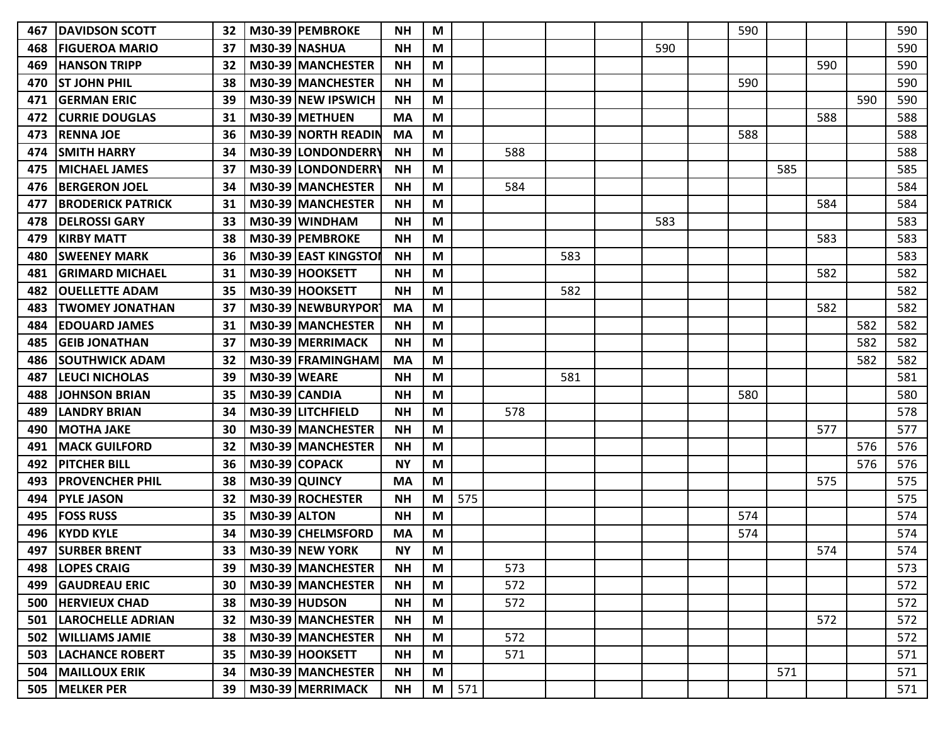| 467 | <b>DAVIDSON SCOTT</b>         | 32 |                      | M30-39 PEMBROKE          | <b>NH</b> | M |     |     |     |     | 590 |     |     |     | 590 |
|-----|-------------------------------|----|----------------------|--------------------------|-----------|---|-----|-----|-----|-----|-----|-----|-----|-----|-----|
| 468 | <b>FIGUEROA MARIO</b>         | 37 |                      | <b>M30-39 NASHUA</b>     | <b>NH</b> | M |     |     |     | 590 |     |     |     |     | 590 |
| 469 | <b>HANSON TRIPP</b>           | 32 |                      | M30-39 MANCHESTER        | <b>NH</b> | M |     |     |     |     |     |     | 590 |     | 590 |
| 470 | <b>ST JOHN PHIL</b>           | 38 |                      | M30-39 MANCHESTER        | <b>NH</b> | M |     |     |     |     | 590 |     |     |     | 590 |
| 471 | <b>GERMAN ERIC</b>            | 39 |                      | M30-39 NEW IPSWICH       | <b>NH</b> | M |     |     |     |     |     |     |     | 590 | 590 |
| 472 | <b>CURRIE DOUGLAS</b>         | 31 |                      | M30-39 METHUEN           | <b>MA</b> | M |     |     |     |     |     |     | 588 |     | 588 |
| 473 | <b>RENNA JOE</b>              | 36 |                      | M30-39 NORTH READIN      | <b>MA</b> | M |     |     |     |     | 588 |     |     |     | 588 |
| 474 | <b>SMITH HARRY</b>            | 34 |                      | M30-39 LONDONDERRY       | <b>NH</b> | M |     | 588 |     |     |     |     |     |     | 588 |
| 475 | <b>IMICHAEL JAMES</b>         | 37 |                      | M30-39 LONDONDERRY       | <b>NH</b> | M |     |     |     |     |     | 585 |     |     | 585 |
| 476 | <b>BERGERON JOEL</b>          | 34 |                      | M30-39 MANCHESTER        | <b>NH</b> | M |     | 584 |     |     |     |     |     |     | 584 |
| 477 | <b>BRODERICK PATRICK</b>      | 31 |                      | M30-39 MANCHESTER        | <b>NH</b> | M |     |     |     |     |     |     | 584 |     | 584 |
| 478 | <b>DELROSSI GARY</b>          | 33 |                      | M30-39 WINDHAM           | <b>NH</b> | M |     |     |     | 583 |     |     |     |     | 583 |
| 479 | <b>KIRBY MATT</b>             | 38 |                      | M30-39 PEMBROKE          | <b>NH</b> | M |     |     |     |     |     |     | 583 |     | 583 |
| 480 | <b>SWEENEY MARK</b>           | 36 |                      | M30-39 EAST KINGSTOI     | <b>NH</b> | M |     |     | 583 |     |     |     |     |     | 583 |
| 481 | <b>GRIMARD MICHAEL</b>        | 31 |                      | M30-39 HOOKSETT          | <b>NH</b> | M |     |     |     |     |     |     | 582 |     | 582 |
| 482 | <b>lOUELLETTE ADAM</b>        | 35 |                      | M30-39 HOOKSETT          | <b>NH</b> | М |     |     | 582 |     |     |     |     |     | 582 |
| 483 | <b>TWOMEY JONATHAN</b>        | 37 |                      | M30-39 NEWBURYPOR        | <b>MA</b> | M |     |     |     |     |     |     | 582 |     | 582 |
| 484 | <b>EDOUARD JAMES</b>          | 31 |                      | M30-39 MANCHESTER        | <b>NH</b> | M |     |     |     |     |     |     |     | 582 | 582 |
| 485 | <b>GEIB JONATHAN</b>          | 37 |                      | M30-39 MERRIMACK         | <b>NH</b> | M |     |     |     |     |     |     |     | 582 | 582 |
| 486 | <b>SOUTHWICK ADAM</b>         | 32 |                      | M30-39 FRAMINGHAM        | <b>MA</b> | M |     |     |     |     |     |     |     | 582 | 582 |
| 487 | <b>LEUCI NICHOLAS</b>         | 39 | <b>M30-39 WEARE</b>  |                          | <b>NH</b> | M |     |     | 581 |     |     |     |     |     | 581 |
| 488 | <b>JOHNSON BRIAN</b>          | 35 | M30-39 CANDIA        |                          | <b>NH</b> | M |     |     |     |     | 580 |     |     |     | 580 |
| 489 | <b>LANDRY BRIAN</b>           | 34 |                      | M30-39 LITCHFIELD        | <b>NH</b> | M |     | 578 |     |     |     |     |     |     | 578 |
| 490 | <b>MOTHA JAKE</b>             | 30 |                      | M30-39 MANCHESTER        | <b>NH</b> | M |     |     |     |     |     |     | 577 |     | 577 |
| 491 | <b>MACK GUILFORD</b>          | 32 |                      | M30-39 MANCHESTER        | <b>NH</b> | M |     |     |     |     |     |     |     | 576 | 576 |
| 492 | <b>PITCHER BILL</b>           | 36 |                      | M30-39 COPACK            | <b>NY</b> | M |     |     |     |     |     |     |     | 576 | 576 |
| 493 | <b>PROVENCHER PHIL</b>        | 38 | <b>M30-39 QUINCY</b> |                          | <b>MA</b> | M |     |     |     |     |     |     | 575 |     | 575 |
| 494 | <b>PYLE JASON</b>             | 32 |                      | M30-39 ROCHESTER         | <b>NH</b> | М | 575 |     |     |     |     |     |     |     | 575 |
| 495 | <b>FOSS RUSS</b>              | 35 | <b>M30-39 ALTON</b>  |                          | <b>NH</b> | M |     |     |     |     | 574 |     |     |     | 574 |
| 496 | <b>KYDD KYLE</b>              | 34 |                      | M30-39 CHELMSFORD        | <b>MA</b> | M |     |     |     |     | 574 |     |     |     | 574 |
| 497 | <b>SURBER BRENT</b>           |    |                      | 33   M30-39   NEW YORK   | <b>NY</b> | M |     |     |     |     |     |     | 574 |     | 574 |
|     | 498   LOPES CRAIG             |    |                      | 39   M30-39   MANCHESTER | <b>NH</b> | M |     | 573 |     |     |     |     |     |     | 573 |
|     | 499 GAUDREAU ERIC             | 30 |                      | M30-39 MANCHESTER        | <b>NH</b> | M |     | 572 |     |     |     |     |     |     | 572 |
|     | <b>500 HERVIEUX CHAD</b>      | 38 |                      | $M30-39$ HUDSON          | <b>NH</b> | M |     | 572 |     |     |     |     |     |     | 572 |
|     | <b>501  LAROCHELLE ADRIAN</b> | 32 |                      | M30-39 MANCHESTER        | <b>NH</b> | M |     |     |     |     |     |     | 572 |     | 572 |
|     | 502   WILLIAMS JAMIE          | 38 |                      | M30-39 MANCHESTER        | <b>NH</b> | M |     | 572 |     |     |     |     |     |     | 572 |
|     | <b>503  LACHANCE ROBERT</b>   | 35 |                      | M30-39 HOOKSETT          | <b>NH</b> | M |     | 571 |     |     |     |     |     |     | 571 |
|     | <b>504   MAILLOUX ERIK</b>    | 34 |                      | M30-39 MANCHESTER        | <b>NH</b> | M |     |     |     |     |     | 571 |     |     | 571 |
|     | 505   MELKER PER              | 39 |                      | M30-39 MERRIMACK         | <b>NH</b> | M | 571 |     |     |     |     |     |     |     | 571 |
|     |                               |    |                      |                          |           |   |     |     |     |     |     |     |     |     |     |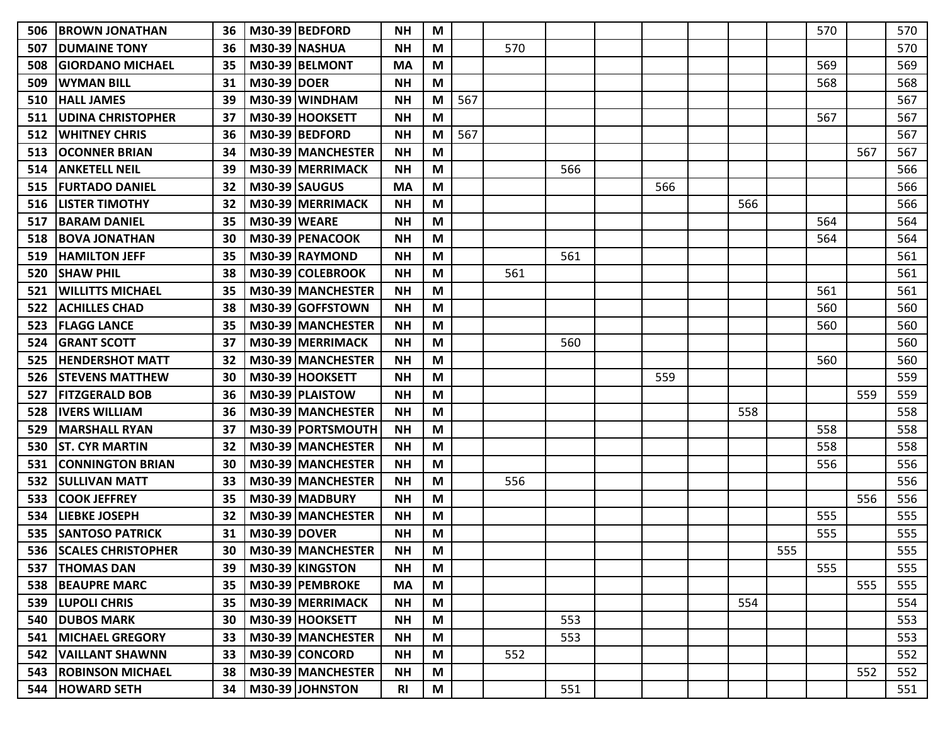| 506 | <b>IBROWN JONATHAN</b>       | 36   |                     | M30-39 BEDFORD           | <b>NH</b> | M |     |     |     |     |     |                   | 570 |     | 570 |
|-----|------------------------------|------|---------------------|--------------------------|-----------|---|-----|-----|-----|-----|-----|-------------------|-----|-----|-----|
| 507 | <b>DUMAINE TONY</b>          | 36   |                     | <b>M30-39 NASHUA</b>     | <b>NH</b> | M |     | 570 |     |     |     |                   |     |     | 570 |
| 508 | IGIORDANO MICHAEL            | 35   |                     | M30-39 BELMONT           | <b>MA</b> | M |     |     |     |     |     |                   | 569 |     | 569 |
| 509 | <b>WYMAN BILL</b>            | 31   | <b>M30-39 DOER</b>  |                          | <b>NH</b> | M |     |     |     |     |     |                   | 568 |     | 568 |
| 510 | <b>HALL JAMES</b>            | 39   |                     | $M30-39$ WINDHAM         | <b>NH</b> | M | 567 |     |     |     |     |                   |     |     | 567 |
| 511 | <b>UDINA CHRISTOPHER</b>     | 37   |                     | M30-39 HOOKSETT          | <b>NH</b> | M |     |     |     |     |     |                   | 567 |     | 567 |
| 512 | <b>WHITNEY CHRIS</b>         | 36   |                     | M30-39 BEDFORD           | <b>NH</b> | M | 567 |     |     |     |     |                   |     |     | 567 |
| 513 | <b>OCONNER BRIAN</b>         | 34   |                     | M30-39 MANCHESTER        | <b>NH</b> | M |     |     |     |     |     |                   |     | 567 | 567 |
| 514 | <b>ANKETELL NEIL</b>         | 39   |                     | M30-39 MERRIMACK         | <b>NH</b> | М |     |     | 566 |     |     |                   |     |     | 566 |
| 515 | <b>FURTADO DANIEL</b>        | 32   |                     | <b>M30-39 SAUGUS</b>     | <b>MA</b> | M |     |     |     | 566 |     |                   |     |     | 566 |
| 516 | <b>LISTER TIMOTHY</b>        | 32   |                     | M30-39 MERRIMACK         | <b>NH</b> | M |     |     |     |     | 566 |                   |     |     | 566 |
| 517 | <b>BARAM DANIEL</b>          | 35   | <b>M30-39 WEARE</b> |                          | <b>NH</b> | M |     |     |     |     |     |                   | 564 |     | 564 |
| 518 | <b>BOVA JONATHAN</b>         | 30   |                     | M30-39 PENACOOK          | <b>NH</b> | M |     |     |     |     |     |                   | 564 |     | 564 |
| 519 | <b>HAMILTON JEFF</b>         | 35   |                     | M30-39 RAYMOND           | <b>NH</b> | M |     |     | 561 |     |     |                   |     |     | 561 |
| 520 | <b>ISHAW PHIL</b>            | 38   |                     | M30-39 COLEBROOK         | <b>NH</b> | M |     | 561 |     |     |     |                   |     |     | 561 |
| 521 | <b>WILLITTS MICHAEL</b>      | 35   |                     | M30-39 MANCHESTER        | <b>NH</b> | М |     |     |     |     |     |                   | 561 |     | 561 |
| 522 | <b>ACHILLES CHAD</b>         | 38   |                     | M30-39 GOFFSTOWN         | <b>NH</b> | M |     |     |     |     |     |                   | 560 |     | 560 |
| 523 | <b>FLAGG LANCE</b>           | 35   |                     | M30-39 MANCHESTER        | <b>NH</b> | M |     |     |     |     |     |                   | 560 |     | 560 |
| 524 | <b>GRANT SCOTT</b>           | 37   |                     | M30-39 MERRIMACK         | <b>NH</b> | M |     |     | 560 |     |     |                   |     |     | 560 |
| 525 | <b>HENDERSHOT MATT</b>       | 32   |                     | M30-39 MANCHESTER        | <b>NH</b> | M |     |     |     |     |     |                   | 560 |     | 560 |
| 526 | <b>ISTEVENS MATTHEW</b>      | 30   |                     | M30-39 HOOKSETT          | <b>NH</b> | М |     |     |     | 559 |     |                   |     |     | 559 |
| 527 | <b>FITZGERALD BOB</b>        | 36   |                     | M30-39 PLAISTOW          | <b>NH</b> | M |     |     |     |     |     |                   |     | 559 | 559 |
| 528 | <b>IVERS WILLIAM</b>         | 36   |                     | M30-39 MANCHESTER        | <b>NH</b> | M |     |     |     |     | 558 |                   |     |     | 558 |
| 529 | <b>MARSHALL RYAN</b>         | 37   |                     | M30-39 PORTSMOUTH        | <b>NH</b> | M |     |     |     |     |     |                   | 558 |     | 558 |
| 530 | <b>ST. CYR MARTIN</b>        | 32   |                     | M30-39 MANCHESTER        | <b>NH</b> | M |     |     |     |     |     |                   | 558 |     | 558 |
| 531 | <b>CONNINGTON BRIAN</b>      | 30   |                     | M30-39 MANCHESTER        | <b>NH</b> | M |     |     |     |     |     |                   | 556 |     | 556 |
| 532 | <b>SULLIVAN MATT</b>         | 33   |                     | M30-39 MANCHESTER        | <b>NH</b> | M |     | 556 |     |     |     |                   |     |     | 556 |
| 533 | <b>COOK JEFFREY</b>          | 35   |                     | M30-39 MADBURY           | <b>NH</b> | М |     |     |     |     |     |                   |     | 556 | 556 |
| 534 | <b>LIEBKE JOSEPH</b>         | 32   |                     | M30-39 MANCHESTER        | <b>NH</b> | M |     |     |     |     |     |                   | 555 |     | 555 |
| 535 | <b>SANTOSO PATRICK</b>       | 31   | <b>M30-39 DOVER</b> |                          | <b>NH</b> | M |     |     |     |     |     |                   | 555 |     | 555 |
|     | 536 SCALES CHRISTOPHER       |      |                     | 30   M30-39   MANCHESTER | <b>NH</b> | M |     |     |     |     |     | 555<br><b>JJJ</b> |     |     | 555 |
|     | 537   THOMAS DAN             | 39 I |                     | M30-39 KINGSTON          | <b>NH</b> | M |     |     |     |     |     |                   | 555 |     | 555 |
|     | 538 BEAUPRE MARC             | 35   |                     | M30-39 PEMBROKE          | MA        | M |     |     |     |     |     |                   |     | 555 | 555 |
|     | 539   LUPOLI CHRIS           | 35   |                     | M30-39 MERRIMACK         | <b>NH</b> | M |     |     |     |     | 554 |                   |     |     | 554 |
|     | <b>540 DUBOS MARK</b>        | 30   |                     | M30-39 HOOKSETT          | <b>NH</b> | M |     |     | 553 |     |     |                   |     |     | 553 |
|     | <b>541   MICHAEL GREGORY</b> | 33   |                     | M30-39 MANCHESTER        | <b>NH</b> | M |     |     | 553 |     |     |                   |     |     | 553 |
|     | 542   VAILLANT SHAWNN        | 33   |                     | M30-39 CONCORD           | <b>NH</b> | M |     | 552 |     |     |     |                   |     |     | 552 |
|     | 543   ROBINSON MICHAEL       | 38   |                     | M30-39 MANCHESTER        | <b>NH</b> | M |     |     |     |     |     |                   |     | 552 | 552 |
|     | 544 HOWARD SETH              | 34   |                     | M30-39 JOHNSTON          | <b>RI</b> | M |     |     | 551 |     |     |                   |     |     | 551 |
|     |                              |      |                     |                          |           |   |     |     |     |     |     |                   |     |     |     |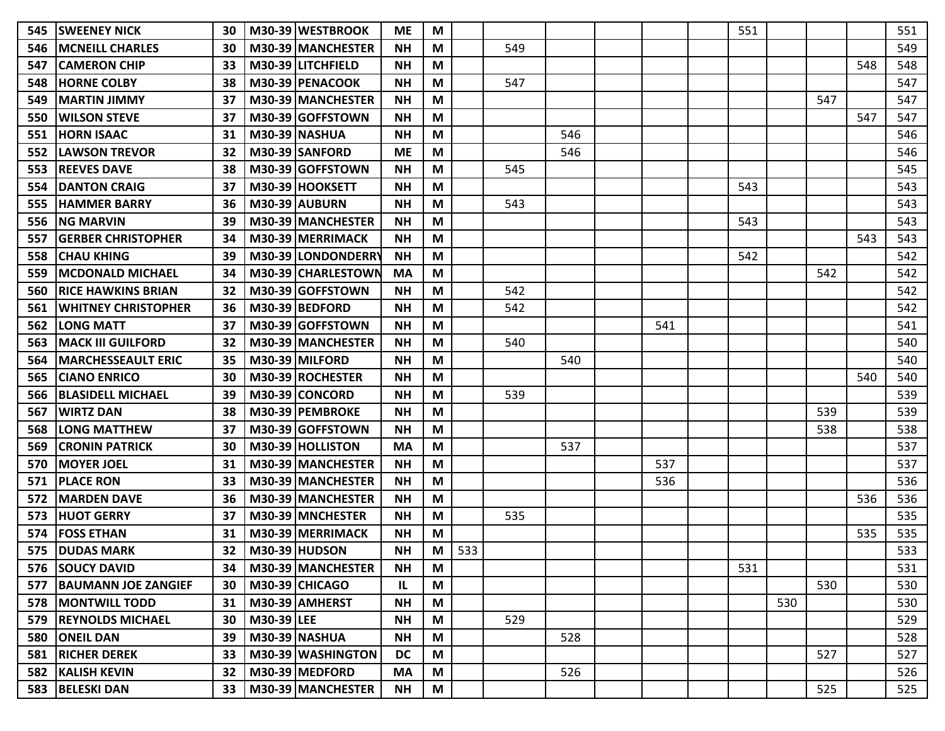| 545 | <b>SWEENEY NICK</b>        | 30 |            | M30-39 WESTBROOK         | <b>ME</b> | M |            |     |     |     | 551 |     |     |     | 551 |
|-----|----------------------------|----|------------|--------------------------|-----------|---|------------|-----|-----|-----|-----|-----|-----|-----|-----|
| 546 | <b>MCNEILL CHARLES</b>     | 30 |            | M30-39 MANCHESTER        | <b>NH</b> | M |            | 549 |     |     |     |     |     |     | 549 |
| 547 | <b>CAMERON CHIP</b>        | 33 |            | M30-39 LITCHFIELD        | <b>NH</b> | M |            |     |     |     |     |     |     | 548 | 548 |
| 548 | <b>HORNE COLBY</b>         | 38 |            | M30-39 PENACOOK          | <b>NH</b> | M |            | 547 |     |     |     |     |     |     | 547 |
| 549 | <b>MARTIN JIMMY</b>        | 37 |            | M30-39 MANCHESTER        | <b>NH</b> | M |            |     |     |     |     |     | 547 |     | 547 |
| 550 | <b>WILSON STEVE</b>        | 37 |            | M30-39 GOFFSTOWN         | <b>NH</b> | M |            |     |     |     |     |     |     | 547 | 547 |
| 551 | <b>HORN ISAAC</b>          | 31 |            | <b>M30-39 NASHUA</b>     | <b>NH</b> | M |            |     | 546 |     |     |     |     |     | 546 |
| 552 | <b>LAWSON TREVOR</b>       | 32 |            | M30-39 SANFORD           | <b>ME</b> | M |            |     | 546 |     |     |     |     |     | 546 |
| 553 | <b>REEVES DAVE</b>         | 38 |            | M30-39 GOFFSTOWN         | <b>NH</b> | M |            | 545 |     |     |     |     |     |     | 545 |
| 554 | <b>DANTON CRAIG</b>        | 37 |            | M30-39 HOOKSETT          | <b>NH</b> | M |            |     |     |     | 543 |     |     |     | 543 |
| 555 | <b>HAMMER BARRY</b>        | 36 |            | <b>M30-39 AUBURN</b>     | <b>NH</b> | M |            | 543 |     |     |     |     |     |     | 543 |
| 556 | <b>ING MARVIN</b>          | 39 |            | M30-39 MANCHESTER        | <b>NH</b> | M |            |     |     |     | 543 |     |     |     | 543 |
| 557 | <b>GERBER CHRISTOPHER</b>  | 34 |            | M30-39 MERRIMACK         | <b>NH</b> | M |            |     |     |     |     |     |     | 543 | 543 |
| 558 | <b>CHAU KHING</b>          | 39 |            | M30-39 LONDONDERRY       | <b>NH</b> | M |            |     |     |     | 542 |     |     |     | 542 |
| 559 | IMCDONALD MICHAEL          | 34 |            | M30-39 CHARLESTOWN       | <b>MA</b> | M |            |     |     |     |     |     | 542 |     | 542 |
| 560 | IRICE HAWKINS BRIAN        | 32 |            | M30-39 GOFFSTOWN         | <b>NH</b> | M |            | 542 |     |     |     |     |     |     | 542 |
| 561 | <b>WHITNEY CHRISTOPHER</b> | 36 |            | M30-39 BEDFORD           | <b>NH</b> | M |            | 542 |     |     |     |     |     |     | 542 |
| 562 | <b>LONG MATT</b>           | 37 |            | M30-39 GOFFSTOWN         | <b>NH</b> | M |            |     |     | 541 |     |     |     |     | 541 |
| 563 | MACK III GUILFORD          | 32 |            | M30-39 MANCHESTER        | <b>NH</b> | M |            | 540 |     |     |     |     |     |     | 540 |
| 564 | <b> MARCHESSEAULT ERIC</b> | 35 |            | M30-39 MILFORD           | <b>NH</b> | M |            |     | 540 |     |     |     |     |     | 540 |
| 565 | <b>CIANO ENRICO</b>        | 30 |            | M30-39 ROCHESTER         | <b>NH</b> | M |            |     |     |     |     |     |     | 540 | 540 |
| 566 | <b>BLASIDELL MICHAEL</b>   | 39 |            | M30-39 CONCORD           | <b>NH</b> | M |            | 539 |     |     |     |     |     |     | 539 |
| 567 | <b>WIRTZ DAN</b>           | 38 |            | M30-39 PEMBROKE          | <b>NH</b> | M |            |     |     |     |     |     | 539 |     | 539 |
| 568 | <b>LONG MATTHEW</b>        | 37 |            | M30-39 GOFFSTOWN         | <b>NH</b> | M |            |     |     |     |     |     | 538 |     | 538 |
| 569 | <b>CRONIN PATRICK</b>      | 30 |            | M30-39 HOLLISTON         | <b>MA</b> | M |            |     | 537 |     |     |     |     |     | 537 |
| 570 | <b>MOYER JOEL</b>          | 31 |            | M30-39 MANCHESTER        | <b>NH</b> | M |            |     |     | 537 |     |     |     |     | 537 |
| 571 | <b>PLACE RON</b>           | 33 |            | M30-39 MANCHESTER        | <b>NH</b> | M |            |     |     | 536 |     |     |     |     | 536 |
| 572 | <b>IMARDEN DAVE</b>        | 36 |            | M30-39 MANCHESTER        | <b>NH</b> | M |            |     |     |     |     |     |     | 536 | 536 |
| 573 | <b>HUOT GERRY</b>          | 37 |            | M30-39 MNCHESTER         | <b>NH</b> | M |            | 535 |     |     |     |     |     |     | 535 |
| 574 | <b>FOSS ETHAN</b>          | 31 |            | M30-39 MERRIMACK         | <b>NH</b> | M |            |     |     |     |     |     |     | 535 | 535 |
|     | 575   DUDAS MARK           | 32 |            | M30-39 HUDSON            | <b>NH</b> | M | 533<br>JJJ |     |     |     |     |     |     |     | 533 |
|     | 576   SOUCY DAVID          |    |            | 34   M30-39   MANCHESTER | <b>NH</b> | M |            |     |     |     | 531 |     |     |     | 531 |
|     | 577 BAUMANN JOE ZANGIEF    | 30 |            | M30-39 CHICAGO           | IL.       | M |            |     |     |     |     |     | 530 |     | 530 |
|     | <b>578   MONTWILL TODD</b> | 31 |            | M30-39 AMHERST           | <b>NH</b> | M |            |     |     |     |     | 530 |     |     | 530 |
|     | 579   REYNOLDS MICHAEL     | 30 | M30-39 LEE |                          | <b>NH</b> | M |            | 529 |     |     |     |     |     |     | 529 |
|     | 580   ONEIL DAN            | 39 |            | M30-39 NASHUA            | <b>NH</b> | M |            |     | 528 |     |     |     |     |     | 528 |
|     | 581 RICHER DEREK           | 33 |            | M30-39 WASHINGTON        | <b>DC</b> | M |            |     |     |     |     |     | 527 |     | 527 |
|     | <b>582 KALISH KEVIN</b>    | 32 |            | M30-39 MEDFORD           | <b>MA</b> | M |            |     | 526 |     |     |     |     |     | 526 |
|     | 583 BELESKI DAN            | 33 |            | M30-39 MANCHESTER        | <b>NH</b> | M |            |     |     |     |     |     | 525 |     | 525 |
|     |                            |    |            |                          |           |   |            |     |     |     |     |     |     |     |     |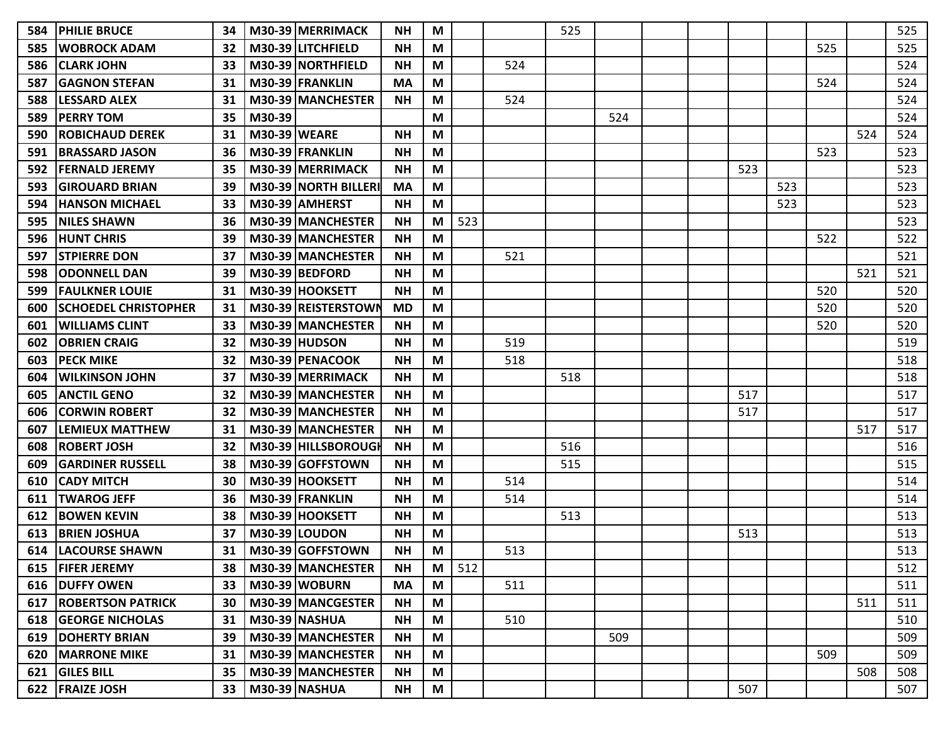| 584 | <b>PHILIE BRUCE</b>         | 34 |                     | M30-39 MERRIMACK     | NΗ        | M |     |     | 525 |     |  |     |     |     |     | 525 |
|-----|-----------------------------|----|---------------------|----------------------|-----------|---|-----|-----|-----|-----|--|-----|-----|-----|-----|-----|
| 585 | <b>WOBROCK ADAM</b>         | 32 |                     | M30-39 LITCHFIELD    | <b>NH</b> | M |     |     |     |     |  |     |     | 525 |     | 525 |
| 586 | <b>CLARK JOHN</b>           | 33 |                     | M30-39 NORTHFIELD    | NΗ        | M |     | 524 |     |     |  |     |     |     |     | 524 |
| 587 | <b>GAGNON STEFAN</b>        | 31 |                     | M30-39 FRANKLIN      | MA        | M |     |     |     |     |  |     |     | 524 |     | 524 |
| 588 | <b>LESSARD ALEX</b>         | 31 |                     | M30-39 MANCHESTER    | <b>NH</b> | M |     | 524 |     |     |  |     |     |     |     | 524 |
| 589 | <b>PERRY TOM</b>            | 35 | M30-39              |                      |           | M |     |     |     | 524 |  |     |     |     |     | 524 |
| 590 | <b>ROBICHAUD DEREK</b>      | 31 | <b>M30-39 WEARE</b> |                      | <b>NH</b> | M |     |     |     |     |  |     |     |     | 524 | 524 |
| 591 | <b>BRASSARD JASON</b>       | 36 |                     | M30-39 FRANKLIN      | <b>NH</b> | M |     |     |     |     |  |     |     | 523 |     | 523 |
| 592 | <b>FERNALD JEREMY</b>       | 35 |                     | M30-39 MERRIMACK     | <b>NH</b> | M |     |     |     |     |  | 523 |     |     |     | 523 |
| 593 | <b>GIROUARD BRIAN</b>       | 39 |                     | M30-39 NORTH BILLERI | MA        | M |     |     |     |     |  |     | 523 |     |     | 523 |
| 594 | <b>HANSON MICHAEL</b>       | 33 |                     | M30-39 AMHERST       | <b>NH</b> | M |     |     |     |     |  |     | 523 |     |     | 523 |
| 595 | <b>NILES SHAWN</b>          | 36 |                     | M30-39 MANCHESTER    | <b>NH</b> | M | 523 |     |     |     |  |     |     |     |     | 523 |
| 596 | <b>HUNT CHRIS</b>           | 39 |                     | M30-39 MANCHESTER    | <b>NH</b> | M |     |     |     |     |  |     |     | 522 |     | 522 |
| 597 | <b>STPIERRE DON</b>         | 37 |                     | M30-39 MANCHESTER    | <b>NH</b> | M |     | 521 |     |     |  |     |     |     |     | 521 |
| 598 | <b>ODONNELL DAN</b>         | 39 |                     | M30-39 BEDFORD       | <b>NH</b> | M |     |     |     |     |  |     |     |     | 521 | 521 |
| 599 | <b>FAULKNER LOUIE</b>       | 31 |                     | M30-39 HOOKSETT      | <b>NH</b> | M |     |     |     |     |  |     |     | 520 |     | 520 |
| 600 | <b>SCHOEDEL CHRISTOPHER</b> | 31 |                     | M30-39 REISTERSTOWN  | <b>MD</b> | M |     |     |     |     |  |     |     | 520 |     | 520 |
| 601 | <b>WILLIAMS CLINT</b>       | 33 |                     | M30-39 MANCHESTER    | <b>NH</b> | M |     |     |     |     |  |     |     | 520 |     | 520 |
| 602 | <b>OBRIEN CRAIG</b>         | 32 |                     | <b>M30-39 HUDSON</b> | <b>NH</b> | M |     | 519 |     |     |  |     |     |     |     | 519 |
| 603 | <b>PECK MIKE</b>            | 32 |                     | M30-39 PENACOOK      | <b>NH</b> | M |     | 518 |     |     |  |     |     |     |     | 518 |
| 604 | WILKINSON JOHN              | 37 |                     | M30-39 MERRIMACK     | <b>NH</b> | M |     |     | 518 |     |  |     |     |     |     | 518 |
| 605 | <b>ANCTIL GENO</b>          | 32 |                     | M30-39 MANCHESTER    | <b>NH</b> | M |     |     |     |     |  | 517 |     |     |     | 517 |
| 606 | <b>CORWIN ROBERT</b>        | 32 |                     | M30-39 MANCHESTER    | <b>NH</b> | M |     |     |     |     |  | 517 |     |     |     | 517 |
| 607 | <b>LEMIEUX MATTHEW</b>      | 31 |                     | M30-39 MANCHESTER    | <b>NH</b> | M |     |     |     |     |  |     |     |     | 517 | 517 |
| 608 | <b>ROBERT JOSH</b>          | 32 |                     | M30-39 HILLSBOROUGH  | <b>NH</b> | M |     |     | 516 |     |  |     |     |     |     | 516 |
| 609 | <b>GARDINER RUSSELL</b>     | 38 |                     | M30-39 GOFFSTOWN     | <b>NH</b> | M |     |     | 515 |     |  |     |     |     |     | 515 |
| 610 | <b>CADY MITCH</b>           | 30 |                     | M30-39 HOOKSETT      | <b>NH</b> | M |     | 514 |     |     |  |     |     |     |     | 514 |
| 611 | <b>TWAROG JEFF</b>          | 36 |                     | M30-39 FRANKLIN      | <b>NH</b> | M |     | 514 |     |     |  |     |     |     |     | 514 |
| 612 | <b>BOWEN KEVIN</b>          | 38 |                     | M30-39 HOOKSETT      | <b>NH</b> | M |     |     | 513 |     |  |     |     |     |     | 513 |
| 613 | <b>BRIEN JOSHUA</b>         | 37 |                     | M30-39 LOUDON        | <b>NH</b> | M |     |     |     |     |  | 513 |     |     |     | 513 |
| 614 | <b>LACOURSE SHAWN</b>       | 31 |                     | M30-39 GOFFSTOWN     | <b>NH</b> | M |     | 513 |     |     |  |     |     |     |     | 513 |
|     | 615   FIFER JEREMY          | 38 |                     | M30-39 MANCHESTER    | <b>NH</b> | M | 512 |     |     |     |  |     |     |     |     | 512 |
|     | 616 DUFFY OWEN              | 33 |                     | M30-39 WOBURN        | MA        | M |     | 511 |     |     |  |     |     |     |     | 511 |
| 617 | <b>ROBERTSON PATRICK</b>    | 30 |                     | M30-39 MANCGESTER    | <b>NH</b> | M |     |     |     |     |  |     |     |     | 511 | 511 |
|     | <b>618 GEORGE NICHOLAS</b>  | 31 |                     | M30-39 NASHUA        | <b>NH</b> | M |     | 510 |     |     |  |     |     |     |     | 510 |
|     | 619   DOHERTY BRIAN         | 39 |                     | M30-39 MANCHESTER    | <b>NH</b> | M |     |     |     | 509 |  |     |     |     |     | 509 |
|     | <b>620   MARRONE MIKE</b>   | 31 |                     | M30-39 MANCHESTER    | <b>NH</b> | M |     |     |     |     |  |     |     | 509 |     | 509 |
| 621 | <b>GILES BILL</b>           | 35 |                     | M30-39 MANCHESTER    | <b>NH</b> | M |     |     |     |     |  |     |     |     | 508 | 508 |
|     | 622 FRAIZE JOSH             | 33 |                     | <b>M30-39 NASHUA</b> | <b>NH</b> | M |     |     |     |     |  | 507 |     |     |     | 507 |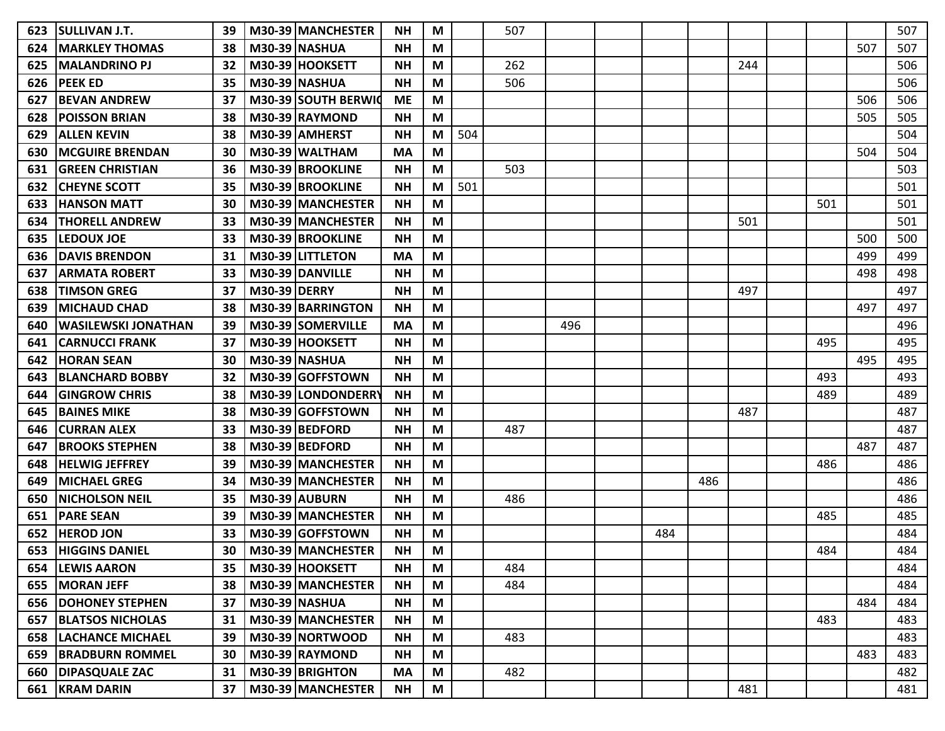| 623 | <b>SULLIVAN J.T.</b>       | 39 |                     | M30-39 MANCHESTER    | NΗ        | M |     | 507 |     |     |     |     |     |     | 507 |
|-----|----------------------------|----|---------------------|----------------------|-----------|---|-----|-----|-----|-----|-----|-----|-----|-----|-----|
| 624 | <b>MARKLEY THOMAS</b>      | 38 |                     | <b>M30-39 NASHUA</b> | <b>NH</b> | M |     |     |     |     |     |     |     | 507 | 507 |
| 625 | <b>MALANDRINO PJ</b>       | 32 |                     | M30-39 HOOKSETT      | <b>NH</b> | M |     | 262 |     |     |     | 244 |     |     | 506 |
| 626 | <b>PEEKED</b>              | 35 |                     | M30-39 NASHUA        | <b>NH</b> | M |     | 506 |     |     |     |     |     |     | 506 |
| 627 | <b>BEVAN ANDREW</b>        | 37 |                     | M30-39 SOUTH BERWIC  | <b>ME</b> | M |     |     |     |     |     |     |     | 506 | 506 |
| 628 | <b>POISSON BRIAN</b>       | 38 |                     | M30-39 RAYMOND       | <b>NH</b> | M |     |     |     |     |     |     |     | 505 | 505 |
| 629 | <b>ALLEN KEVIN</b>         | 38 |                     | M30-39 AMHERST       | <b>NH</b> | M | 504 |     |     |     |     |     |     |     | 504 |
| 630 | <b>MCGUIRE BRENDAN</b>     | 30 |                     | M30-39 WALTHAM       | MA        | M |     |     |     |     |     |     |     | 504 | 504 |
| 631 | <b>GREEN CHRISTIAN</b>     | 36 |                     | M30-39 BROOKLINE     | <b>NH</b> | M |     | 503 |     |     |     |     |     |     | 503 |
| 632 | <b>ICHEYNE SCOTT</b>       | 35 |                     | M30-39 BROOKLINE     | <b>NH</b> | M | 501 |     |     |     |     |     |     |     | 501 |
| 633 | <b>HANSON MATT</b>         | 30 |                     | M30-39 MANCHESTER    | <b>NH</b> | M |     |     |     |     |     |     | 501 |     | 501 |
| 634 | <b>THORELL ANDREW</b>      | 33 |                     | M30-39 MANCHESTER    | <b>NH</b> | M |     |     |     |     |     | 501 |     |     | 501 |
| 635 | <b>LEDOUX JOE</b>          | 33 |                     | M30-39 BROOKLINE     | <b>NH</b> | M |     |     |     |     |     |     |     | 500 | 500 |
| 636 | <b>DAVIS BRENDON</b>       | 31 |                     | M30-39 LITTLETON     | <b>MA</b> | M |     |     |     |     |     |     |     | 499 | 499 |
| 637 | <b>ARMATA ROBERT</b>       | 33 |                     | M30-39 DANVILLE      | NΗ        | M |     |     |     |     |     |     |     | 498 | 498 |
| 638 | <b>TIMSON GREG</b>         | 37 | <b>M30-39 DERRY</b> |                      | <b>NH</b> | M |     |     |     |     |     | 497 |     |     | 497 |
| 639 | <b>MICHAUD CHAD</b>        | 38 |                     | M30-39 BARRINGTON    | <b>NH</b> | M |     |     |     |     |     |     |     | 497 | 497 |
| 640 | WASILEWSKI JONATHAN        | 39 |                     | M30-39 SOMERVILLE    | MA        | M |     |     | 496 |     |     |     |     |     | 496 |
| 641 | <b>CARNUCCI FRANK</b>      | 37 |                     | M30-39 HOOKSETT      | <b>NH</b> | M |     |     |     |     |     |     | 495 |     | 495 |
| 642 | <b>HORAN SEAN</b>          | 30 |                     | <b>M30-39 NASHUA</b> | <b>NH</b> | M |     |     |     |     |     |     |     | 495 | 495 |
| 643 | <b>BLANCHARD BOBBY</b>     | 32 |                     | M30-39 GOFFSTOWN     | <b>NH</b> | M |     |     |     |     |     |     | 493 |     | 493 |
| 644 | <b>IGINGROW CHRIS</b>      | 38 |                     | M30-39 LONDONDERRY   | <b>NH</b> | M |     |     |     |     |     |     | 489 |     | 489 |
| 645 | <b>BAINES MIKE</b>         | 38 |                     | M30-39 GOFFSTOWN     | <b>NH</b> | M |     |     |     |     |     | 487 |     |     | 487 |
| 646 | <b>CURRAN ALEX</b>         | 33 |                     | M30-39 BEDFORD       | <b>NH</b> | M |     | 487 |     |     |     |     |     |     | 487 |
| 647 | <b>BROOKS STEPHEN</b>      | 38 |                     | M30-39 BEDFORD       | <b>NH</b> | M |     |     |     |     |     |     |     | 487 | 487 |
| 648 | <b>IHELWIG JEFFREY</b>     | 39 |                     | M30-39 MANCHESTER    | <b>NH</b> | M |     |     |     |     |     |     | 486 |     | 486 |
| 649 | <b>MICHAEL GREG</b>        | 34 |                     | M30-39 MANCHESTER    | <b>NH</b> | M |     |     |     |     | 486 |     |     |     | 486 |
| 650 | <b>NICHOLSON NEIL</b>      | 35 |                     | M30-39 AUBURN        | <b>NH</b> | M |     | 486 |     |     |     |     |     |     | 486 |
| 651 | <b>PARE SEAN</b>           | 39 |                     | M30-39 MANCHESTER    | <b>NH</b> | M |     |     |     |     |     |     | 485 |     | 485 |
| 652 | <b>HEROD JON</b>           | 33 |                     | M30-39 GOFFSTOWN     | <b>NH</b> | M |     |     |     | 484 |     |     |     |     | 484 |
| 653 | <b>HIGGINS DANIEL</b>      | 30 |                     | M30-39 MANCHESTER    | <b>NH</b> | M |     |     |     |     |     |     | 484 |     | 484 |
| 654 | <b>LEWIS AARON</b>         | 35 |                     | M30-39 HOOKSETT      | <b>NH</b> | M |     | 484 |     |     |     |     |     |     | 484 |
| 655 | <b>MORAN JEFF</b>          | 38 |                     | M30-39 MANCHESTER    | <b>NH</b> | M |     | 484 |     |     |     |     |     |     | 484 |
| 656 | <b>DOHONEY STEPHEN</b>     | 37 |                     | <b>M30-39 NASHUA</b> | <b>NH</b> | M |     |     |     |     |     |     |     | 484 | 484 |
| 657 | <b>BLATSOS NICHOLAS</b>    | 31 |                     | M30-39 MANCHESTER    | <b>NH</b> | M |     |     |     |     |     |     | 483 |     | 483 |
| 658 | <b>LACHANCE MICHAEL</b>    | 39 |                     | M30-39 NORTWOOD      | <b>NH</b> | M |     | 483 |     |     |     |     |     |     | 483 |
|     | <b>659 BRADBURN ROMMEL</b> | 30 |                     | M30-39 RAYMOND       | <b>NH</b> | M |     |     |     |     |     |     |     | 483 | 483 |
| 660 | <b>DIPASQUALE ZAC</b>      | 31 |                     | M30-39 BRIGHTON      | MA        | M |     | 482 |     |     |     |     |     |     | 482 |
| 661 | <b>KRAM DARIN</b>          | 37 |                     | M30-39 MANCHESTER    | <b>NH</b> | M |     |     |     |     |     | 481 |     |     | 481 |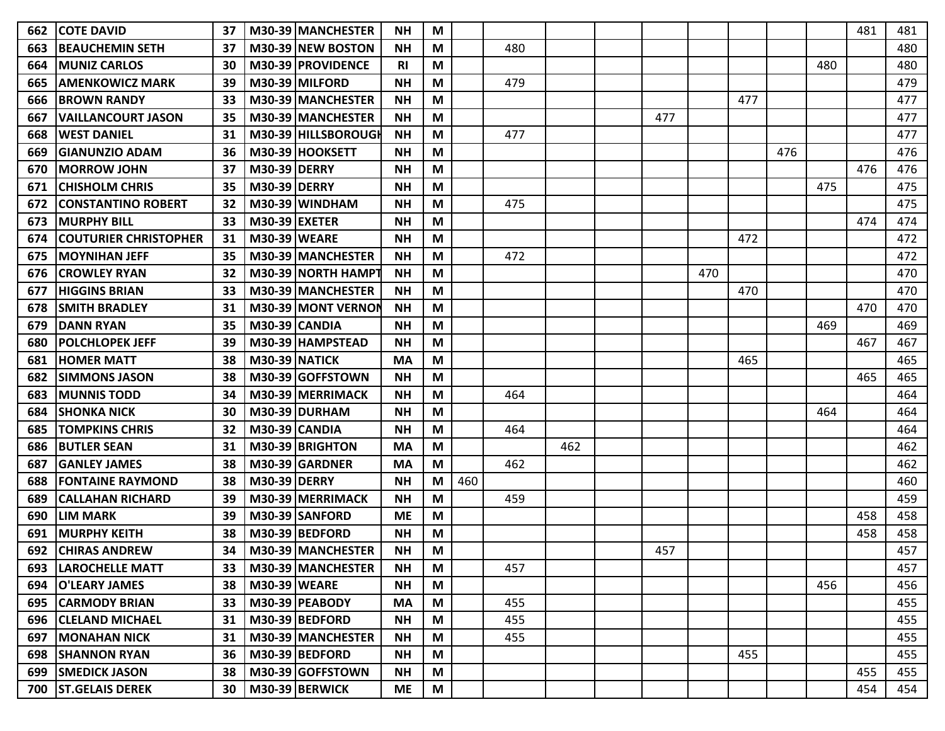| 662 | <b>COTE DAVID</b>            | 37 |                      | M30-39 MANCHESTER   | NΗ        | M |     |     |     |     |     |     |     |     | 481 | 481 |
|-----|------------------------------|----|----------------------|---------------------|-----------|---|-----|-----|-----|-----|-----|-----|-----|-----|-----|-----|
| 663 | <b>BEAUCHEMIN SETH</b>       | 37 |                      | M30-39 NEW BOSTON   | <b>NH</b> | M |     | 480 |     |     |     |     |     |     |     | 480 |
| 664 | <b>MUNIZ CARLOS</b>          | 30 |                      | M30-39   PROVIDENCE | RI        | M |     |     |     |     |     |     |     | 480 |     | 480 |
| 665 | <b>AMENKOWICZ MARK</b>       | 39 |                      | M30-39 MILFORD      | <b>NH</b> | M |     | 479 |     |     |     |     |     |     |     | 479 |
| 666 | <b>BROWN RANDY</b>           | 33 |                      | M30-39 MANCHESTER   | <b>NH</b> | M |     |     |     |     |     | 477 |     |     |     | 477 |
| 667 | <b>VAILLANCOURT JASON</b>    | 35 |                      | M30-39 MANCHESTER   | <b>NH</b> | M |     |     |     | 477 |     |     |     |     |     | 477 |
| 668 | <b>IWEST DANIEL</b>          | 31 |                      | M30-39 HILLSBOROUGH | <b>NH</b> | M |     | 477 |     |     |     |     |     |     |     | 477 |
| 669 | <b>GIANUNZIO ADAM</b>        | 36 |                      | M30-39 HOOKSETT     | <b>NH</b> | M |     |     |     |     |     |     | 476 |     |     | 476 |
| 670 | <b>IMORROW JOHN</b>          | 37 | <b>M30-39 DERRY</b>  |                     | <b>NH</b> | M |     |     |     |     |     |     |     |     | 476 | 476 |
| 671 | <b>ICHISHOLM CHRIS</b>       | 35 | <b>M30-39 DERRY</b>  |                     | <b>NH</b> | M |     |     |     |     |     |     |     | 475 |     | 475 |
| 672 | <b>CONSTANTINO ROBERT</b>    | 32 |                      | $M30-39$ WINDHAM    | <b>NH</b> | M |     | 475 |     |     |     |     |     |     |     | 475 |
| 673 | <b>MURPHY BILL</b>           | 33 | <b>M30-39 EXETER</b> |                     | <b>NH</b> | M |     |     |     |     |     |     |     |     | 474 | 474 |
| 674 | <b>COUTURIER CHRISTOPHER</b> | 31 | <b>M30-39 WEARE</b>  |                     | <b>NH</b> | M |     |     |     |     |     | 472 |     |     |     | 472 |
| 675 | <b>IMOYNIHAN JEFF</b>        | 35 |                      | M30-39 MANCHESTER   | <b>NH</b> | M |     | 472 |     |     |     |     |     |     |     | 472 |
| 676 | <b>ICROWLEY RYAN</b>         | 32 |                      | M30-39 NORTH HAMPT  | <b>NH</b> | M |     |     |     |     | 470 |     |     |     |     | 470 |
| 677 | <b>HIGGINS BRIAN</b>         | 33 |                      | M30-39 MANCHESTER   | <b>NH</b> | M |     |     |     |     |     | 470 |     |     |     | 470 |
| 678 | ISMITH BRADLEY               | 31 |                      | M30-39 MONT VERNON  | <b>NH</b> | M |     |     |     |     |     |     |     |     | 470 | 470 |
| 679 | <b>DANN RYAN</b>             | 35 |                      | M30-39 CANDIA       | <b>NH</b> | M |     |     |     |     |     |     |     | 469 |     | 469 |
| 680 | <b>IPOLCHLOPEK JEFF</b>      | 39 |                      | M30-39 HAMPSTEAD    | <b>NH</b> | M |     |     |     |     |     |     |     |     | 467 | 467 |
| 681 | <b>HOMER MATT</b>            | 38 |                      | M30-39 NATICK       | <b>MA</b> | M |     |     |     |     |     | 465 |     |     |     | 465 |
| 682 | <b>ISIMMONS JASON</b>        | 38 |                      | M30-39 GOFFSTOWN    | <b>NH</b> | M |     |     |     |     |     |     |     |     | 465 | 465 |
| 683 | <b>IMUNNIS TODD</b>          | 34 |                      | M30-39   MERRIMACK  | <b>NH</b> | M |     | 464 |     |     |     |     |     |     |     | 464 |
| 684 | <b>SHONKA NICK</b>           | 30 |                      | M30-39 DURHAM       | <b>NH</b> | M |     |     |     |     |     |     |     | 464 |     | 464 |
| 685 | <b>TOMPKINS CHRIS</b>        | 32 |                      | M30-39 CANDIA       | <b>NH</b> | M |     | 464 |     |     |     |     |     |     |     | 464 |
| 686 | <b>BUTLER SEAN</b>           | 31 |                      | M30-39 BRIGHTON     | <b>MA</b> | M |     |     | 462 |     |     |     |     |     |     | 462 |
| 687 | <b>IGANLEY JAMES</b>         | 38 |                      | M30-39 GARDNER      | <b>MA</b> | M |     | 462 |     |     |     |     |     |     |     | 462 |
| 688 | <b>FONTAINE RAYMOND</b>      | 38 | <b>M30-39 DERRY</b>  |                     | <b>NH</b> | M | 460 |     |     |     |     |     |     |     |     | 460 |
| 689 | <b>CALLAHAN RICHARD</b>      | 39 |                      | M30-39   MERRIMACK  | <b>NH</b> | M |     | 459 |     |     |     |     |     |     |     | 459 |
| 690 | <b>LIM MARK</b>              | 39 |                      | M30-39 SANFORD      | <b>ME</b> | M |     |     |     |     |     |     |     |     | 458 | 458 |
| 691 | <b>MURPHY KEITH</b>          | 38 |                      | M30-39 BEDFORD      | <b>NH</b> | M |     |     |     |     |     |     |     |     | 458 | 458 |
| 692 | <b>ICHIRAS ANDREW</b>        | 34 |                      | M30-39 MANCHESTER   | <b>NH</b> | M |     |     |     | 457 |     |     |     |     |     | 457 |
|     | 693   LAROCHELLE MATT        | 33 |                      | M30-39 MANCHESTER   | <b>NH</b> | M |     | 457 |     |     |     |     |     |     |     | 457 |
|     | 694   O'LEARY JAMES          | 38 | <b>M30-39 WEARE</b>  |                     | <b>NH</b> | M |     |     |     |     |     |     |     | 456 |     | 456 |
|     | 695 CARMODY BRIAN            | 33 |                      | M30-39 PEABODY      | <b>MA</b> | M |     | 455 |     |     |     |     |     |     |     | 455 |
|     | 696 CLELAND MICHAEL          | 31 |                      | M30-39 BEDFORD      | <b>NH</b> | M |     | 455 |     |     |     |     |     |     |     | 455 |
|     | <b>697   MONAHAN NICK</b>    | 31 |                      | M30-39 MANCHESTER   | <b>NH</b> | M |     | 455 |     |     |     |     |     |     |     | 455 |
|     | 698   SHANNON RYAN           | 36 |                      | M30-39 BEDFORD      | <b>NH</b> | M |     |     |     |     |     | 455 |     |     |     | 455 |
|     | 699   SMEDICK JASON          | 38 |                      | M30-39 GOFFSTOWN    | <b>NH</b> | M |     |     |     |     |     |     |     |     | 455 | 455 |
|     | 700 ST.GELAIS DEREK          | 30 |                      | M30-39 BERWICK      | <b>ME</b> | M |     |     |     |     |     |     |     |     | 454 | 454 |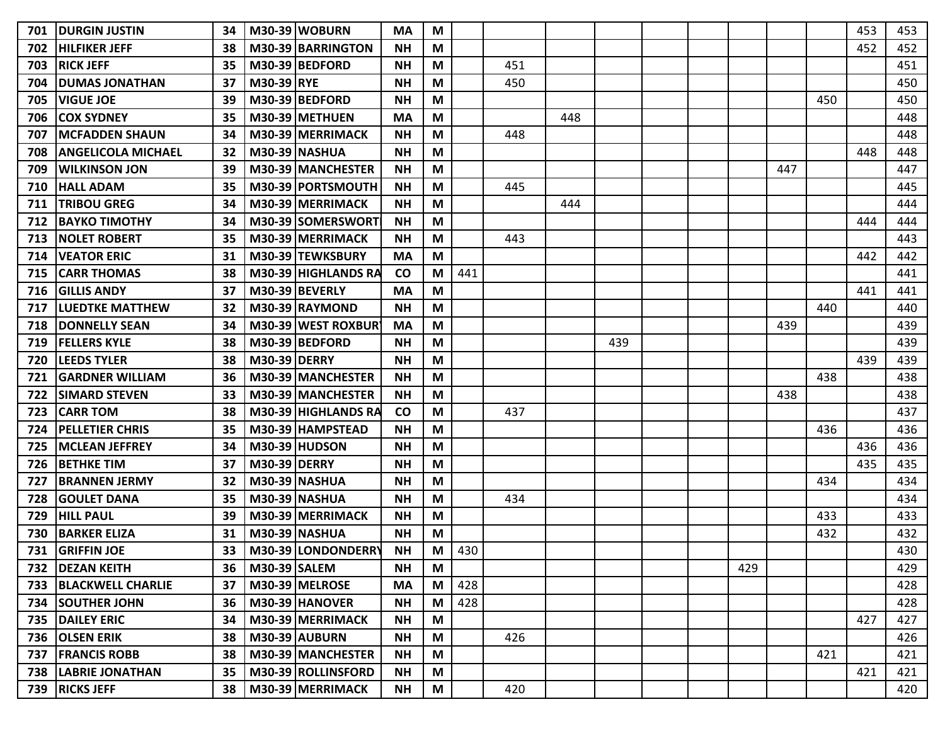| 701 | <b> DURGIN JUSTIN</b>          | 34 |                     | M30-39 WOBURN        | <b>MA</b> | M |            |     |     |     |  |     |     |     | 453 | 453 |
|-----|--------------------------------|----|---------------------|----------------------|-----------|---|------------|-----|-----|-----|--|-----|-----|-----|-----|-----|
| 702 | <b>HILFIKER JEFF</b>           | 38 |                     | M30-39 BARRINGTON    | <b>NH</b> | M |            |     |     |     |  |     |     |     | 452 | 452 |
| 703 | <b>RICK JEFF</b>               | 35 |                     | M30-39 BEDFORD       | <b>NH</b> | M |            | 451 |     |     |  |     |     |     |     | 451 |
| 704 | <b>IDUMAS JONATHAN</b>         | 37 | M30-39 RYE          |                      | <b>NH</b> | M |            | 450 |     |     |  |     |     |     |     | 450 |
| 705 | <b>VIGUE JOE</b>               | 39 |                     | M30-39 BEDFORD       | <b>NH</b> | M |            |     |     |     |  |     |     | 450 |     | 450 |
| 706 | <b>COX SYDNEY</b>              | 35 |                     | M30-39 METHUEN       | <b>MA</b> | M |            |     | 448 |     |  |     |     |     |     | 448 |
| 707 | <b>IMCFADDEN SHAUN</b>         | 34 |                     | M30-39 MERRIMACK     | <b>NH</b> | M |            | 448 |     |     |  |     |     |     |     | 448 |
| 708 | <b>ANGELICOLA MICHAEL</b>      | 32 |                     | <b>M30-39 NASHUA</b> | <b>NH</b> | M |            |     |     |     |  |     |     |     | 448 | 448 |
| 709 | lwilkinson jon                 | 39 |                     | M30-39 MANCHESTER    | <b>NH</b> | M |            |     |     |     |  |     | 447 |     |     | 447 |
| 710 | <b>HALL ADAM</b>               | 35 |                     | M30-39 PORTSMOUTH    | <b>NH</b> | M |            | 445 |     |     |  |     |     |     |     | 445 |
| 711 | <b>TRIBOU GREG</b>             | 34 |                     | M30-39 MERRIMACK     | <b>NH</b> | M |            |     | 444 |     |  |     |     |     |     | 444 |
| 712 | ВАҮКО ТІМОТНҮ                  | 34 |                     | M30-39 SOMERSWORT    | <b>NH</b> | M |            |     |     |     |  |     |     |     | 444 | 444 |
| 713 | <b>NOLET ROBERT</b>            | 35 |                     | M30-39 MERRIMACK     | <b>NH</b> | M |            | 443 |     |     |  |     |     |     |     | 443 |
| 714 | <b>IVEATOR ERIC</b>            | 31 |                     | M30-39 TEWKSBURY     | <b>MA</b> | M |            |     |     |     |  |     |     |     | 442 | 442 |
| 715 | <b>ICARR THOMAS</b>            | 38 |                     | M30-39 HIGHLANDS RA  | <b>CO</b> | M | 441        |     |     |     |  |     |     |     |     | 441 |
| 716 | <b>IGILLIS ANDY</b>            | 37 |                     | M30-39 BEVERLY       | MA        | M |            |     |     |     |  |     |     |     | 441 | 441 |
| 717 | <b>LUEDTKE MATTHEW</b>         | 32 |                     | M30-39 RAYMOND       | <b>NH</b> | M |            |     |     |     |  |     |     | 440 |     | 440 |
| 718 | <b>DONNELLY SEAN</b>           | 34 |                     | M30-39 WEST ROXBUR   | <b>MA</b> | M |            |     |     |     |  |     | 439 |     |     | 439 |
| 719 | <b>FELLERS KYLE</b>            | 38 |                     | M30-39 BEDFORD       | <b>NH</b> | M |            |     |     | 439 |  |     |     |     |     | 439 |
| 720 | <b>LEEDS TYLER</b>             | 38 | <b>M30-39 DERRY</b> |                      | <b>NH</b> | M |            |     |     |     |  |     |     |     | 439 | 439 |
| 721 | <b>GARDNER WILLIAM</b>         | 36 |                     | M30-39 MANCHESTER    | <b>NH</b> | M |            |     |     |     |  |     |     | 438 |     | 438 |
| 722 | <b>SIMARD STEVEN</b>           | 33 |                     | M30-39 IMANCHESTER   | <b>NH</b> | M |            |     |     |     |  |     | 438 |     |     | 438 |
| 723 | <b>CARR TOM</b>                | 38 |                     | M30-39 HIGHLANDS RA  | <b>CO</b> | M |            | 437 |     |     |  |     |     |     |     | 437 |
| 724 | <b>PELLETIER CHRIS</b>         | 35 |                     | M30-39 HAMPSTEAD     | <b>NH</b> | M |            |     |     |     |  |     |     | 436 |     | 436 |
| 725 | <b>MCLEAN JEFFREY</b>          | 34 |                     | <b>M30-39 HUDSON</b> | <b>NH</b> | M |            |     |     |     |  |     |     |     | 436 | 436 |
| 726 | <b>BETHKE TIM</b>              | 37 | <b>M30-39 DERRY</b> |                      | <b>NH</b> | M |            |     |     |     |  |     |     |     | 435 | 435 |
| 727 | <b>BRANNEN JERMY</b>           | 32 |                     | <b>M30-39 NASHUA</b> | <b>NH</b> | M |            |     |     |     |  |     |     | 434 |     | 434 |
| 728 | <b>IGOULET DANA</b>            | 35 |                     | M30-39 NASHUA        | NΗ        | M |            | 434 |     |     |  |     |     |     |     | 434 |
| 729 | <b>HILL PAUL</b>               | 39 |                     | M30-39 MERRIMACK     | <b>NH</b> | M |            |     |     |     |  |     |     | 433 |     | 433 |
| 730 | <b>BARKER ELIZA</b>            | 31 |                     | <b>M30-39 NASHUA</b> | <b>NH</b> | M |            |     |     |     |  |     |     | 432 |     | 432 |
|     | 731 GRIFFIN JOE                | 33 |                     | M30-39 LONDONDERRY   | <b>NH</b> | M | 430<br>᠇੭∪ |     |     |     |  |     |     |     |     | 430 |
|     | 732   DEZAN KEITH              |    | 36   M30-39   SALEM |                      | <b>NH</b> | M |            |     |     |     |  | 429 |     |     |     | 429 |
|     | <b>733   BLACKWELL CHARLIE</b> | 37 |                     | M30-39 MELROSE       | <b>MA</b> | M | 428        |     |     |     |  |     |     |     |     | 428 |
|     | 734 SOUTHER JOHN               | 36 |                     | M30-39 HANOVER       | <b>NH</b> | M | 428        |     |     |     |  |     |     |     |     | 428 |
|     | 735   DAILEY ERIC              | 34 |                     | M30-39 MERRIMACK     | <b>NH</b> | M |            |     |     |     |  |     |     |     | 427 | 427 |
|     | 736 OLSEN ERIK                 | 38 |                     | $M30-39$ AUBURN      | <b>NH</b> | M |            | 426 |     |     |  |     |     |     |     | 426 |
|     | 737   FRANCIS ROBB             | 38 |                     | M30-39 MANCHESTER    | <b>NH</b> | M |            |     |     |     |  |     |     | 421 |     | 421 |
|     | 738   LABRIE JONATHAN          | 35 |                     | M30-39 ROLLINSFORD   | <b>NH</b> | M |            |     |     |     |  |     |     |     | 421 | 421 |
|     | 739 RICKS JEFF                 | 38 |                     | M30-39 MERRIMACK     | <b>NH</b> | M |            | 420 |     |     |  |     |     |     |     | 420 |
|     |                                |    |                     |                      |           |   |            |     |     |     |  |     |     |     |     |     |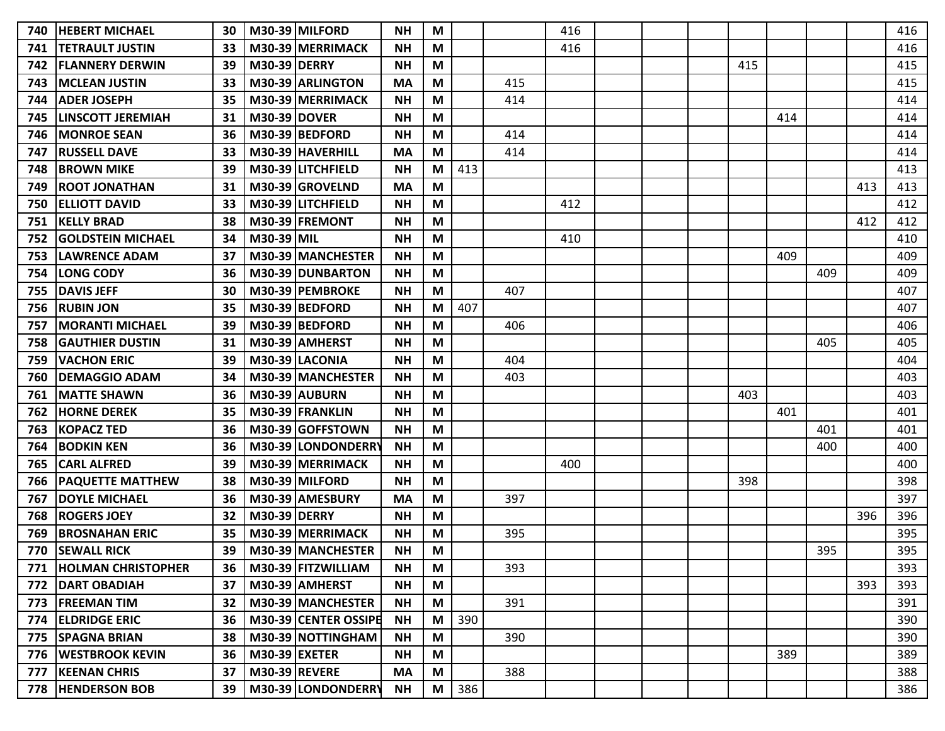| 740 | <b>HEBERT MICHAEL</b>     | 30 |                      | M30-39 MILFORD       | <b>NH</b> | M |     |     | 416 |  |     |     |     |     | 416 |
|-----|---------------------------|----|----------------------|----------------------|-----------|---|-----|-----|-----|--|-----|-----|-----|-----|-----|
| 741 | TETRAULT JUSTIN           | 33 |                      | M30-39 MERRIMACK     | <b>NH</b> | M |     |     | 416 |  |     |     |     |     | 416 |
| 742 | <b>FLANNERY DERWIN</b>    | 39 | <b>M30-39 DERRY</b>  |                      | <b>NH</b> | M |     |     |     |  | 415 |     |     |     | 415 |
| 743 | <b>MCLEAN JUSTIN</b>      | 33 |                      | M30-39 ARLINGTON     | <b>MA</b> | М |     | 415 |     |  |     |     |     |     | 415 |
| 744 | <b>ADER JOSEPH</b>        | 35 |                      | M30-39 MERRIMACK     | <b>NH</b> | M |     | 414 |     |  |     |     |     |     | 414 |
| 745 | <b>LINSCOTT JEREMIAH</b>  | 31 | <b>M30-39 DOVER</b>  |                      | <b>NH</b> | M |     |     |     |  |     | 414 |     |     | 414 |
| 746 | <b>MONROE SEAN</b>        | 36 |                      | M30-39 BEDFORD       | <b>NH</b> | M |     | 414 |     |  |     |     |     |     | 414 |
| 747 | <b>RUSSELL DAVE</b>       | 33 |                      | M30-39 HAVERHILL     | <b>MA</b> | M |     | 414 |     |  |     |     |     |     | 414 |
| 748 | <b>BROWN MIKE</b>         | 39 |                      | M30-39 LITCHFIELD    | <b>NH</b> | M | 413 |     |     |  |     |     |     |     | 413 |
| 749 | <b>ROOT JONATHAN</b>      | 31 |                      | M30-39 GROVELND      | <b>MA</b> | M |     |     |     |  |     |     |     | 413 | 413 |
| 750 | <b>ELLIOTT DAVID</b>      | 33 |                      | M30-39 LITCHFIELD    | <b>NH</b> | M |     |     | 412 |  |     |     |     |     | 412 |
| 751 | <b>KELLY BRAD</b>         | 38 |                      | M30-39 FREMONT       | <b>NH</b> | M |     |     |     |  |     |     |     | 412 | 412 |
| 752 | <b>GOLDSTEIN MICHAEL</b>  | 34 | M30-39 MIL           |                      | <b>NH</b> | M |     |     | 410 |  |     |     |     |     | 410 |
| 753 | <b>LAWRENCE ADAM</b>      | 37 |                      | M30-39 MANCHESTER    | <b>NH</b> | M |     |     |     |  |     | 409 |     |     | 409 |
| 754 | <b>LONG CODY</b>          | 36 |                      | M30-39 DUNBARTON     | <b>NH</b> | M |     |     |     |  |     |     | 409 |     | 409 |
| 755 | <b>DAVIS JEFF</b>         | 30 |                      | M30-39 PEMBROKE      | <b>NH</b> | M |     | 407 |     |  |     |     |     |     | 407 |
| 756 | <b>RUBIN JON</b>          | 35 |                      | M30-39 BEDFORD       | <b>NH</b> | M | 407 |     |     |  |     |     |     |     | 407 |
| 757 | <b>MORANTI MICHAEL</b>    | 39 |                      | M30-39 BEDFORD       | <b>NH</b> | M |     | 406 |     |  |     |     |     |     | 406 |
| 758 | <b>GAUTHIER DUSTIN</b>    | 31 |                      | M30-39 AMHERST       | <b>NH</b> | M |     |     |     |  |     |     | 405 |     | 405 |
| 759 | <b>VACHON ERIC</b>        | 39 |                      | M30-39 LACONIA       | <b>NH</b> | M |     | 404 |     |  |     |     |     |     | 404 |
| 760 | <b>DEMAGGIO ADAM</b>      | 34 |                      | M30-39 MANCHESTER    | <b>NH</b> | M |     | 403 |     |  |     |     |     |     | 403 |
| 761 | <b>MATTE SHAWN</b>        | 36 |                      | M30-39 AUBURN        | <b>NH</b> | M |     |     |     |  | 403 |     |     |     | 403 |
| 762 | <b>HORNE DEREK</b>        | 35 |                      | M30-39 FRANKLIN      | <b>NH</b> | M |     |     |     |  |     | 401 |     |     | 401 |
| 763 | <b>KOPACZ TED</b>         | 36 |                      | M30-39 GOFFSTOWN     | <b>NH</b> | M |     |     |     |  |     |     | 401 |     | 401 |
| 764 | <b>BODKIN KEN</b>         | 36 |                      | M30-39 LONDONDERRY   | <b>NH</b> | M |     |     |     |  |     |     | 400 |     | 400 |
| 765 | <b>CARL ALFRED</b>        | 39 |                      | M30-39 MERRIMACK     | <b>NH</b> | M |     |     | 400 |  |     |     |     |     | 400 |
| 766 | <b>PAQUETTE MATTHEW</b>   | 38 |                      | M30-39 MILFORD       | <b>NH</b> | M |     |     |     |  | 398 |     |     |     | 398 |
| 767 | <b>DOYLE MICHAEL</b>      | 36 |                      | M30-39 AMESBURY      | <b>MA</b> | M |     | 397 |     |  |     |     |     |     | 397 |
| 768 | <b>ROGERS JOEY</b>        | 32 | <b>M30-39 DERRY</b>  |                      | <b>NH</b> | M |     |     |     |  |     |     |     | 396 | 396 |
| 769 | <b>BROSNAHAN ERIC</b>     | 35 |                      | M30-39 MERRIMACK     | <b>NH</b> | M |     | 395 |     |  |     |     |     |     | 395 |
| 770 | <b>SEWALL RICK</b>        | 39 |                      | M30-39 MANCHESTER    | <b>NH</b> | M |     |     |     |  |     |     | 395 |     | 395 |
| 771 | <b>HOLMAN CHRISTOPHER</b> | 36 |                      | M30-39 FITZWILLIAM   | <b>NH</b> | M |     | 393 |     |  |     |     |     |     | 393 |
| 772 | <b>DART OBADIAH</b>       | 37 |                      | M30-39 AMHERST       | <b>NH</b> | M |     |     |     |  |     |     |     | 393 | 393 |
| 773 | <b>FREEMAN TIM</b>        | 32 |                      | M30-39 MANCHESTER    | <b>NH</b> | M |     | 391 |     |  |     |     |     |     | 391 |
|     | 774 ELDRIDGE ERIC         | 36 |                      | M30-39 CENTER OSSIPE | <b>NH</b> | M | 390 |     |     |  |     |     |     |     | 390 |
|     | 775   SPAGNA BRIAN        | 38 |                      | M30-39 NOTTINGHAM    | <b>NH</b> | M |     | 390 |     |  |     |     |     |     | 390 |
|     | 776   WESTBROOK KEVIN     | 36 | $M30-39$ EXETER      |                      | <b>NH</b> | M |     |     |     |  |     | 389 |     |     | 389 |
| 777 | <b>KEENAN CHRIS</b>       | 37 | <b>M30-39 REVERE</b> |                      | <b>MA</b> | M |     | 388 |     |  |     |     |     |     | 388 |
|     | 778   HENDERSON BOB       | 39 |                      | M30-39 LONDONDERRY   | <b>NH</b> | M | 386 |     |     |  |     |     |     |     | 386 |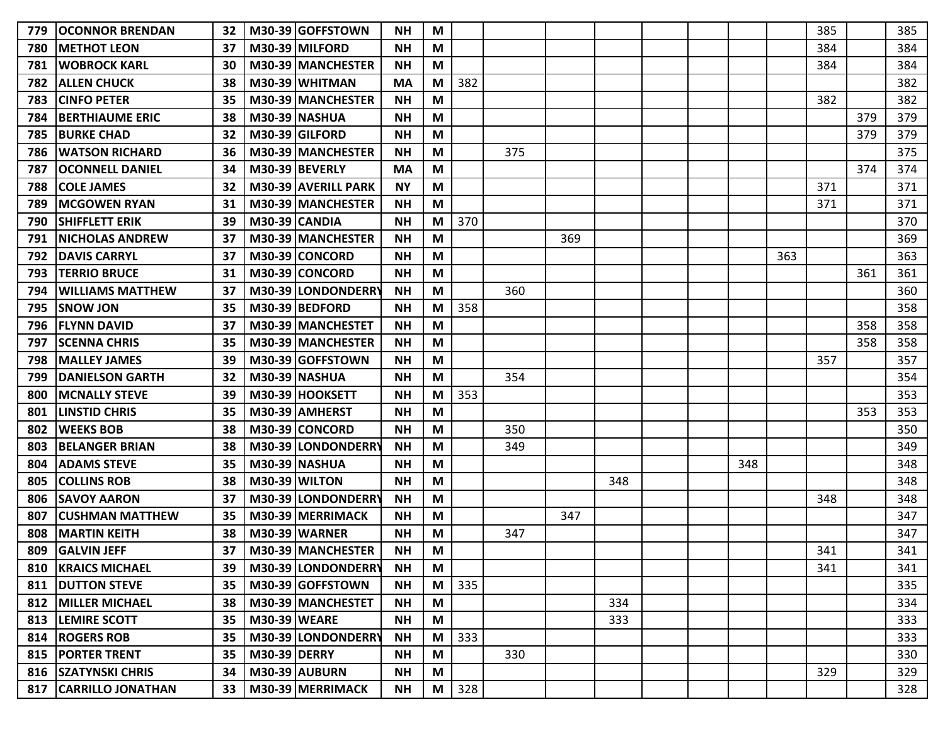| 779 | <b>OCONNOR BRENDAN</b>      | 32              |                     | M30-39 GOFFSTOWN     | <b>NH</b> | M                         |     |     |     |     |  |     |     | 385 |     | 385 |
|-----|-----------------------------|-----------------|---------------------|----------------------|-----------|---------------------------|-----|-----|-----|-----|--|-----|-----|-----|-----|-----|
| 780 | <b>METHOT LEON</b>          | 37              |                     | M30-39 MILFORD       | <b>NH</b> | M                         |     |     |     |     |  |     |     | 384 |     | 384 |
| 781 | <b>WOBROCK KARL</b>         | 30              |                     | M30-39 MANCHESTER    | <b>NH</b> | M                         |     |     |     |     |  |     |     | 384 |     | 384 |
| 782 | <b>ALLEN CHUCK</b>          | 38              |                     | M30-39 WHITMAN       | <b>MA</b> | M                         | 382 |     |     |     |  |     |     |     |     | 382 |
| 783 | <b>CINFO PETER</b>          | 35              |                     | M30-39 MANCHESTER    | <b>NH</b> | M                         |     |     |     |     |  |     |     | 382 |     | 382 |
| 784 | <b>IBERTHIAUME ERIC</b>     | 38              |                     | M30-39 NASHUA        | <b>NH</b> | M                         |     |     |     |     |  |     |     |     | 379 | 379 |
| 785 | <b>BURKE CHAD</b>           | 32              |                     | M30-39 GILFORD       | <b>NH</b> | M                         |     |     |     |     |  |     |     |     | 379 | 379 |
| 786 | <b>WATSON RICHARD</b>       | 36              |                     | M30-39 MANCHESTER    | <b>NH</b> | M                         |     | 375 |     |     |  |     |     |     |     | 375 |
| 787 | <b>IOCONNELL DANIEL</b>     | 34              |                     | M30-39 BEVERLY       | MA        | M                         |     |     |     |     |  |     |     |     | 374 | 374 |
| 788 | <b>COLE JAMES</b>           | 32              |                     | M30-39 AVERILL PARK  | <b>NY</b> | M                         |     |     |     |     |  |     |     | 371 |     | 371 |
| 789 | <b>MCGOWEN RYAN</b>         | 31              |                     | M30-39 MANCHESTER    | <b>NH</b> | M                         |     |     |     |     |  |     |     | 371 |     | 371 |
| 790 | <b>SHIFFLETT ERIK</b>       | 39              |                     | M30-39 CANDIA        | <b>NH</b> | M                         | 370 |     |     |     |  |     |     |     |     | 370 |
| 791 | <b>INICHOLAS ANDREW</b>     | 37              |                     | M30-39 MANCHESTER    | <b>NH</b> | M                         |     |     | 369 |     |  |     |     |     |     | 369 |
| 792 | <b>IDAVIS CARRYL</b>        | 37              |                     | M30-39 CONCORD       | <b>NH</b> | M                         |     |     |     |     |  |     | 363 |     |     | 363 |
| 793 | <b>TERRIO BRUCE</b>         | 31              |                     | M30-39 CONCORD       | <b>NH</b> | M                         |     |     |     |     |  |     |     |     | 361 | 361 |
| 794 | <b>WILLIAMS MATTHEW</b>     | 37              |                     | M30-39 LONDONDERRY   | <b>NH</b> | М                         |     | 360 |     |     |  |     |     |     |     | 360 |
| 795 | <b>SNOW JON</b>             | 35              |                     | M30-39 BEDFORD       | <b>NH</b> | M                         | 358 |     |     |     |  |     |     |     |     | 358 |
| 796 | <b>IFLYNN DAVID</b>         | 37              |                     | M30-39 MANCHESTET    | <b>NH</b> | M                         |     |     |     |     |  |     |     |     | 358 | 358 |
| 797 | <b>SCENNA CHRIS</b>         | 35              |                     | M30-39 MANCHESTER    | <b>NH</b> | M                         |     |     |     |     |  |     |     |     | 358 | 358 |
| 798 | <b>MALLEY JAMES</b>         | 39              |                     | M30-39 GOFFSTOWN     | <b>NH</b> | M                         |     |     |     |     |  |     |     | 357 |     | 357 |
| 799 | <b>IDANIELSON GARTH</b>     | 32              |                     | M30-39 NASHUA        | <b>NH</b> | М                         |     | 354 |     |     |  |     |     |     |     | 354 |
| 800 | <b>MCNALLY STEVE</b>        | 39              |                     | M30-39 HOOKSETT      | <b>NH</b> | М                         | 353 |     |     |     |  |     |     |     |     | 353 |
| 801 | <b>LINSTID CHRIS</b>        | 35              |                     | M30-39 AMHERST       | <b>NH</b> | M                         |     |     |     |     |  |     |     |     | 353 | 353 |
| 802 | <b>WEEKS BOB</b>            | 38              |                     | M30-39 CONCORD       | <b>NH</b> | M                         |     | 350 |     |     |  |     |     |     |     | 350 |
| 803 | IBELANGER BRIAN             | 38              |                     | M30-39 LONDONDERRY   | <b>NH</b> | M                         |     | 349 |     |     |  |     |     |     |     | 349 |
| 804 | <b>ADAMS STEVE</b>          | 35              |                     | <b>M30-39 NASHUA</b> | <b>NH</b> | M                         |     |     |     |     |  | 348 |     |     |     | 348 |
| 805 | <b>COLLINS ROB</b>          | 38              |                     | M30-39 WILTON        | <b>NH</b> | M                         |     |     |     | 348 |  |     |     |     |     | 348 |
| 806 | ISAVOY AARON                | 37              |                     | M30-39 LONDONDERRY   | <b>NH</b> | М                         |     |     |     |     |  |     |     | 348 |     | 348 |
| 807 | <b>CUSHMAN MATTHEW</b>      | 35              |                     | M30-39 MERRIMACK     | <b>NH</b> | M                         |     |     | 347 |     |  |     |     |     |     | 347 |
| 808 | <b>MARTIN KEITH</b>         | 38              |                     | <b>M30-39 WARNER</b> | <b>NH</b> | M                         |     | 347 |     |     |  |     |     |     |     | 347 |
|     | 809 GALVIN JEFF             | 37              |                     | M30-39 MANCHESTER    | <b>NH</b> | $\boldsymbol{\mathsf{M}}$ |     |     |     |     |  |     |     | 341 |     | 341 |
|     | <b>810   KRAICS MICHAEL</b> | 39 I            |                     | M30-39 LONDONDERRY   | <b>NH</b> | M                         |     |     |     |     |  |     |     | 341 |     | 341 |
|     | <b>811   DUTTON STEVE</b>   | 35              |                     | M30-39 GOFFSTOWN     | <b>NH</b> | M                         | 335 |     |     |     |  |     |     |     |     | 335 |
|     | 812   MILLER MICHAEL        | 38              |                     | M30-39 MANCHESTET    | <b>NH</b> | M                         |     |     |     | 334 |  |     |     |     |     | 334 |
|     | 813  LEMIRE SCOTT           | 35              | <b>M30-39 WEARE</b> |                      | <b>NH</b> | M                         |     |     |     | 333 |  |     |     |     |     | 333 |
|     | 814   ROGERS ROB            | 35 <sub>2</sub> |                     | M30-39 LONDONDERRY   | <b>NH</b> | M                         | 333 |     |     |     |  |     |     |     |     | 333 |
|     | 815   PORTER TRENT          | 35              | <b>M30-39 DERRY</b> |                      | <b>NH</b> | M                         |     | 330 |     |     |  |     |     |     |     | 330 |
|     | 816 SZATYNSKI CHRIS         | 34              |                     | M30-39 AUBURN        | <b>NH</b> | M                         |     |     |     |     |  |     |     | 329 |     | 329 |
|     | 817   CARRILLO JONATHAN     | 33              |                     | M30-39 MERRIMACK     | <b>NH</b> | M                         | 328 |     |     |     |  |     |     |     |     | 328 |
|     |                             |                 |                     |                      |           |                           |     |     |     |     |  |     |     |     |     |     |